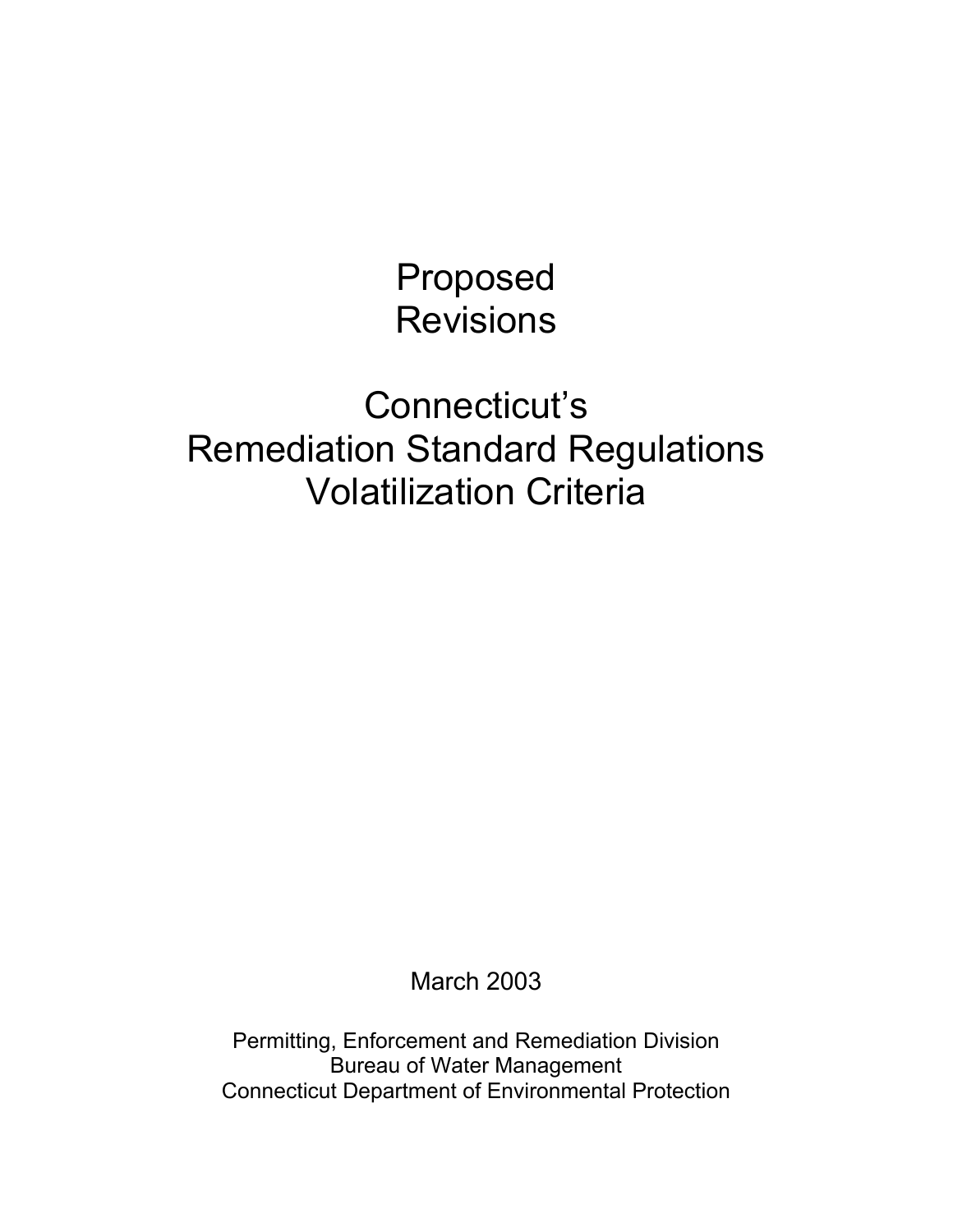Proposed Revisions

Connecticut's Remediation Standard Regulations Volatilization Criteria

March 2003

Permitting, Enforcement and Remediation Division Bureau of Water Management Connecticut Department of Environmental Protection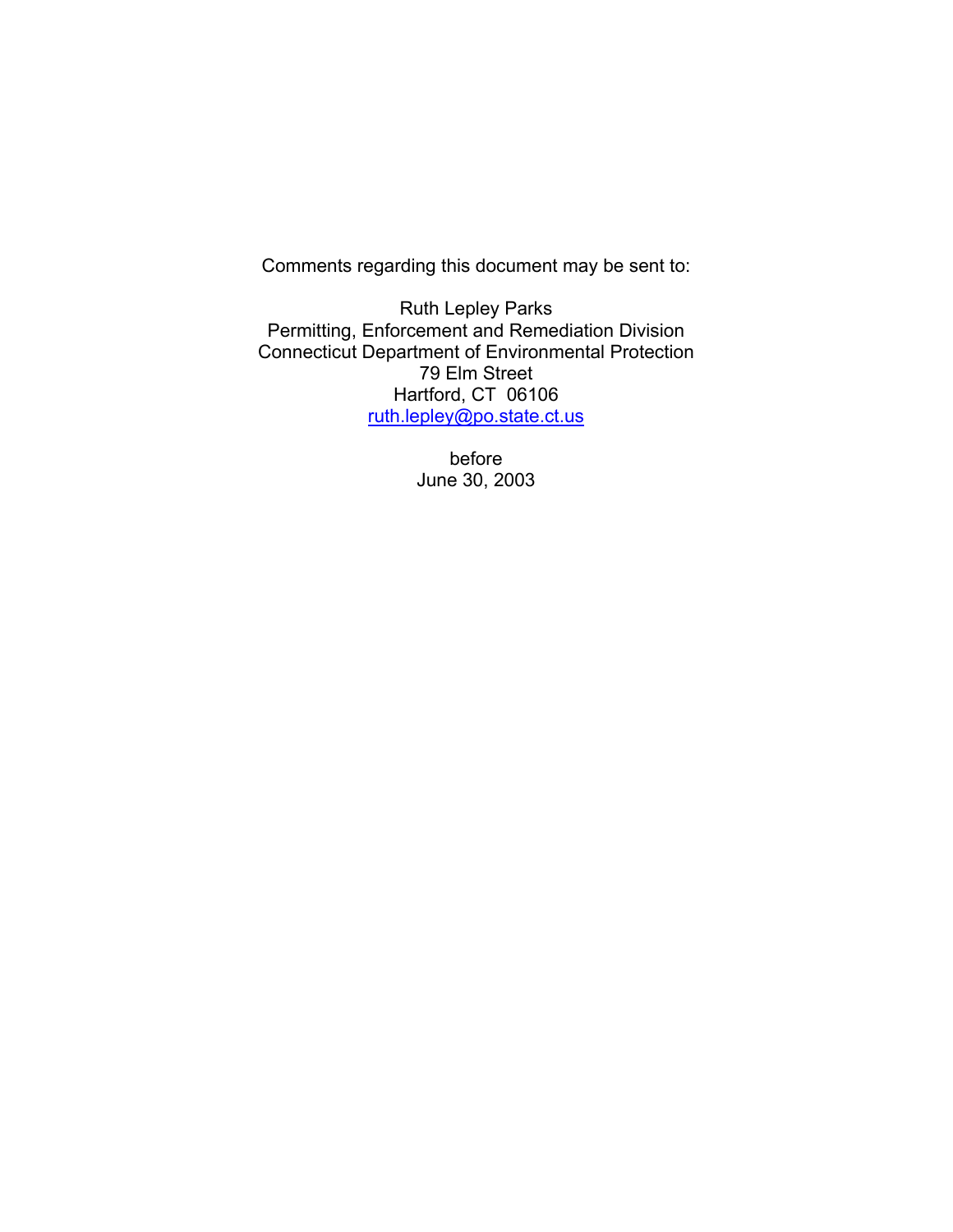Comments regarding this document may be sent to:

Ruth Lepley Parks Permitting, Enforcement and Remediation Division Connecticut Department of Environmental Protection 79 Elm Street Hartford, CT 06106 ruth.lepley@po.state.ct.us

> before June 30, 2003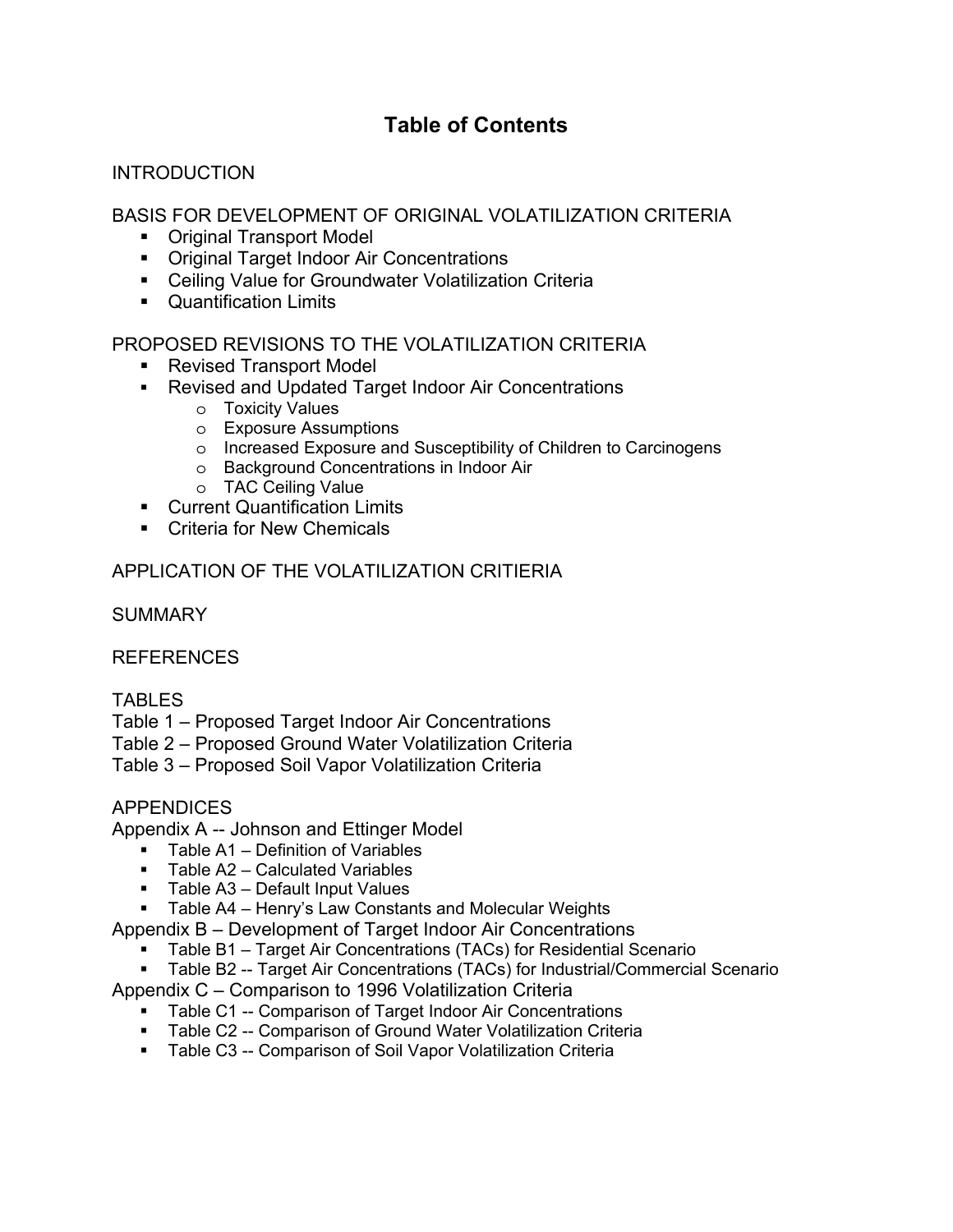## **Table of Contents**

#### **INTRODUCTION**

#### BASIS FOR DEVELOPMENT OF ORIGINAL VOLATILIZATION CRITERIA

- Original Transport Model
- **Original Target Indoor Air Concentrations**
- Ceiling Value for Groundwater Volatilization Criteria
- Quantification Limits

#### PROPOSED REVISIONS TO THE VOLATILIZATION CRITERIA

- Revised Transport Model
- Revised and Updated Target Indoor Air Concentrations
	- o Toxicity Values
	- o Exposure Assumptions
	- o Increased Exposure and Susceptibility of Children to Carcinogens
	- o Background Concentrations in Indoor Air
	- o TAC Ceiling Value
- **Current Quantification Limits**
- **EXECT** Criteria for New Chemicals

#### APPLICATION OF THE VOLATILIZATION CRITIERIA

**SUMMARY** 

#### REFERENCES

#### **TABLES**

Table 1 – Proposed Target Indoor Air Concentrations

Table 2 – Proposed Ground Water Volatilization Criteria

Table 3 – Proposed Soil Vapor Volatilization Criteria

#### **APPENDICES**

Appendix A -- Johnson and Ettinger Model

- **Table A1 Definition of Variables**
- Table A2 Calculated Variables
- **Table A3 Default Input Values**
- **Table A4 Henry's Law Constants and Molecular Weights**

Appendix B – Development of Target Indoor Air Concentrations

- Table B1 Target Air Concentrations (TACs) for Residential Scenario
- Table B2 -- Target Air Concentrations (TACs) for Industrial/Commercial Scenario

Appendix C – Comparison to 1996 Volatilization Criteria

- Table C1 -- Comparison of Target Indoor Air Concentrations
- Table C2 -- Comparison of Ground Water Volatilization Criteria
- Table C3 -- Comparison of Soil Vapor Volatilization Criteria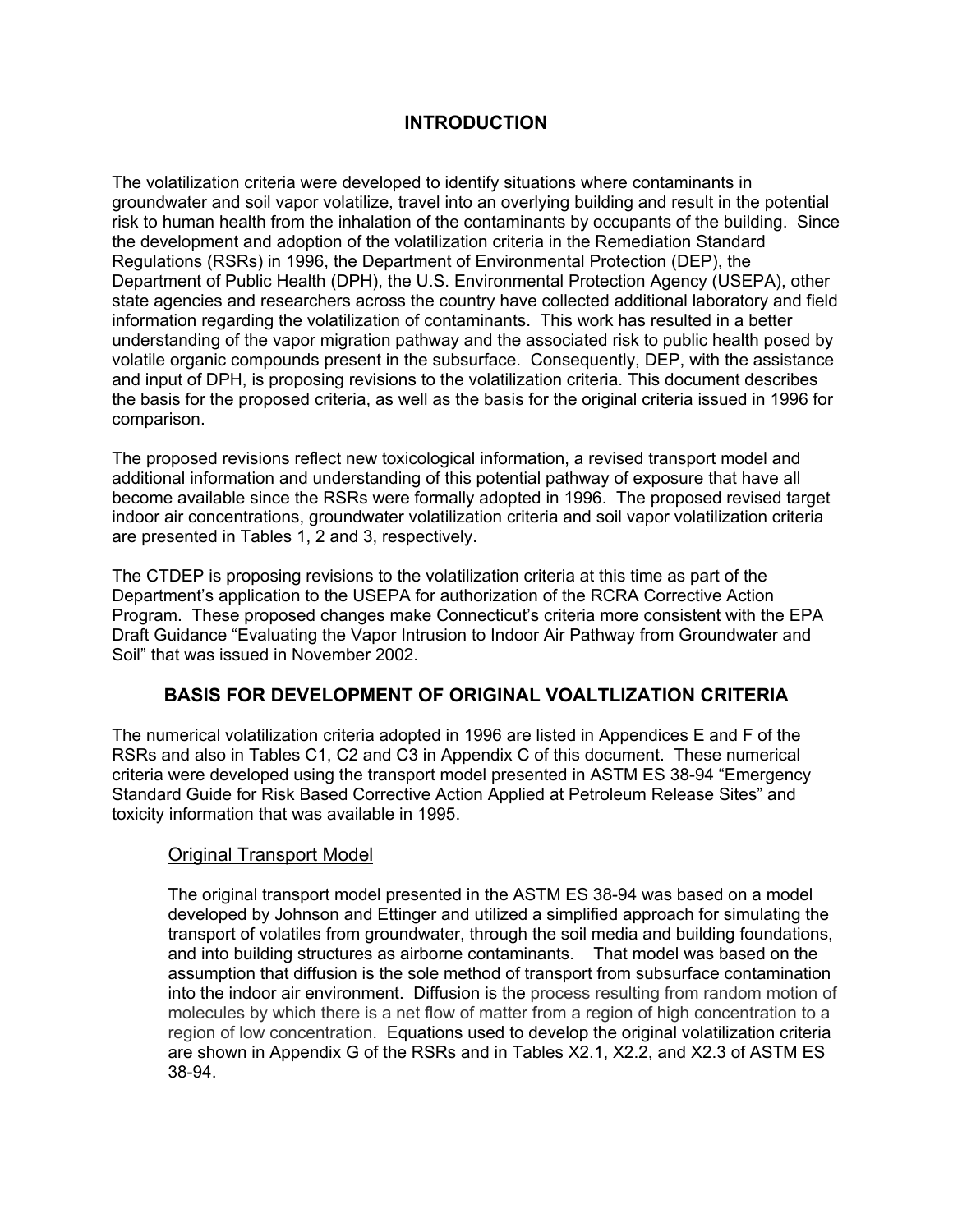#### **INTRODUCTION**

The volatilization criteria were developed to identify situations where contaminants in groundwater and soil vapor volatilize, travel into an overlying building and result in the potential risk to human health from the inhalation of the contaminants by occupants of the building. Since the development and adoption of the volatilization criteria in the Remediation Standard Regulations (RSRs) in 1996, the Department of Environmental Protection (DEP), the Department of Public Health (DPH), the U.S. Environmental Protection Agency (USEPA), other state agencies and researchers across the country have collected additional laboratory and field information regarding the volatilization of contaminants. This work has resulted in a better understanding of the vapor migration pathway and the associated risk to public health posed by volatile organic compounds present in the subsurface. Consequently, DEP, with the assistance and input of DPH, is proposing revisions to the volatilization criteria. This document describes the basis for the proposed criteria, as well as the basis for the original criteria issued in 1996 for comparison.

The proposed revisions reflect new toxicological information, a revised transport model and additional information and understanding of this potential pathway of exposure that have all become available since the RSRs were formally adopted in 1996. The proposed revised target indoor air concentrations, groundwater volatilization criteria and soil vapor volatilization criteria are presented in Tables 1, 2 and 3, respectively.

The CTDEP is proposing revisions to the volatilization criteria at this time as part of the Department's application to the USEPA for authorization of the RCRA Corrective Action Program. These proposed changes make Connecticut's criteria more consistent with the EPA Draft Guidance "Evaluating the Vapor Intrusion to Indoor Air Pathway from Groundwater and Soil" that was issued in November 2002.

#### **BASIS FOR DEVELOPMENT OF ORIGINAL VOALTLIZATION CRITERIA**

The numerical volatilization criteria adopted in 1996 are listed in Appendices E and F of the RSRs and also in Tables C1, C2 and C3 in Appendix C of this document. These numerical criteria were developed using the transport model presented in ASTM ES 38-94 "Emergency Standard Guide for Risk Based Corrective Action Applied at Petroleum Release Sites" and toxicity information that was available in 1995.

#### Original Transport Model

The original transport model presented in the ASTM ES 38-94 was based on a model developed by Johnson and Ettinger and utilized a simplified approach for simulating the transport of volatiles from groundwater, through the soil media and building foundations, and into building structures as airborne contaminants. That model was based on the assumption that diffusion is the sole method of transport from subsurface contamination into the indoor air environment. Diffusion is the process resulting from random motion of molecules by which there is a net flow of matter from a region of high concentration to a region of low concentration. Equations used to develop the original volatilization criteria are shown in Appendix G of the RSRs and in Tables X2.1, X2.2, and X2.3 of ASTM ES 38-94.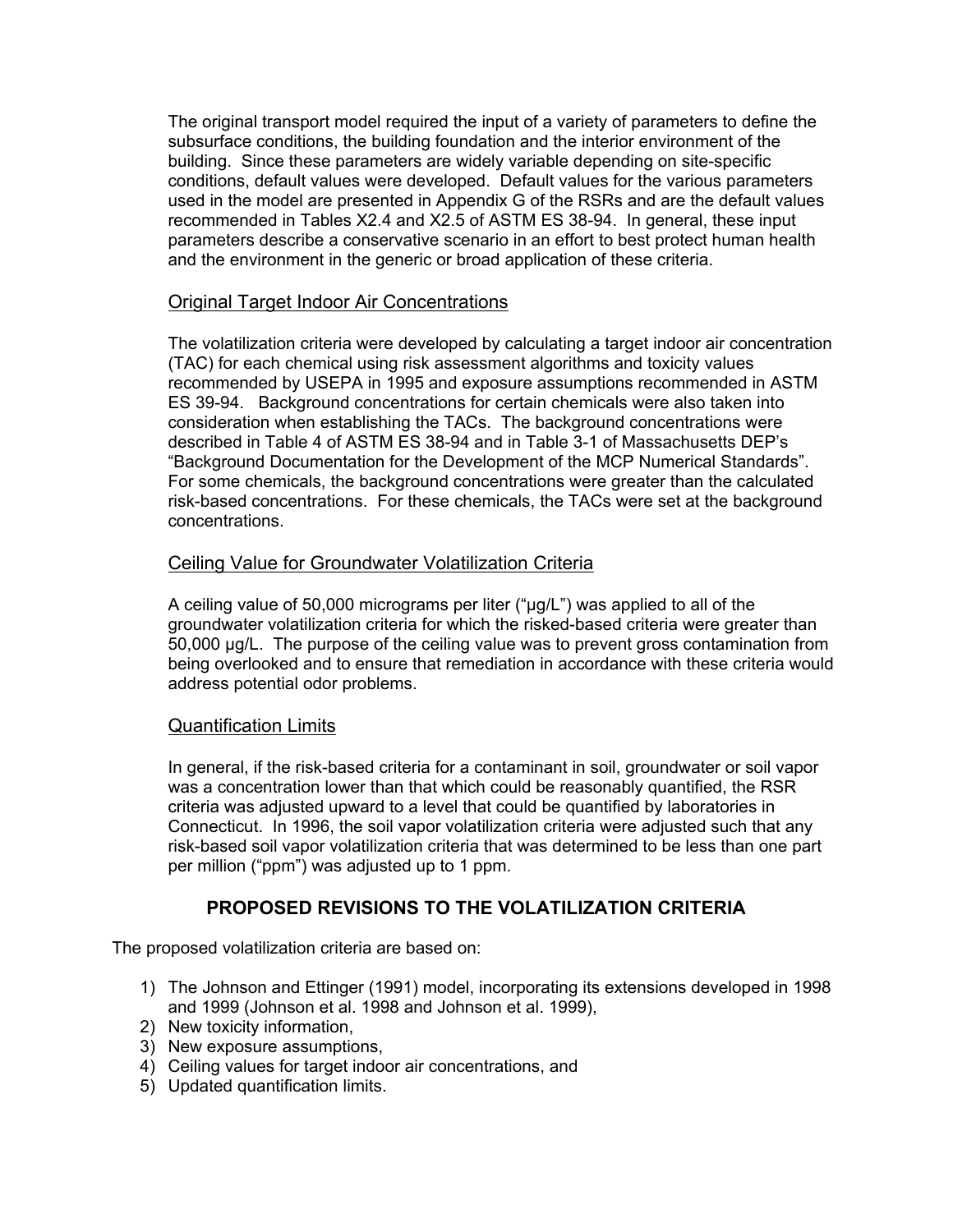The original transport model required the input of a variety of parameters to define the subsurface conditions, the building foundation and the interior environment of the building. Since these parameters are widely variable depending on site-specific conditions, default values were developed. Default values for the various parameters used in the model are presented in Appendix G of the RSRs and are the default values recommended in Tables X2.4 and X2.5 of ASTM ES 38-94. In general, these input parameters describe a conservative scenario in an effort to best protect human health and the environment in the generic or broad application of these criteria.

#### Original Target Indoor Air Concentrations

The volatilization criteria were developed by calculating a target indoor air concentration (TAC) for each chemical using risk assessment algorithms and toxicity values recommended by USEPA in 1995 and exposure assumptions recommended in ASTM ES 39-94. Background concentrations for certain chemicals were also taken into consideration when establishing the TACs. The background concentrations were described in Table 4 of ASTM ES 38-94 and in Table 3-1 of Massachusetts DEP's "Background Documentation for the Development of the MCP Numerical Standards". For some chemicals, the background concentrations were greater than the calculated risk-based concentrations. For these chemicals, the TACs were set at the background concentrations.

#### Ceiling Value for Groundwater Volatilization Criteria

A ceiling value of 50,000 micrograms per liter ("µg/L") was applied to all of the groundwater volatilization criteria for which the risked-based criteria were greater than 50,000 µg/L. The purpose of the ceiling value was to prevent gross contamination from being overlooked and to ensure that remediation in accordance with these criteria would address potential odor problems.

#### Quantification Limits

In general, if the risk-based criteria for a contaminant in soil, groundwater or soil vapor was a concentration lower than that which could be reasonably quantified, the RSR criteria was adjusted upward to a level that could be quantified by laboratories in Connecticut. In 1996, the soil vapor volatilization criteria were adjusted such that any risk-based soil vapor volatilization criteria that was determined to be less than one part per million ("ppm") was adjusted up to 1 ppm.

#### **PROPOSED REVISIONS TO THE VOLATILIZATION CRITERIA**

The proposed volatilization criteria are based on:

- 1) The Johnson and Ettinger (1991) model, incorporating its extensions developed in 1998 and 1999 (Johnson et al. 1998 and Johnson et al. 1999),
- 2) New toxicity information,
- 3) New exposure assumptions,
- 4) Ceiling values for target indoor air concentrations, and
- 5) Updated quantification limits.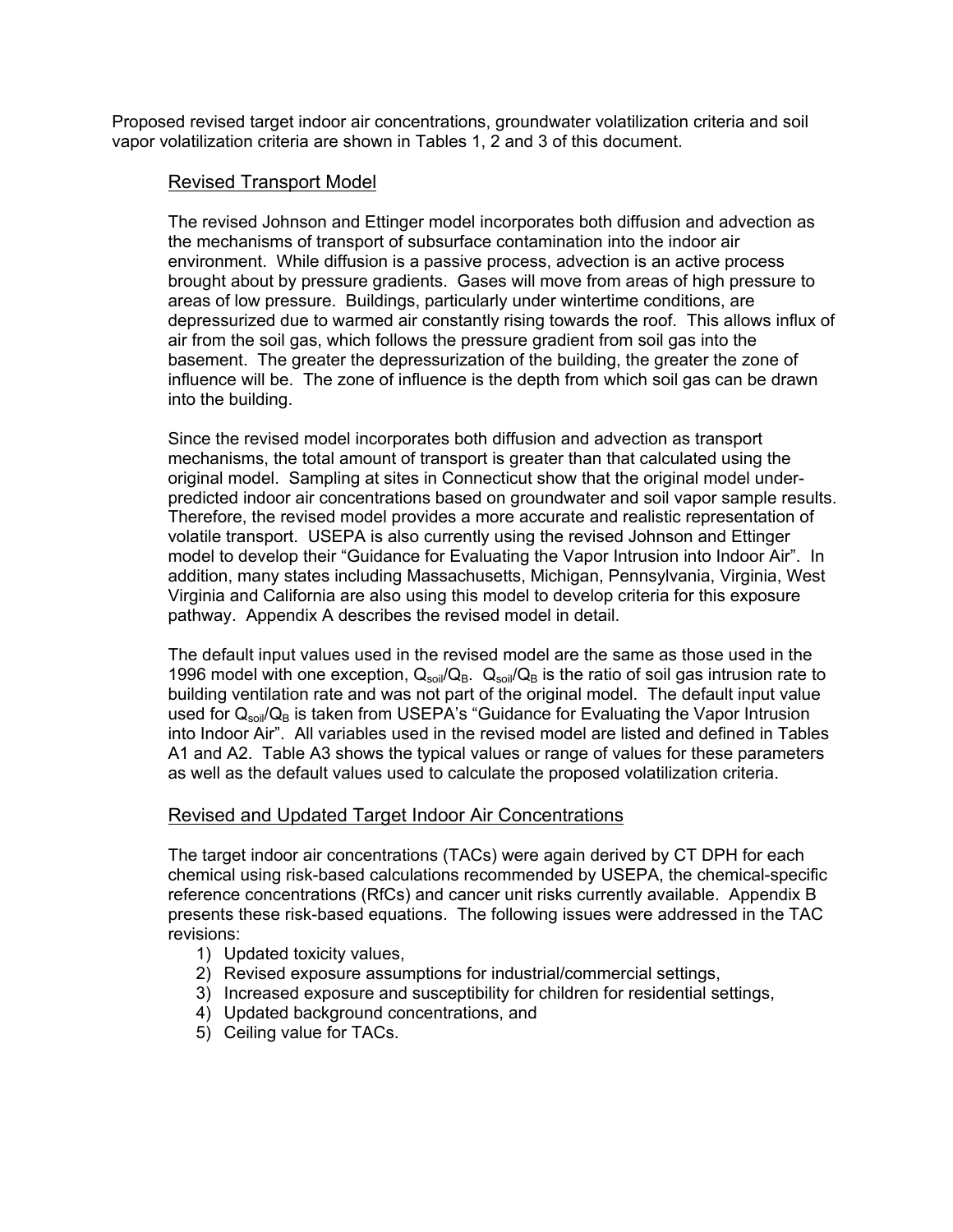Proposed revised target indoor air concentrations, groundwater volatilization criteria and soil vapor volatilization criteria are shown in Tables 1, 2 and 3 of this document.

#### Revised Transport Model

The revised Johnson and Ettinger model incorporates both diffusion and advection as the mechanisms of transport of subsurface contamination into the indoor air environment. While diffusion is a passive process, advection is an active process brought about by pressure gradients. Gases will move from areas of high pressure to areas of low pressure. Buildings, particularly under wintertime conditions, are depressurized due to warmed air constantly rising towards the roof. This allows influx of air from the soil gas, which follows the pressure gradient from soil gas into the basement. The greater the depressurization of the building, the greater the zone of influence will be. The zone of influence is the depth from which soil gas can be drawn into the building.

Since the revised model incorporates both diffusion and advection as transport mechanisms, the total amount of transport is greater than that calculated using the original model. Sampling at sites in Connecticut show that the original model underpredicted indoor air concentrations based on groundwater and soil vapor sample results. Therefore, the revised model provides a more accurate and realistic representation of volatile transport. USEPA is also currently using the revised Johnson and Ettinger model to develop their "Guidance for Evaluating the Vapor Intrusion into Indoor Air". In addition, many states including Massachusetts, Michigan, Pennsylvania, Virginia, West Virginia and California are also using this model to develop criteria for this exposure pathway. Appendix A describes the revised model in detail.

The default input values used in the revised model are the same as those used in the 1996 model with one exception,  $Q_{\rm soil}/Q_{\rm B}$ .  $Q_{\rm soil}/Q_{\rm B}$  is the ratio of soil gas intrusion rate to building ventilation rate and was not part of the original model. The default input value used for  $Q<sub>soil</sub>/Q<sub>B</sub>$  is taken from USEPA's "Guidance for Evaluating the Vapor Intrusion into Indoor Air". All variables used in the revised model are listed and defined in Tables A1 and A2. Table A3 shows the typical values or range of values for these parameters as well as the default values used to calculate the proposed volatilization criteria.

#### Revised and Updated Target Indoor Air Concentrations

The target indoor air concentrations (TACs) were again derived by CT DPH for each chemical using risk-based calculations recommended by USEPA, the chemical-specific reference concentrations (RfCs) and cancer unit risks currently available. Appendix B presents these risk-based equations. The following issues were addressed in the TAC revisions:

- 1) Updated toxicity values,
- 2) Revised exposure assumptions for industrial/commercial settings,
- 3) Increased exposure and susceptibility for children for residential settings,
- 4) Updated background concentrations, and
- 5) Ceiling value for TACs.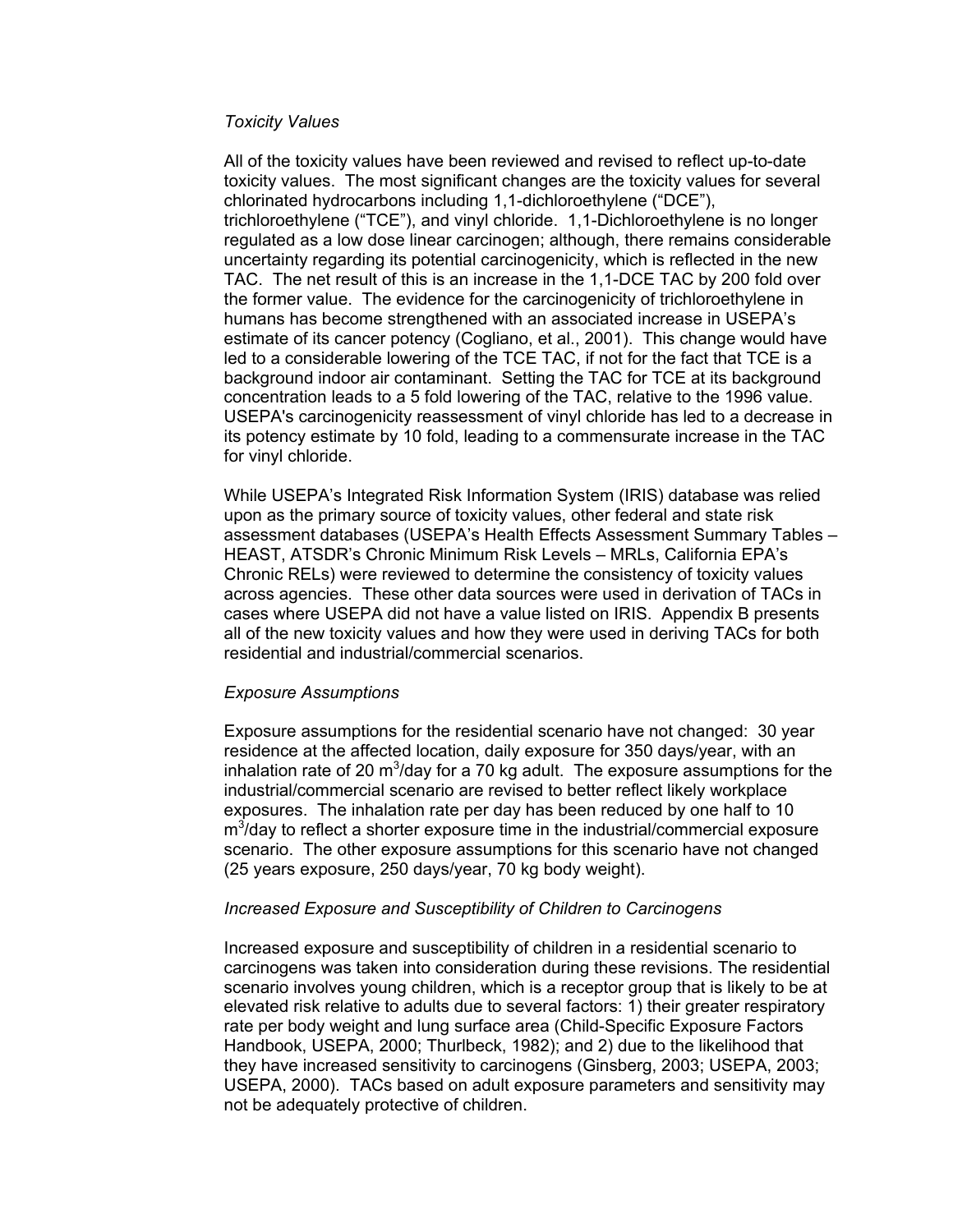#### *Toxicity Values*

All of the toxicity values have been reviewed and revised to reflect up-to-date toxicity values. The most significant changes are the toxicity values for several chlorinated hydrocarbons including 1,1-dichloroethylene ("DCE"), trichloroethylene ("TCE"), and vinyl chloride. 1,1-Dichloroethylene is no longer regulated as a low dose linear carcinogen; although, there remains considerable uncertainty regarding its potential carcinogenicity, which is reflected in the new TAC. The net result of this is an increase in the 1,1-DCE TAC by 200 fold over the former value. The evidence for the carcinogenicity of trichloroethylene in humans has become strengthened with an associated increase in USEPA's estimate of its cancer potency (Cogliano, et al., 2001). This change would have led to a considerable lowering of the TCE TAC, if not for the fact that TCE is a background indoor air contaminant. Setting the TAC for TCE at its background concentration leads to a 5 fold lowering of the TAC, relative to the 1996 value. USEPA's carcinogenicity reassessment of vinyl chloride has led to a decrease in its potency estimate by 10 fold, leading to a commensurate increase in the TAC for vinyl chloride.

While USEPA's Integrated Risk Information System (IRIS) database was relied upon as the primary source of toxicity values, other federal and state risk assessment databases (USEPA's Health Effects Assessment Summary Tables – HEAST, ATSDR's Chronic Minimum Risk Levels – MRLs, California EPA's Chronic RELs) were reviewed to determine the consistency of toxicity values across agencies. These other data sources were used in derivation of TACs in cases where USEPA did not have a value listed on IRIS. Appendix B presents all of the new toxicity values and how they were used in deriving TACs for both residential and industrial/commercial scenarios.

#### *Exposure Assumptions*

Exposure assumptions for the residential scenario have not changed: 30 year residence at the affected location, daily exposure for 350 days/year, with an inhalation rate of 20 m<sup>3</sup>/day for a 70 kg adult. The exposure assumptions for the industrial/commercial scenario are revised to better reflect likely workplace exposures. The inhalation rate per day has been reduced by one half to 10  $m^3$ /day to reflect a shorter exposure time in the industrial/commercial exposure scenario. The other exposure assumptions for this scenario have not changed (25 years exposure, 250 days/year, 70 kg body weight).

#### *Increased Exposure and Susceptibility of Children to Carcinogens*

Increased exposure and susceptibility of children in a residential scenario to carcinogens was taken into consideration during these revisions. The residential scenario involves young children, which is a receptor group that is likely to be at elevated risk relative to adults due to several factors: 1) their greater respiratory rate per body weight and lung surface area (Child-Specific Exposure Factors Handbook, USEPA, 2000; Thurlbeck, 1982); and 2) due to the likelihood that they have increased sensitivity to carcinogens (Ginsberg, 2003; USEPA, 2003; USEPA, 2000). TACs based on adult exposure parameters and sensitivity may not be adequately protective of children.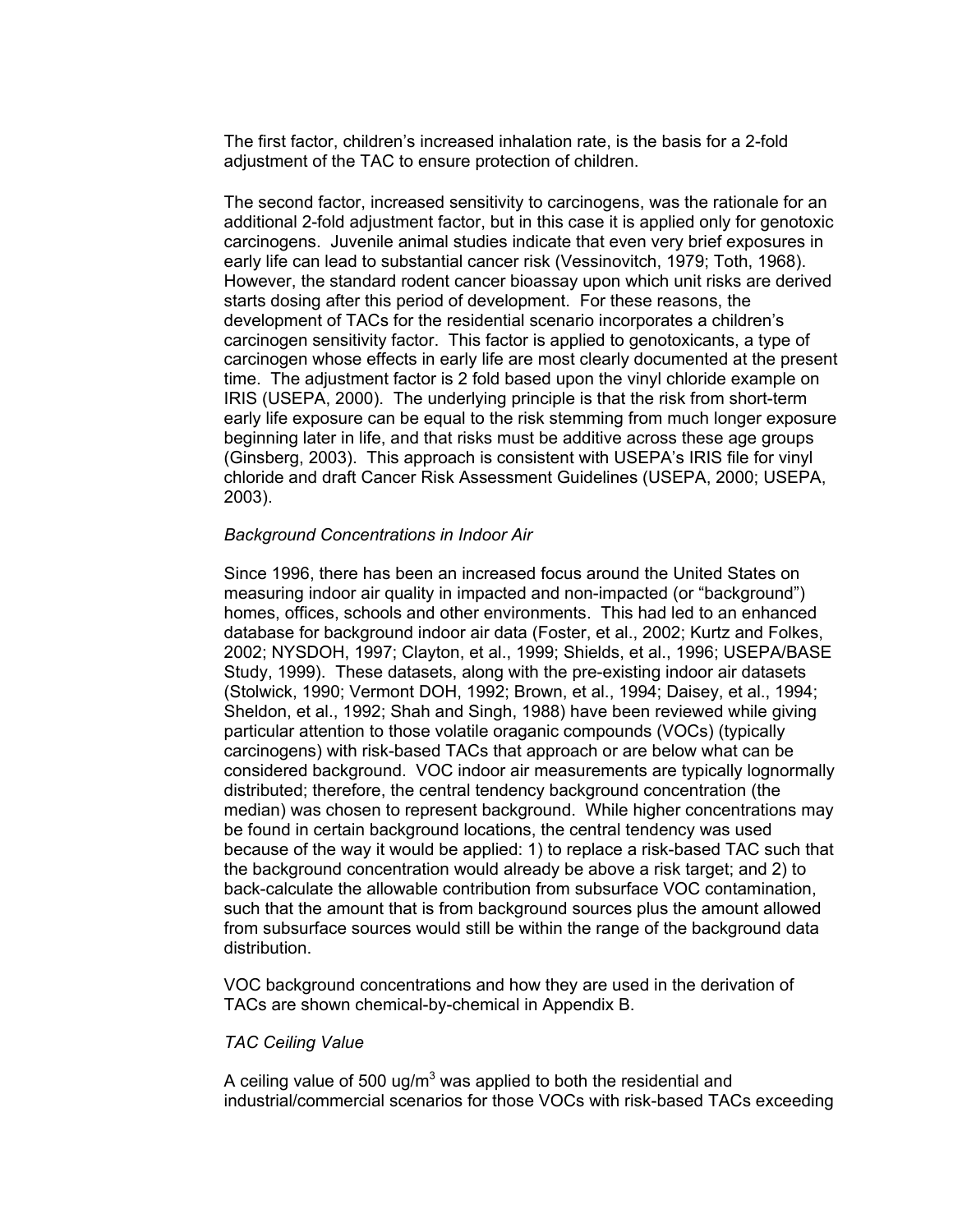The first factor, children's increased inhalation rate, is the basis for a 2-fold adjustment of the TAC to ensure protection of children.

The second factor, increased sensitivity to carcinogens, was the rationale for an additional 2-fold adjustment factor, but in this case it is applied only for genotoxic carcinogens. Juvenile animal studies indicate that even very brief exposures in early life can lead to substantial cancer risk (Vessinovitch, 1979; Toth, 1968). However, the standard rodent cancer bioassay upon which unit risks are derived starts dosing after this period of development. For these reasons, the development of TACs for the residential scenario incorporates a children's carcinogen sensitivity factor. This factor is applied to genotoxicants, a type of carcinogen whose effects in early life are most clearly documented at the present time. The adjustment factor is 2 fold based upon the vinyl chloride example on IRIS (USEPA, 2000). The underlying principle is that the risk from short-term early life exposure can be equal to the risk stemming from much longer exposure beginning later in life, and that risks must be additive across these age groups (Ginsberg, 2003). This approach is consistent with USEPA's IRIS file for vinyl chloride and draft Cancer Risk Assessment Guidelines (USEPA, 2000; USEPA, 2003).

#### *Background Concentrations in Indoor Air*

Since 1996, there has been an increased focus around the United States on measuring indoor air quality in impacted and non-impacted (or "background") homes, offices, schools and other environments. This had led to an enhanced database for background indoor air data (Foster, et al., 2002; Kurtz and Folkes, 2002; NYSDOH, 1997; Clayton, et al., 1999; Shields, et al., 1996; USEPA/BASE Study, 1999). These datasets, along with the pre-existing indoor air datasets (Stolwick, 1990; Vermont DOH, 1992; Brown, et al., 1994; Daisey, et al., 1994; Sheldon, et al., 1992; Shah and Singh, 1988) have been reviewed while giving particular attention to those volatile oraganic compounds (VOCs) (typically carcinogens) with risk-based TACs that approach or are below what can be considered background. VOC indoor air measurements are typically lognormally distributed; therefore, the central tendency background concentration (the median) was chosen to represent background. While higher concentrations may be found in certain background locations, the central tendency was used because of the way it would be applied: 1) to replace a risk-based TAC such that the background concentration would already be above a risk target; and 2) to back-calculate the allowable contribution from subsurface VOC contamination, such that the amount that is from background sources plus the amount allowed from subsurface sources would still be within the range of the background data distribution.

VOC background concentrations and how they are used in the derivation of TACs are shown chemical-by-chemical in Appendix B.

#### *TAC Ceiling Value*

A ceiling value of 500 ug/m<sup>3</sup> was applied to both the residential and industrial/commercial scenarios for those VOCs with risk-based TACs exceeding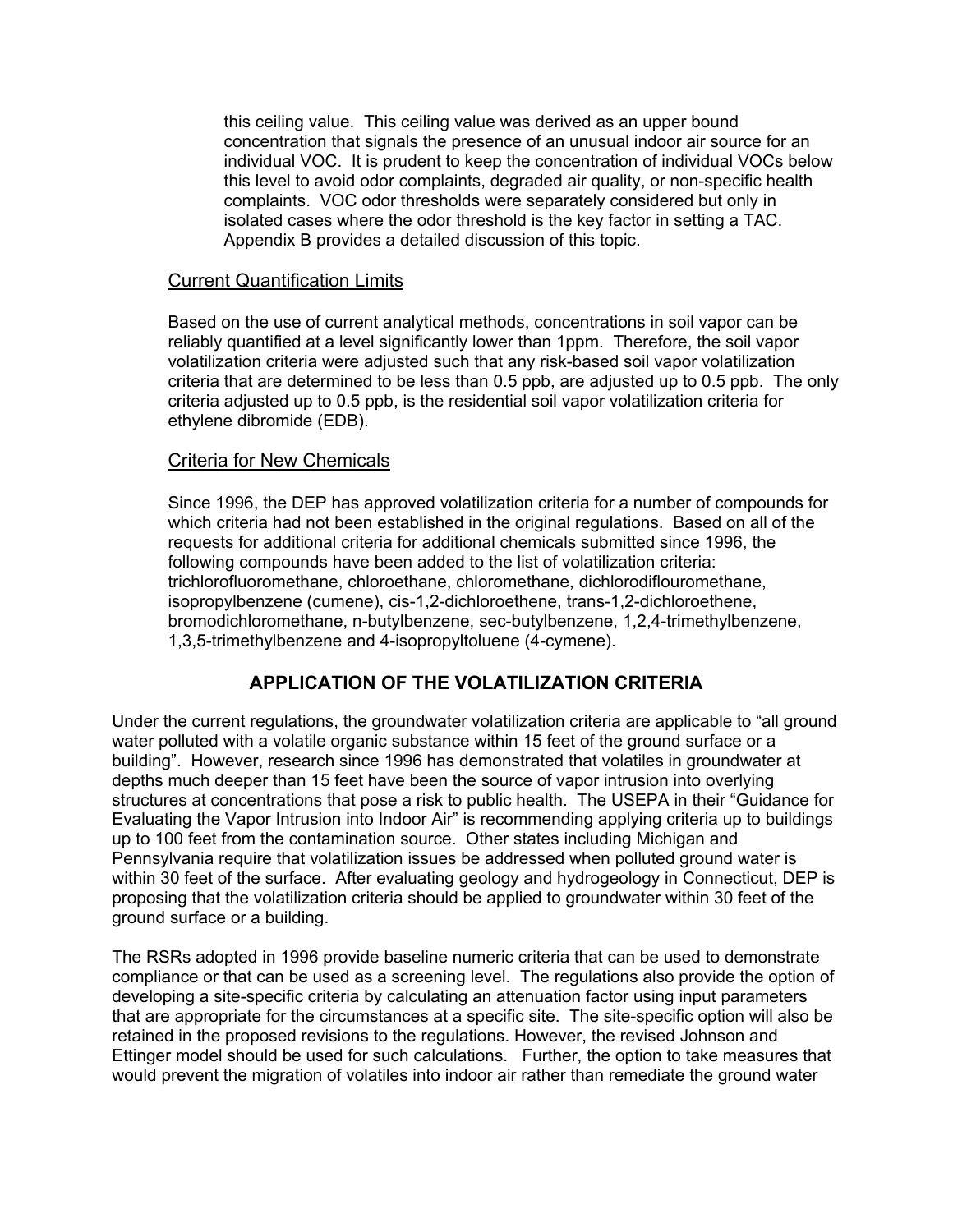this ceiling value. This ceiling value was derived as an upper bound concentration that signals the presence of an unusual indoor air source for an individual VOC. It is prudent to keep the concentration of individual VOCs below this level to avoid odor complaints, degraded air quality, or non-specific health complaints. VOC odor thresholds were separately considered but only in isolated cases where the odor threshold is the key factor in setting a TAC. Appendix B provides a detailed discussion of this topic.

#### Current Quantification Limits

Based on the use of current analytical methods, concentrations in soil vapor can be reliably quantified at a level significantly lower than 1ppm. Therefore, the soil vapor volatilization criteria were adjusted such that any risk-based soil vapor volatilization criteria that are determined to be less than 0.5 ppb, are adjusted up to 0.5 ppb. The only criteria adjusted up to 0.5 ppb, is the residential soil vapor volatilization criteria for ethylene dibromide (EDB).

#### Criteria for New Chemicals

Since 1996, the DEP has approved volatilization criteria for a number of compounds for which criteria had not been established in the original regulations. Based on all of the requests for additional criteria for additional chemicals submitted since 1996, the following compounds have been added to the list of volatilization criteria: trichlorofluoromethane, chloroethane, chloromethane, dichlorodiflouromethane, isopropylbenzene (cumene), cis-1,2-dichloroethene, trans-1,2-dichloroethene, bromodichloromethane, n-butylbenzene, sec-butylbenzene, 1,2,4-trimethylbenzene, 1,3,5-trimethylbenzene and 4-isopropyltoluene (4-cymene).

#### **APPLICATION OF THE VOLATILIZATION CRITERIA**

Under the current regulations, the groundwater volatilization criteria are applicable to "all ground water polluted with a volatile organic substance within 15 feet of the ground surface or a building". However, research since 1996 has demonstrated that volatiles in groundwater at depths much deeper than 15 feet have been the source of vapor intrusion into overlying structures at concentrations that pose a risk to public health. The USEPA in their "Guidance for Evaluating the Vapor Intrusion into Indoor Air" is recommending applying criteria up to buildings up to 100 feet from the contamination source. Other states including Michigan and Pennsylvania require that volatilization issues be addressed when polluted ground water is within 30 feet of the surface. After evaluating geology and hydrogeology in Connecticut, DEP is proposing that the volatilization criteria should be applied to groundwater within 30 feet of the ground surface or a building.

The RSRs adopted in 1996 provide baseline numeric criteria that can be used to demonstrate compliance or that can be used as a screening level. The regulations also provide the option of developing a site-specific criteria by calculating an attenuation factor using input parameters that are appropriate for the circumstances at a specific site. The site-specific option will also be retained in the proposed revisions to the regulations. However, the revised Johnson and Ettinger model should be used for such calculations. Further, the option to take measures that would prevent the migration of volatiles into indoor air rather than remediate the ground water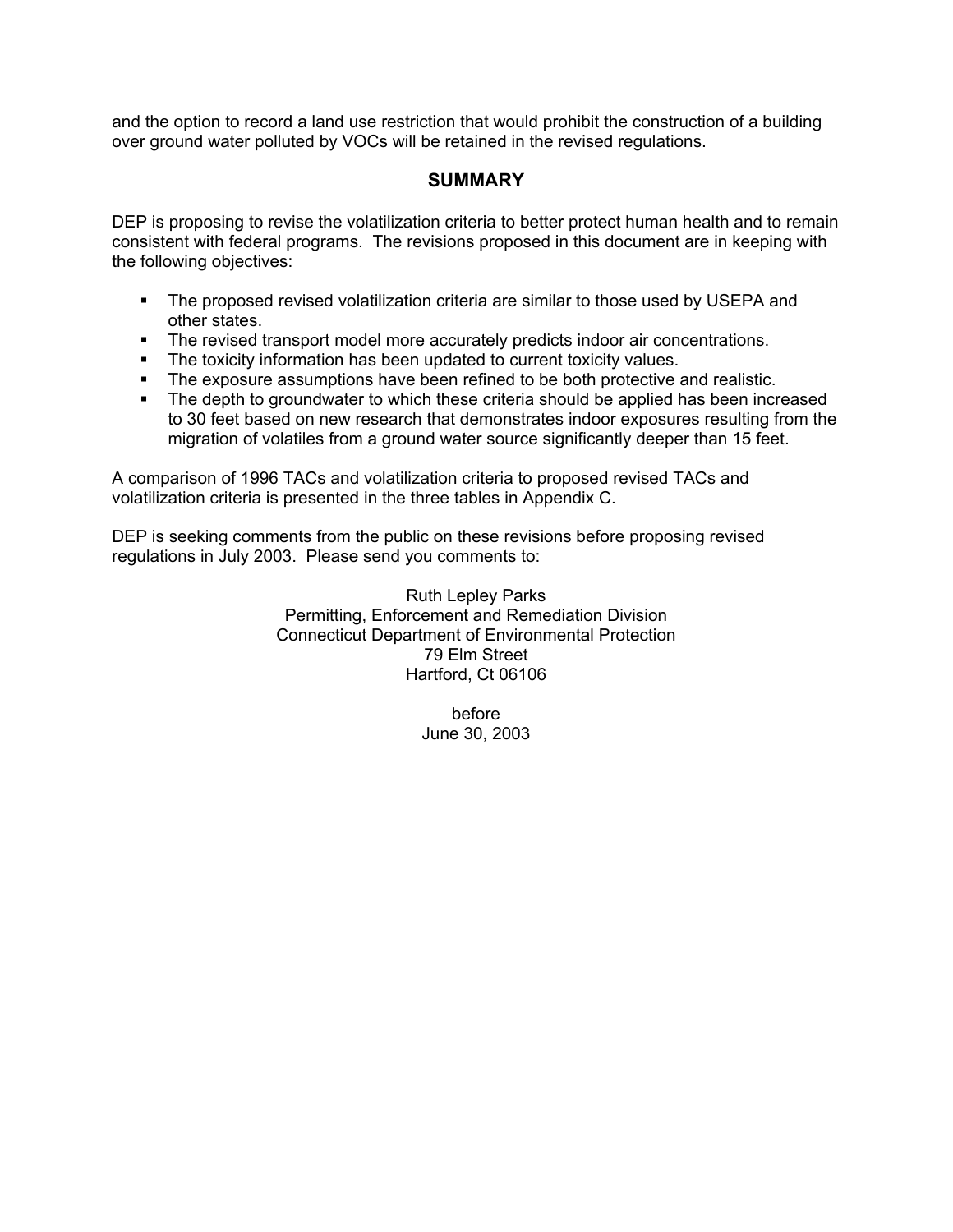and the option to record a land use restriction that would prohibit the construction of a building over ground water polluted by VOCs will be retained in the revised regulations.

#### **SUMMARY**

DEP is proposing to revise the volatilization criteria to better protect human health and to remain consistent with federal programs. The revisions proposed in this document are in keeping with the following objectives:

- The proposed revised volatilization criteria are similar to those used by USEPA and other states.
- **The revised transport model more accurately predicts indoor air concentrations.**
- **The toxicity information has been updated to current toxicity values.**
- The exposure assumptions have been refined to be both protective and realistic.
- The depth to groundwater to which these criteria should be applied has been increased to 30 feet based on new research that demonstrates indoor exposures resulting from the migration of volatiles from a ground water source significantly deeper than 15 feet.

A comparison of 1996 TACs and volatilization criteria to proposed revised TACs and volatilization criteria is presented in the three tables in Appendix C.

DEP is seeking comments from the public on these revisions before proposing revised regulations in July 2003. Please send you comments to:

> Ruth Lepley Parks Permitting, Enforcement and Remediation Division Connecticut Department of Environmental Protection 79 Elm Street Hartford, Ct 06106

> > before June 30, 2003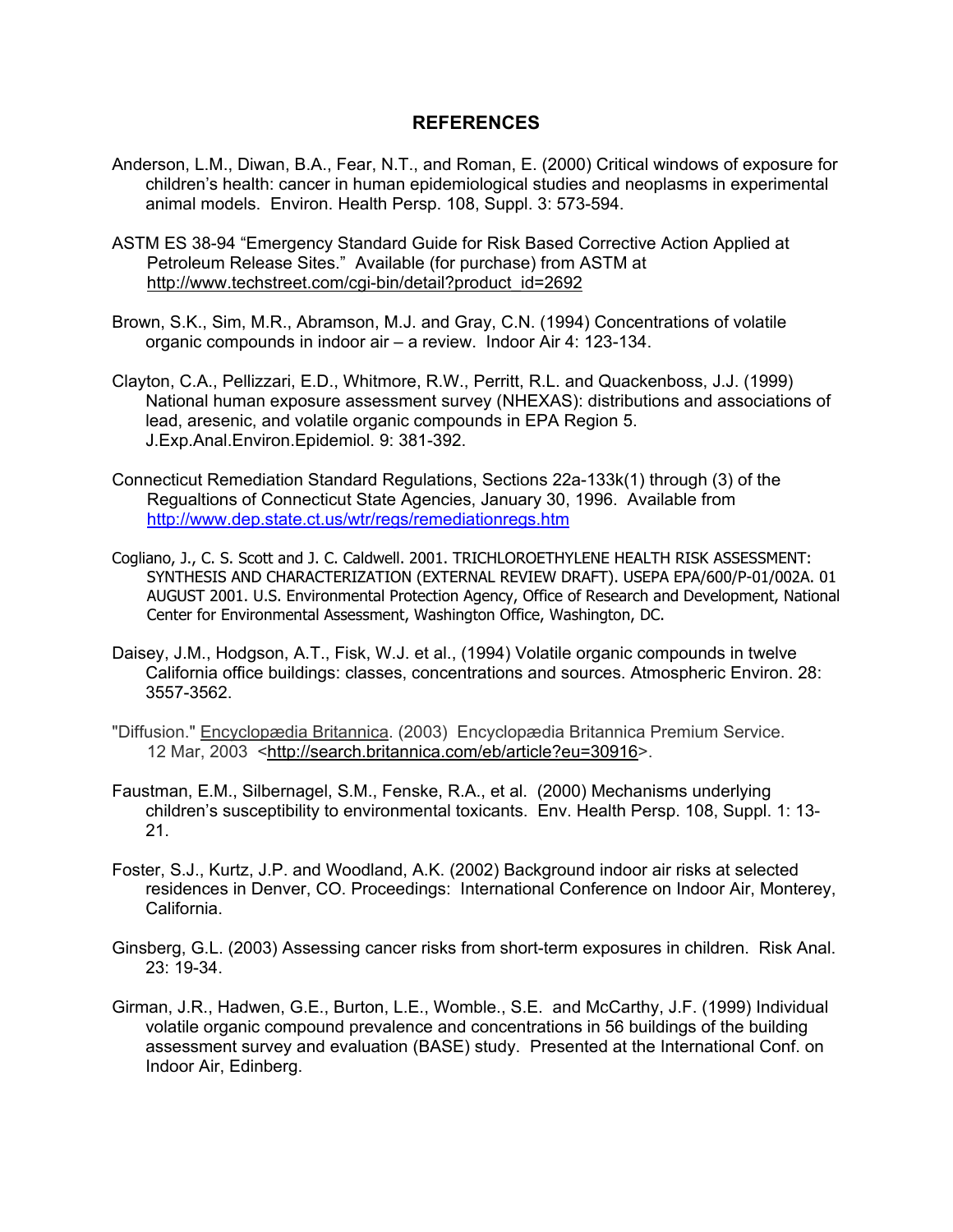#### **REFERENCES**

- Anderson, L.M., Diwan, B.A., Fear, N.T., and Roman, E. (2000) Critical windows of exposure for children's health: cancer in human epidemiological studies and neoplasms in experimental animal models. Environ. Health Persp. 108, Suppl. 3: 573-594.
- ASTM ES 38-94 "Emergency Standard Guide for Risk Based Corrective Action Applied at Petroleum Release Sites." Available (for purchase) from ASTM at http://www.techstreet.com/cgi-bin/detail?product\_id=2692
- Brown, S.K., Sim, M.R., Abramson, M.J. and Gray, C.N. (1994) Concentrations of volatile organic compounds in indoor air – a review. Indoor Air 4: 123-134.
- Clayton, C.A., Pellizzari, E.D., Whitmore, R.W., Perritt, R.L. and Quackenboss, J.J. (1999) National human exposure assessment survey (NHEXAS): distributions and associations of lead, aresenic, and volatile organic compounds in EPA Region 5. J.Exp.Anal.Environ.Epidemiol. 9: 381-392.
- Connecticut Remediation Standard Regulations, Sections 22a-133k(1) through (3) of the Regualtions of Connecticut State Agencies, January 30, 1996. Available from http://www.dep.state.ct.us/wtr/regs/remediationregs.htm
- Cogliano, J., C. S. Scott and J. C. Caldwell. 2001. TRICHLOROETHYLENE HEALTH RISK ASSESSMENT: SYNTHESIS AND CHARACTERIZATION (EXTERNAL REVIEW DRAFT). USEPA EPA/600/P-01/002A. 01 AUGUST 2001. U.S. Environmental Protection Agency, Office of Research and Development, National Center for Environmental Assessment, Washington Office, Washington, DC.
- Daisey, J.M., Hodgson, A.T., Fisk, W.J. et al., (1994) Volatile organic compounds in twelve California office buildings: classes, concentrations and sources. Atmospheric Environ. 28: 3557-3562.
- "Diffusion." Encyclopædia Britannica. (2003) Encyclopædia Britannica Premium Service. 12 Mar, 2003 <http://search.britannica.com/eb/article?eu=30916>.
- Faustman, E.M., Silbernagel, S.M., Fenske, R.A., et al. (2000) Mechanisms underlying children's susceptibility to environmental toxicants. Env. Health Persp. 108, Suppl. 1: 13- 21.
- Foster, S.J., Kurtz, J.P. and Woodland, A.K. (2002) Background indoor air risks at selected residences in Denver, CO. Proceedings: International Conference on Indoor Air, Monterey, California.
- Ginsberg, G.L. (2003) Assessing cancer risks from short-term exposures in children. Risk Anal. 23: 19-34.
- Girman, J.R., Hadwen, G.E., Burton, L.E., Womble., S.E. and McCarthy, J.F. (1999) Individual volatile organic compound prevalence and concentrations in 56 buildings of the building assessment survey and evaluation (BASE) study. Presented at the International Conf. on Indoor Air, Edinberg.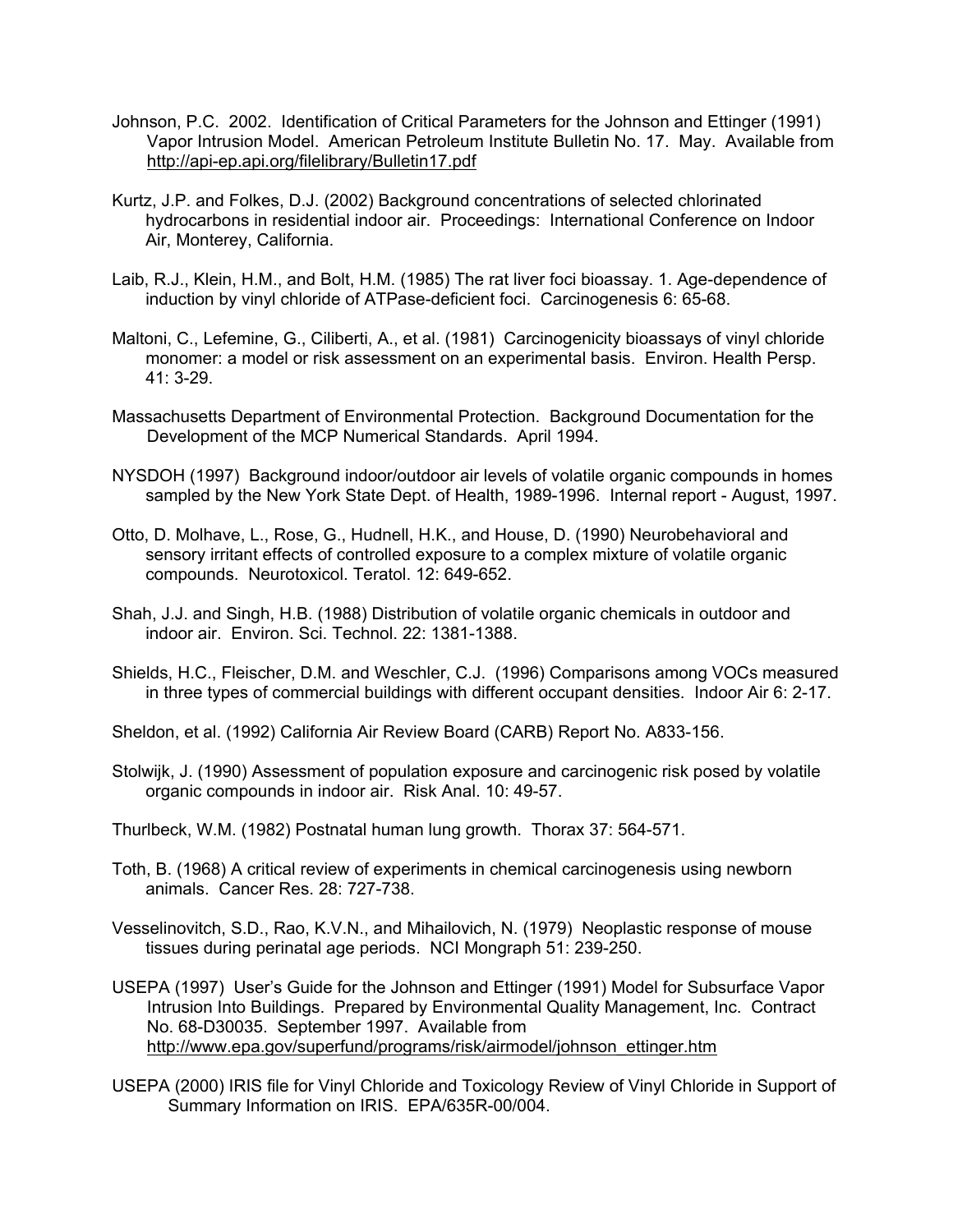- Johnson, P.C. 2002. Identification of Critical Parameters for the Johnson and Ettinger (1991) Vapor Intrusion Model. American Petroleum Institute Bulletin No. 17. May. Available from http://api-ep.api.org/filelibrary/Bulletin17.pdf
- Kurtz, J.P. and Folkes, D.J. (2002) Background concentrations of selected chlorinated hydrocarbons in residential indoor air. Proceedings: International Conference on Indoor Air, Monterey, California.
- Laib, R.J., Klein, H.M., and Bolt, H.M. (1985) The rat liver foci bioassay. 1. Age-dependence of induction by vinyl chloride of ATPase-deficient foci. Carcinogenesis 6: 65-68.
- Maltoni, C., Lefemine, G., Ciliberti, A., et al. (1981) Carcinogenicity bioassays of vinyl chloride monomer: a model or risk assessment on an experimental basis. Environ. Health Persp. 41: 3-29.
- Massachusetts Department of Environmental Protection. Background Documentation for the Development of the MCP Numerical Standards. April 1994.
- NYSDOH (1997) Background indoor/outdoor air levels of volatile organic compounds in homes sampled by the New York State Dept. of Health, 1989-1996. Internal report - August, 1997.
- Otto, D. Molhave, L., Rose, G., Hudnell, H.K., and House, D. (1990) Neurobehavioral and sensory irritant effects of controlled exposure to a complex mixture of volatile organic compounds. Neurotoxicol. Teratol. 12: 649-652.
- Shah, J.J. and Singh, H.B. (1988) Distribution of volatile organic chemicals in outdoor and indoor air. Environ. Sci. Technol. 22: 1381-1388.
- Shields, H.C., Fleischer, D.M. and Weschler, C.J. (1996) Comparisons among VOCs measured in three types of commercial buildings with different occupant densities. Indoor Air 6: 2-17.
- Sheldon, et al. (1992) California Air Review Board (CARB) Report No. A833-156.
- Stolwijk, J. (1990) Assessment of population exposure and carcinogenic risk posed by volatile organic compounds in indoor air. Risk Anal. 10: 49-57.
- Thurlbeck, W.M. (1982) Postnatal human lung growth. Thorax 37: 564-571.
- Toth, B. (1968) A critical review of experiments in chemical carcinogenesis using newborn animals. Cancer Res. 28: 727-738.
- Vesselinovitch, S.D., Rao, K.V.N., and Mihailovich, N. (1979) Neoplastic response of mouse tissues during perinatal age periods. NCI Mongraph 51: 239-250.
- USEPA (1997) User's Guide for the Johnson and Ettinger (1991) Model for Subsurface Vapor Intrusion Into Buildings. Prepared by Environmental Quality Management, Inc. Contract No. 68-D30035. September 1997. Available from http://www.epa.gov/superfund/programs/risk/airmodel/johnson\_ettinger.htm
- USEPA (2000) IRIS file for Vinyl Chloride and Toxicology Review of Vinyl Chloride in Support of Summary Information on IRIS. EPA/635R-00/004.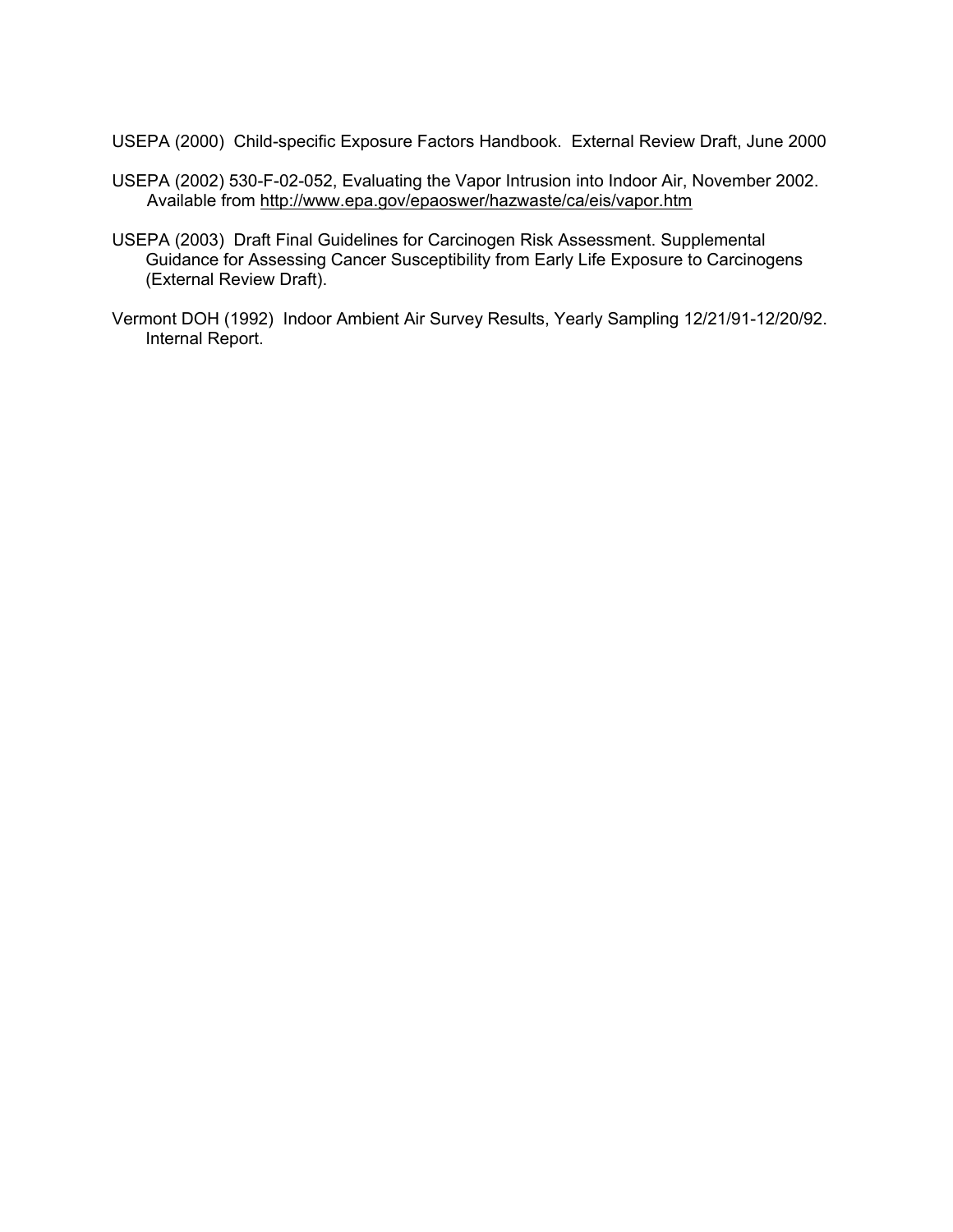USEPA (2000) Child-specific Exposure Factors Handbook. External Review Draft, June 2000

- USEPA (2002) 530-F-02-052, Evaluating the Vapor Intrusion into Indoor Air, November 2002. Available from http://www.epa.gov/epaoswer/hazwaste/ca/eis/vapor.htm
- USEPA (2003) Draft Final Guidelines for Carcinogen Risk Assessment. Supplemental Guidance for Assessing Cancer Susceptibility from Early Life Exposure to Carcinogens (External Review Draft).
- Vermont DOH (1992) Indoor Ambient Air Survey Results, Yearly Sampling 12/21/91-12/20/92. Internal Report.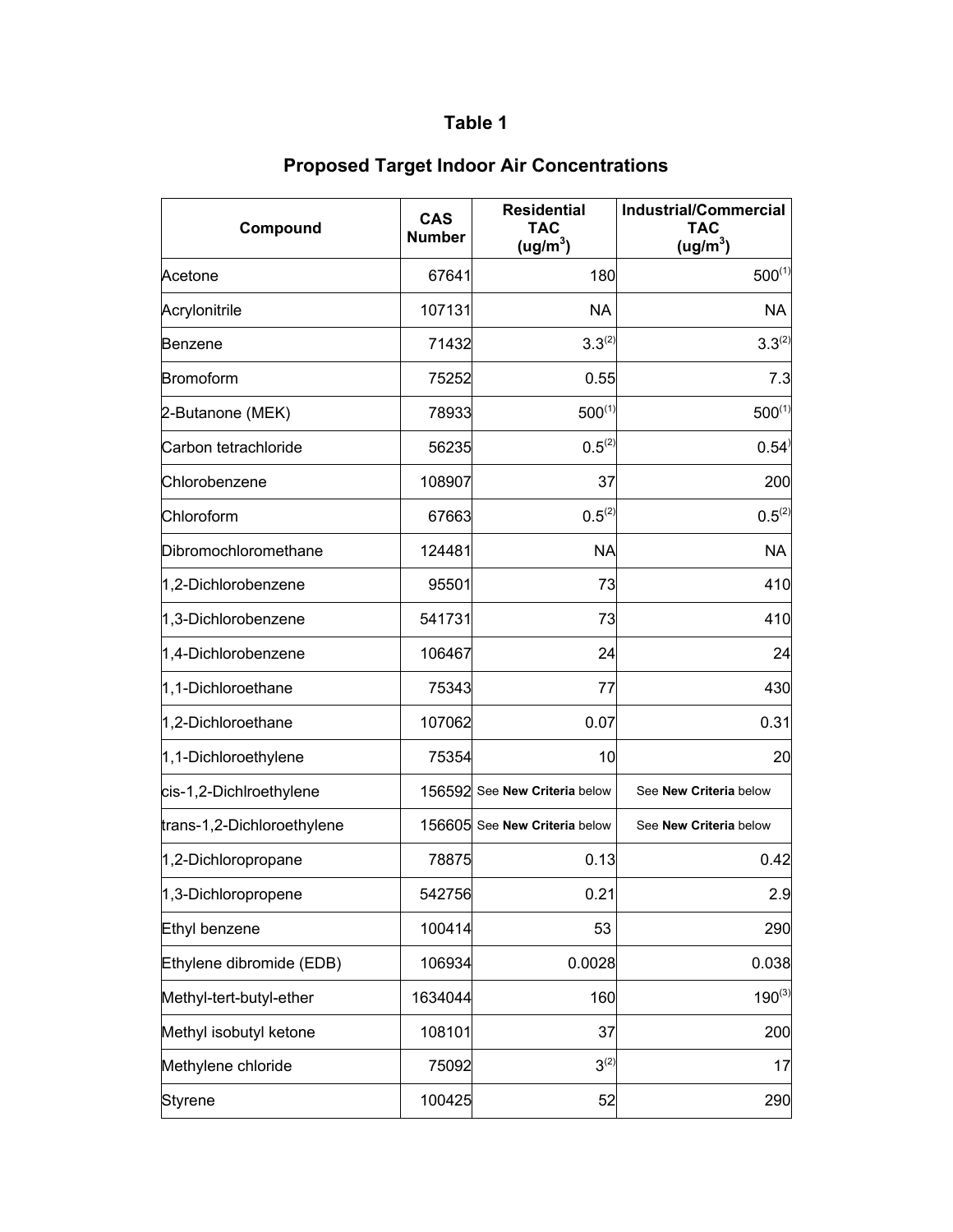| Compound                   | <b>CAS</b><br><b>Number</b> | <b>Residential</b><br><b>TAC</b><br>(ug/m <sup>3</sup> ) | <b>Industrial/Commercial</b><br><b>TAC</b><br>(ug/m <sup>3</sup> ) |
|----------------------------|-----------------------------|----------------------------------------------------------|--------------------------------------------------------------------|
| Acetone                    | 67641                       | 180                                                      | $500^{(1)}$                                                        |
| Acrylonitrile              | 107131                      | NA                                                       | <b>NA</b>                                                          |
| <b>Benzene</b>             | 71432                       | $3.3^{(2)}$                                              | $3.3^{(2)}$                                                        |
| <b>Bromoform</b>           | 75252                       | 0.55                                                     | 7.3                                                                |
| 2-Butanone (MEK)           | 78933                       | $500^{(1)}$                                              | $500^{(1)}$                                                        |
| Carbon tetrachloride       | 56235                       | $0.5^{(2)}$                                              | 0.54                                                               |
| Chlorobenzene              | 108907                      | 37                                                       | 200                                                                |
| Chloroform                 | 67663                       | $0.5^{(2)}$                                              | $0.5^{(2)}$                                                        |
| Dibromochloromethane       | 124481                      | <b>NA</b>                                                | <b>NA</b>                                                          |
| 1,2-Dichlorobenzene        | 95501                       | 73                                                       | 410                                                                |
| 1,3-Dichlorobenzene        | 541731                      | 73                                                       | 410                                                                |
| 1,4-Dichlorobenzene        | 106467                      | 24                                                       | 24                                                                 |
| 1,1-Dichloroethane         | 75343                       | 77                                                       | 430                                                                |
| 1,2-Dichloroethane         | 107062                      | 0.07                                                     | 0.31                                                               |
| 1,1-Dichloroethylene       | 75354                       | 10                                                       | 20                                                                 |
| cis-1,2-Dichlroethylene    |                             | 156592 See New Criteria below                            | See New Criteria below                                             |
| trans-1,2-Dichloroethylene |                             | 156605 See New Criteria below                            | See New Criteria below                                             |
| 1,2-Dichloropropane        | 78875                       | 0.13                                                     | 0.42                                                               |
| 1,3-Dichloropropene        | 542756                      | 0.21                                                     | 2.9                                                                |
| Ethyl benzene              | 100414                      | 53                                                       | 290                                                                |
| Ethylene dibromide (EDB)   | 106934                      | 0.0028                                                   | 0.038                                                              |
| Methyl-tert-butyl-ether    | 1634044                     | 160                                                      | $190^{(3)}$                                                        |
| Methyl isobutyl ketone     | 108101                      | 37                                                       | 200                                                                |
| Methylene chloride         | 75092                       | $3^{(2)}$                                                | 17                                                                 |
| <b>Styrene</b>             | 100425                      | 52                                                       | 290                                                                |

## **Proposed Target Indoor Air Concentrations**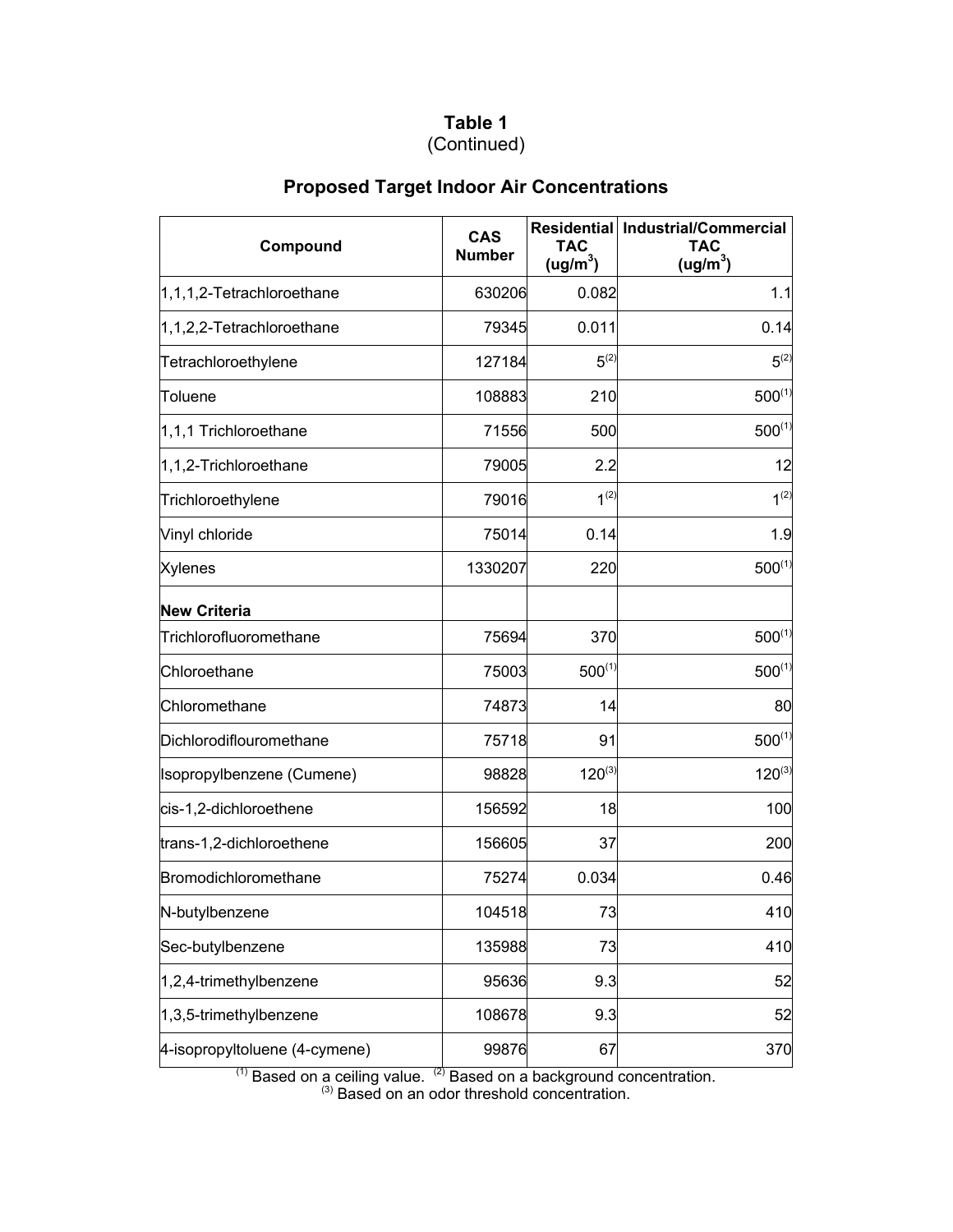#### **Table 1** (Continued)

| Compound                      | <b>CAS</b><br><b>Number</b> | <b>TAC</b><br>(ug/m <sup>3</sup> ) | Residential   Industrial/Commercial<br><b>TAC</b><br>(ug/m <sup>3</sup> ) |
|-------------------------------|-----------------------------|------------------------------------|---------------------------------------------------------------------------|
| 1,1,1,2-Tetrachloroethane     | 630206                      | 0.082                              | 1.1                                                                       |
| 1,1,2,2-Tetrachloroethane     | 79345                       | 0.011                              | 0.14                                                                      |
| Tetrachloroethylene           | 127184                      | $5^{(2)}$                          | $5^{(2)}$                                                                 |
| Toluene                       | 108883                      | 210                                | $500^{(1)}$                                                               |
| 1,1,1 Trichloroethane         | 71556                       | 500                                | $500^{(1)}$                                                               |
| 1,1,2-Trichloroethane         | 79005                       | 2.2                                | 12                                                                        |
| Trichloroethylene             | 79016                       | $1^{(2)}$                          | $1^{(2)}$                                                                 |
| Vinyl chloride                | 75014                       | 0.14                               | 1.9                                                                       |
| <b>Xylenes</b>                | 1330207                     | 220                                | $500^{(1)}$                                                               |
| <b>New Criteria</b>           |                             |                                    |                                                                           |
| Trichlorofluoromethane        | 75694                       | 370                                | $500^{(1)}$                                                               |
| Chloroethane                  | 75003                       | $500^{(1)}$                        | $500^{(1)}$                                                               |
| Chloromethane                 | 74873                       | 14                                 | 80                                                                        |
| Dichlorodiflouromethane       | 75718                       | 91                                 | $500^{(1)}$                                                               |
| Isopropylbenzene (Cumene)     | 98828                       | $120^{(3)}$                        | $120^{(3)}$                                                               |
| cis-1,2-dichloroethene        | 156592                      | 18                                 | 100                                                                       |
| trans-1,2-dichloroethene      | 156605                      | 37                                 | 200                                                                       |
| Bromodichloromethane          | 75274                       | 0.034                              | 0.46                                                                      |
| N-butylbenzene                | 104518                      | 73                                 | 410                                                                       |
| Sec-butylbenzene              | 135988                      | 73                                 | 410                                                                       |
| 1,2,4-trimethylbenzene        | 95636                       | 9.3                                | 52                                                                        |
| 1,3,5-trimethylbenzene        | 108678                      | 9.3                                | 52                                                                        |
| 4-isopropyltoluene (4-cymene) | 99876                       | 67                                 | 370                                                                       |

## **Proposed Target Indoor Air Concentrations**

 $(1)$  Based on a ceiling value.  $(2)$  Based on a background concentration.  $<sup>(3)</sup>$  Based on an odor threshold concentration.</sup>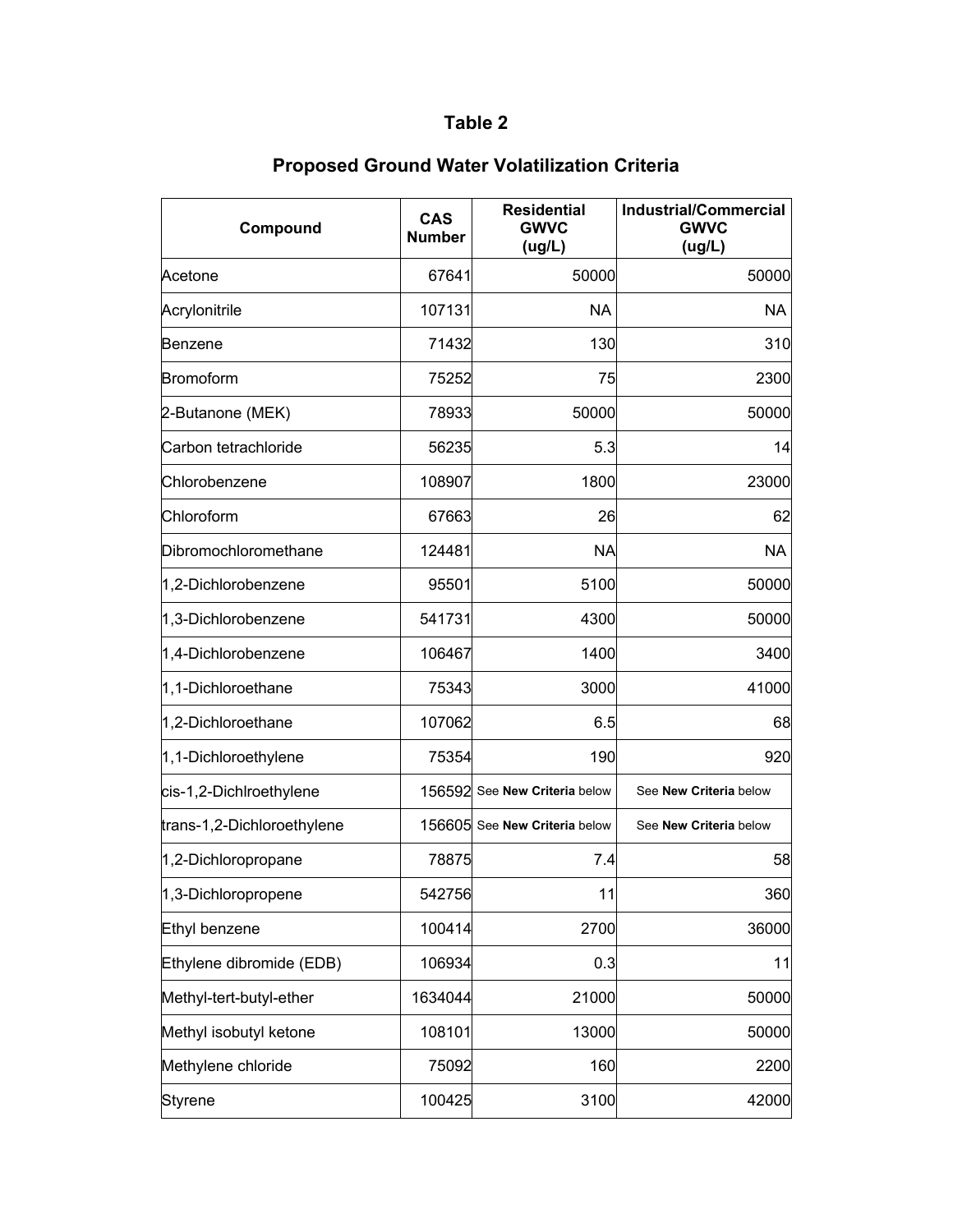| Compound                   | <b>CAS</b><br><b>Number</b> | <b>Residential</b><br><b>GWVC</b><br>(ug/L) | <b>Industrial/Commercial</b><br><b>GWVC</b><br>(ug/L) |
|----------------------------|-----------------------------|---------------------------------------------|-------------------------------------------------------|
| Acetone                    | 67641                       | 50000                                       | 50000                                                 |
| Acrylonitrile              | 107131                      | <b>NA</b>                                   | <b>NA</b>                                             |
| Benzene                    | 71432                       | 130                                         | 310                                                   |
| Bromoform                  | 75252                       | 75                                          | 2300                                                  |
| 2-Butanone (MEK)           | 78933                       | 50000                                       | 50000                                                 |
| Carbon tetrachloride       | 56235                       | 5.3                                         | 14                                                    |
| Chlorobenzene              | 108907                      | 1800                                        | 23000                                                 |
| Chloroform                 | 67663                       | 26                                          | 62                                                    |
| Dibromochloromethane       | 124481                      | <b>NA</b>                                   | <b>NA</b>                                             |
| 1,2-Dichlorobenzene        | 95501                       | 5100                                        | 50000                                                 |
| 1,3-Dichlorobenzene        | 541731                      | 4300                                        | 50000                                                 |
| 1,4-Dichlorobenzene        | 106467                      | 1400                                        | 3400                                                  |
| 1,1-Dichloroethane         | 75343                       | 3000                                        | 41000                                                 |
| 1,2-Dichloroethane         | 107062                      | 6.5                                         | 68                                                    |
| 1,1-Dichloroethylene       | 75354                       | 190                                         | 920                                                   |
| cis-1,2-Dichlroethylene    |                             | 156592 See New Criteria below               | See New Criteria below                                |
| trans-1,2-Dichloroethylene |                             | 156605 See New Criteria below               | See New Criteria below                                |
| 1,2-Dichloropropane        | 78875                       | 7.4                                         | 58                                                    |
| 1,3-Dichloropropene        | 542756                      | 11                                          | 360                                                   |
| Ethyl benzene              | 100414                      | 2700                                        | 36000                                                 |
| Ethylene dibromide (EDB)   | 106934                      | 0.3                                         | 11                                                    |
| Methyl-tert-butyl-ether    | 1634044                     | 21000                                       | 50000                                                 |
| Methyl isobutyl ketone     | 108101                      | 13000                                       | 50000                                                 |
| Methylene chloride         | 75092                       | 160                                         | 2200                                                  |
| <b>Styrene</b>             | 100425                      | 3100                                        | 42000                                                 |

# **Proposed Ground Water Volatilization Criteria**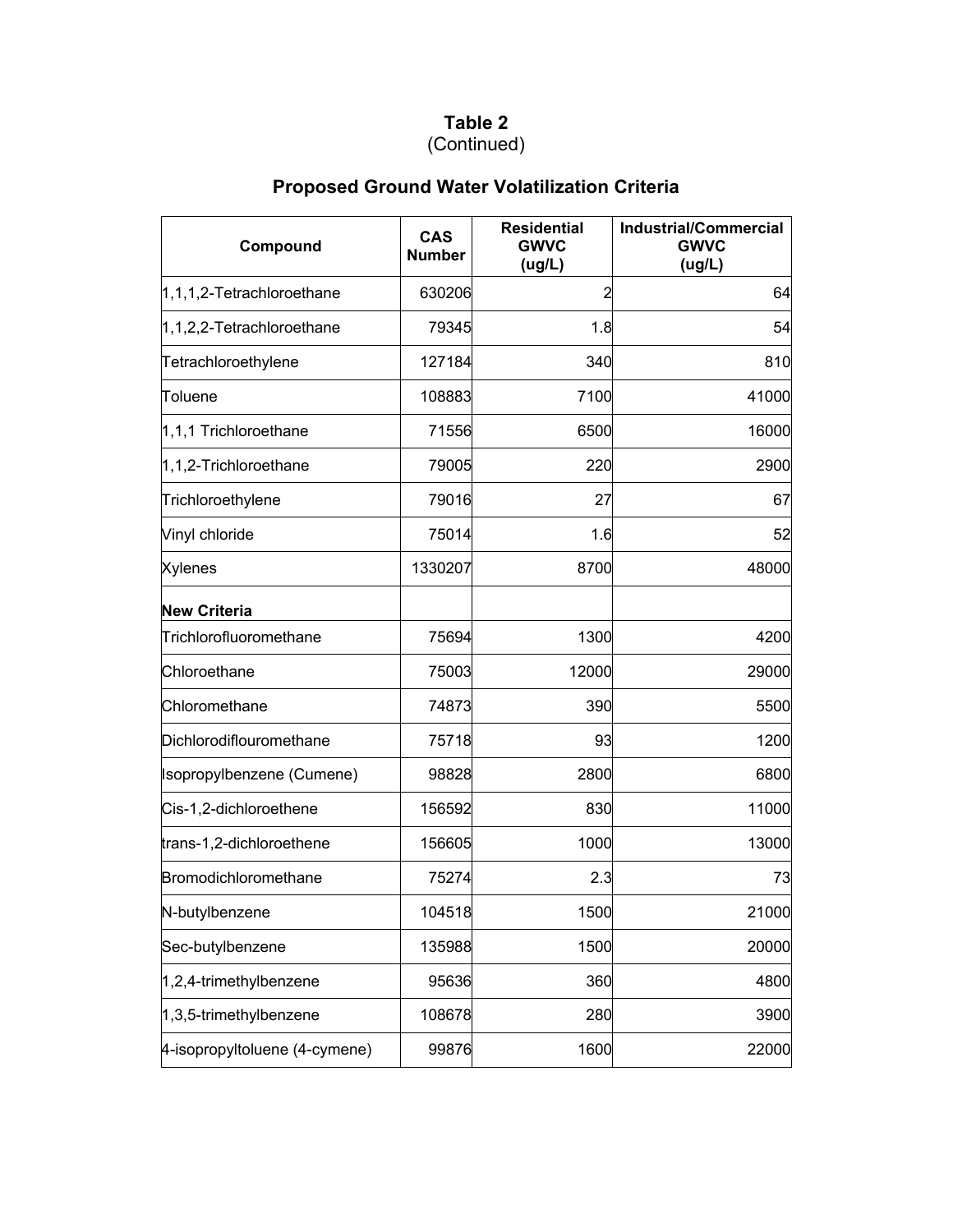## (Continued)

# **Proposed Ground Water Volatilization Criteria**

| Compound                      | <b>CAS</b><br><b>Number</b> | <b>Residential</b><br><b>GWVC</b><br>(ug/L) | <b>Industrial/Commercial</b><br><b>GWVC</b><br>(ug/L) |
|-------------------------------|-----------------------------|---------------------------------------------|-------------------------------------------------------|
| $1,1,1,2$ -Tetrachloroethane  | 630206                      | 2                                           | 64                                                    |
| 1,1,2,2-Tetrachloroethane     | 79345                       | 1.8                                         | 54                                                    |
| Tetrachloroethylene           | 127184                      | 340                                         | 810                                                   |
| <b>Toluene</b>                | 108883                      | 7100                                        | 41000                                                 |
| 1,1,1 Trichloroethane         | 71556                       | 6500                                        | 16000                                                 |
| 1,1,2-Trichloroethane         | 79005                       | 220                                         | 2900                                                  |
| Trichloroethylene             | 79016                       | 27                                          | 67                                                    |
| Vinyl chloride                | 75014                       | 1.6                                         | 52                                                    |
| <b>Xylenes</b>                | 1330207                     | 8700                                        | 48000                                                 |
| <b>New Criteria</b>           |                             |                                             |                                                       |
| Trichlorofluoromethane        | 75694                       | 1300                                        | 4200                                                  |
| Chloroethane                  | 75003                       | 12000                                       | 29000                                                 |
| Chloromethane                 | 74873                       | 390                                         | 5500                                                  |
| Dichlorodiflouromethane       | 75718                       | 93                                          | 1200                                                  |
| Isopropylbenzene (Cumene)     | 98828                       | 2800                                        | 6800                                                  |
| Cis-1,2-dichloroethene        | 156592                      | 830                                         | 11000                                                 |
| trans-1,2-dichloroethene      | 156605                      | 1000                                        | 13000                                                 |
| Bromodichloromethane          | 75274                       | 2.3                                         | 73                                                    |
| N-butylbenzene                | 104518                      | 1500                                        | 21000                                                 |
| Sec-butylbenzene              | 135988                      | 1500                                        | 20000                                                 |
| 1,2,4-trimethylbenzene        | 95636                       | 360                                         | 4800                                                  |
| 1,3,5-trimethylbenzene        | 108678                      | 280                                         | 3900                                                  |
| 4-isopropyltoluene (4-cymene) | 99876                       | 1600                                        | 22000                                                 |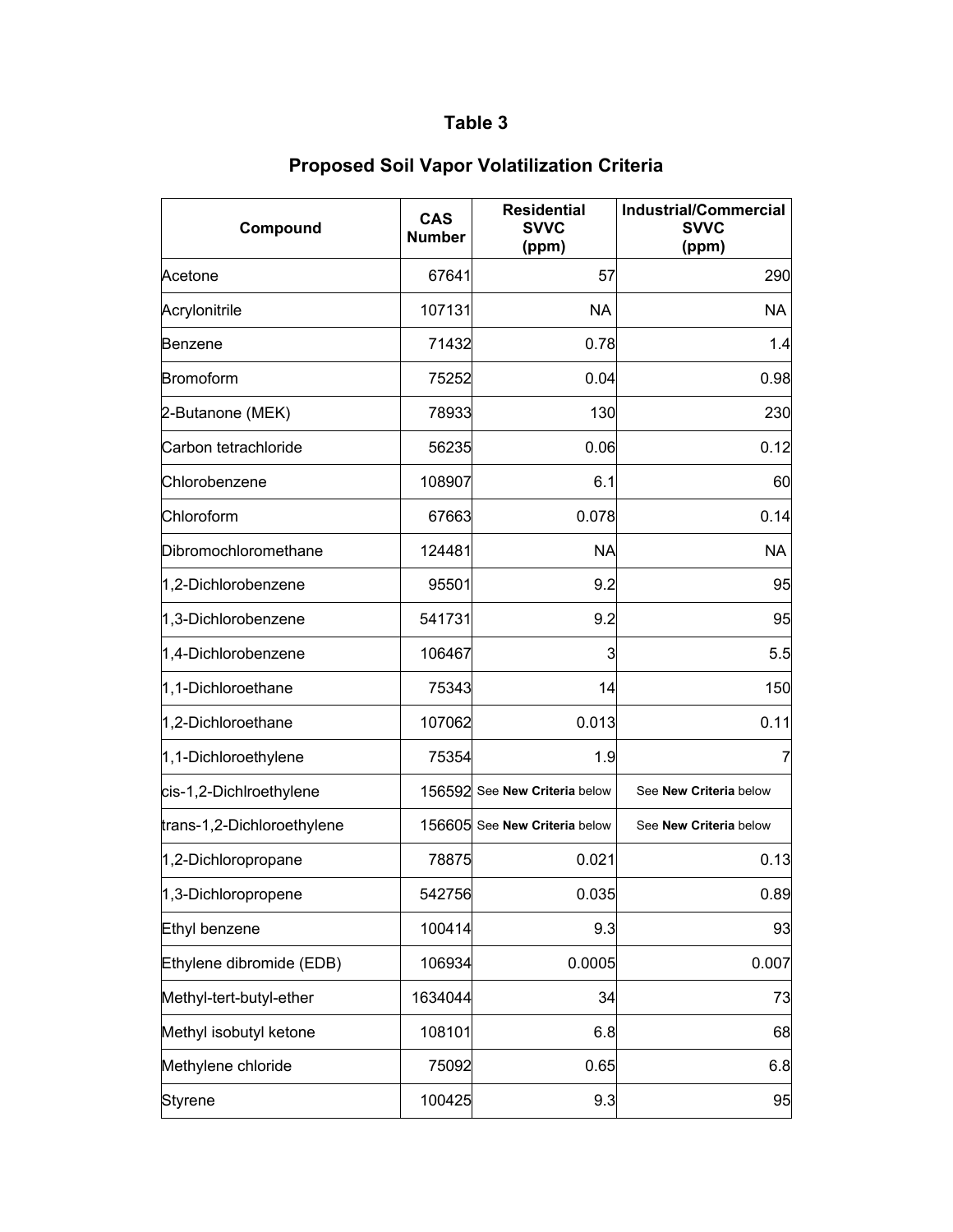| Compound                   | <b>CAS</b><br><b>Number</b> | <b>Residential</b><br><b>SVVC</b><br>(ppm) | <b>Industrial/Commercial</b><br><b>SVVC</b><br>(ppm) |
|----------------------------|-----------------------------|--------------------------------------------|------------------------------------------------------|
| Acetone                    | 67641                       | 57                                         | 290                                                  |
| Acrylonitrile              | 107131                      | <b>NA</b>                                  | <b>NA</b>                                            |
| Benzene                    | 71432                       | 0.78                                       | 1.4                                                  |
| <b>Bromoform</b>           | 75252                       | 0.04                                       | 0.98                                                 |
| 2-Butanone (MEK)           | 78933                       | 130                                        | 230                                                  |
| Carbon tetrachloride       | 56235                       | 0.06                                       | 0.12                                                 |
| Chlorobenzene              | 108907                      | 6.1                                        | 60                                                   |
| Chloroform                 | 67663                       | 0.078                                      | 0.14                                                 |
| Dibromochloromethane       | 124481                      | <b>NA</b>                                  | <b>NA</b>                                            |
| 1,2-Dichlorobenzene        | 95501                       | 9.2                                        | 95                                                   |
| 1,3-Dichlorobenzene        | 541731                      | 9.2                                        | 95                                                   |
| 1,4-Dichlorobenzene        | 106467                      | 3                                          | 5.5                                                  |
| 1,1-Dichloroethane         | 75343                       | 14                                         | 150                                                  |
| 1,2-Dichloroethane         | 107062                      | 0.013                                      | 0.11                                                 |
| 1,1-Dichloroethylene       | 75354                       | 1.9                                        | 7                                                    |
| cis-1,2-Dichlroethylene    |                             | 156592 See New Criteria below              | See New Criteria below                               |
| trans-1,2-Dichloroethylene |                             | 156605 See New Criteria below              | See New Criteria below                               |
| 1,2-Dichloropropane        | 78875                       | 0.021                                      | 0.13                                                 |
| 1,3-Dichloropropene        | 542756                      | 0.035                                      | 0.89                                                 |
| Ethyl benzene              | 100414                      | 9.3                                        | 93                                                   |
| Ethylene dibromide (EDB)   | 106934                      | 0.0005                                     | 0.007                                                |
| Methyl-tert-butyl-ether    | 1634044                     | 34                                         | 73                                                   |
| Methyl isobutyl ketone     | 108101                      | 6.8                                        | 68                                                   |
| Methylene chloride         | 75092                       | 0.65                                       | 6.8                                                  |
| <b>Styrene</b>             | 100425                      | 9.3                                        | 95                                                   |

## **Proposed Soil Vapor Volatilization Criteria**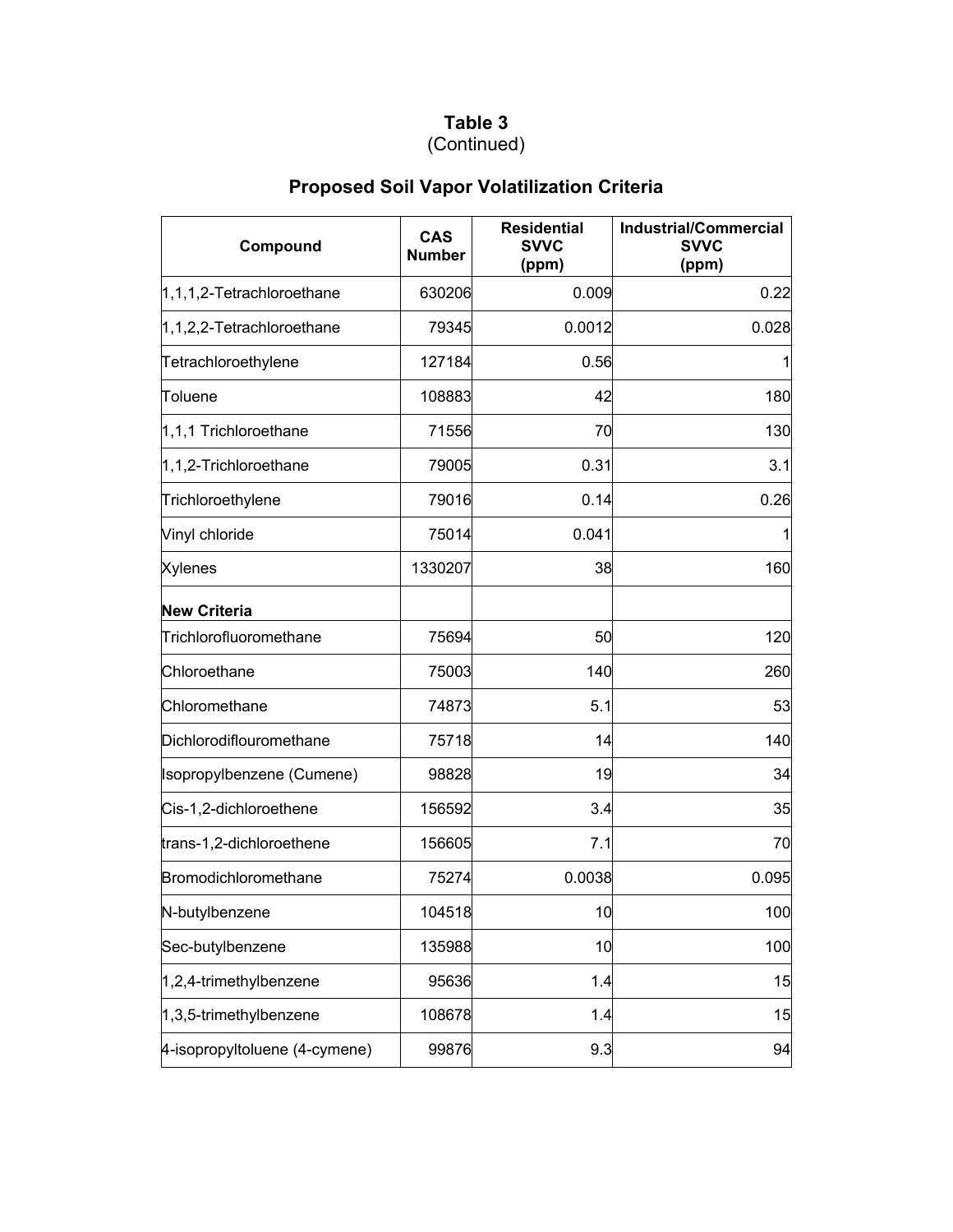#### **Table 3** (Continued)

# **Proposed Soil Vapor Volatilization Criteria**

| Compound                      | <b>CAS</b><br><b>Number</b> | <b>Residential</b><br><b>SVVC</b><br>(ppm) | <b>Industrial/Commercial</b><br><b>SVVC</b><br>(ppm) |
|-------------------------------|-----------------------------|--------------------------------------------|------------------------------------------------------|
| $1,1,1,2$ -Tetrachloroethane  | 630206                      | 0.009                                      | 0.22                                                 |
| 1,1,2,2-Tetrachloroethane     | 79345                       | 0.0012                                     | 0.028                                                |
| Tetrachloroethylene           | 127184                      | 0.56                                       |                                                      |
| Toluene                       | 108883                      | 42                                         | 180                                                  |
| 1,1,1 Trichloroethane         | 71556                       | 70                                         | 130                                                  |
| 1,1,2-Trichloroethane         | 79005                       | 0.31                                       | 3.1                                                  |
| Trichloroethylene             | 79016                       | 0.14                                       | 0.26                                                 |
| Vinyl chloride                | 75014                       | 0.041                                      |                                                      |
| <b>Xylenes</b>                | 1330207                     | 38                                         | 160                                                  |
| <b>New Criteria</b>           |                             |                                            |                                                      |
| Trichlorofluoromethane        | 75694                       | 50                                         | 120                                                  |
| Chloroethane                  | 75003                       | 140                                        | 260                                                  |
| Chloromethane                 | 74873                       | 5.1                                        | 53                                                   |
| Dichlorodiflouromethane       | 75718                       | 14                                         | 140                                                  |
| Isopropylbenzene (Cumene)     | 98828                       | 19                                         | 34                                                   |
| Cis-1,2-dichloroethene        | 156592                      | 3.4                                        | 35                                                   |
| trans-1,2-dichloroethene      | 156605                      | 7.1                                        | 70                                                   |
| Bromodichloromethane          | 75274                       | 0.0038                                     | 0.095                                                |
| N-butylbenzene                | 104518                      | 10                                         | 100                                                  |
| Sec-butylbenzene              | 135988                      | 10                                         | 100                                                  |
| 1,2,4-trimethylbenzene        | 95636                       | 1.4                                        | 15                                                   |
| 1,3,5-trimethylbenzene        | 108678                      | 1.4                                        | 15                                                   |
| 4-isopropyltoluene (4-cymene) | 99876                       | 9.3                                        | 94                                                   |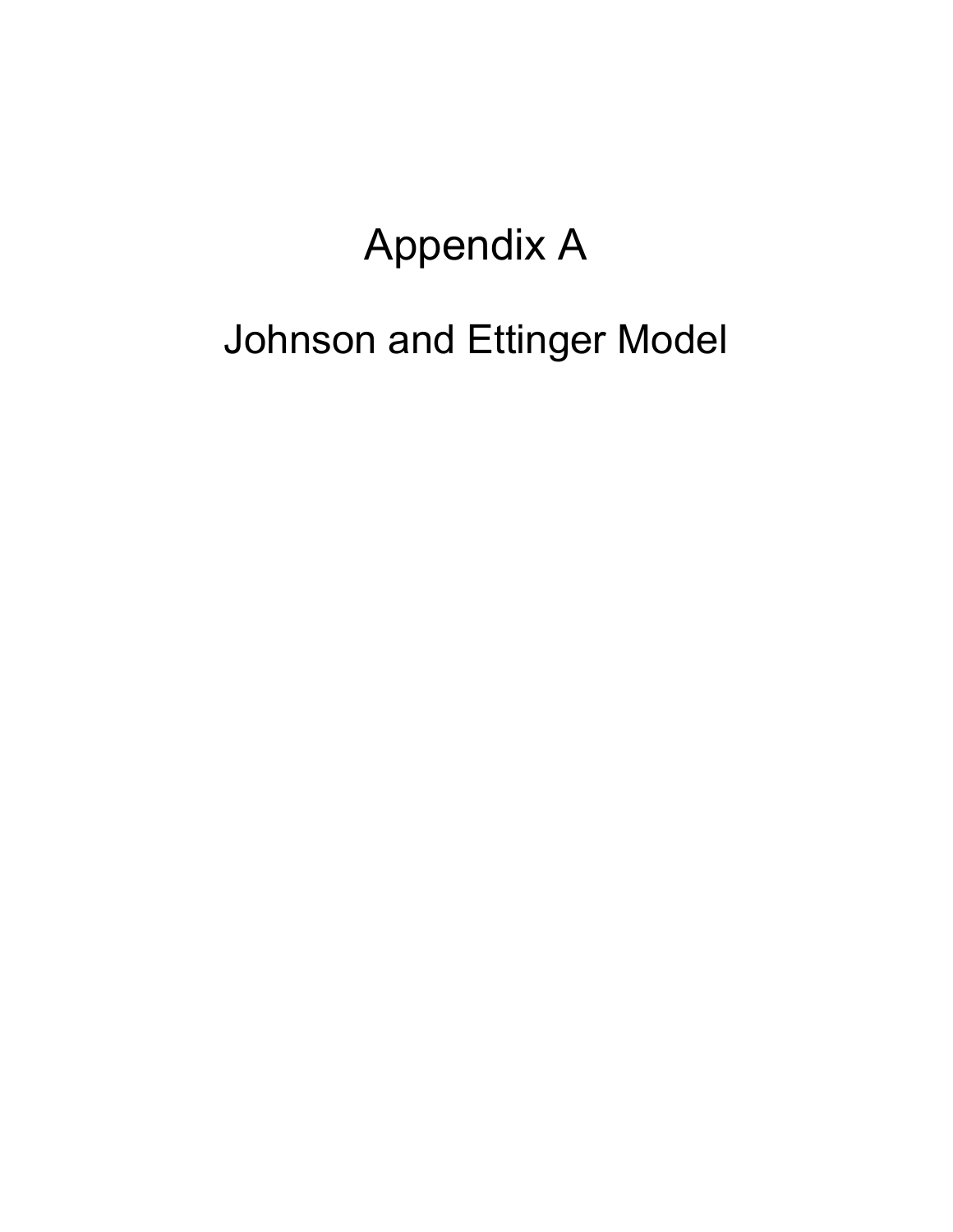# Appendix A

# Johnson and Ettinger Model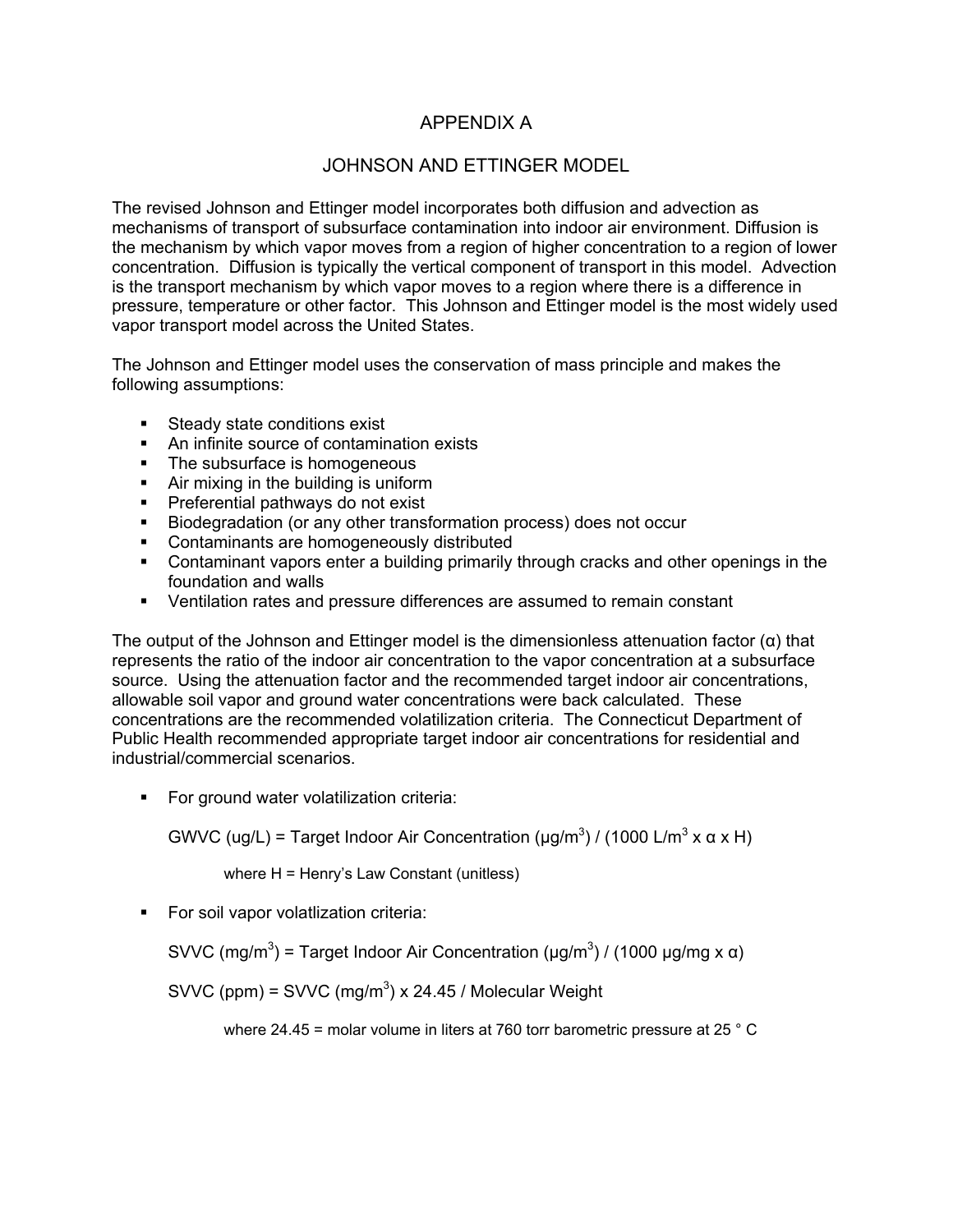#### APPENDIX A

#### JOHNSON AND ETTINGER MODEL

The revised Johnson and Ettinger model incorporates both diffusion and advection as mechanisms of transport of subsurface contamination into indoor air environment. Diffusion is the mechanism by which vapor moves from a region of higher concentration to a region of lower concentration. Diffusion is typically the vertical component of transport in this model. Advection is the transport mechanism by which vapor moves to a region where there is a difference in pressure, temperature or other factor. This Johnson and Ettinger model is the most widely used vapor transport model across the United States.

The Johnson and Ettinger model uses the conservation of mass principle and makes the following assumptions:

- **Steady state conditions exist**
- An infinite source of contamination exists
- The subsurface is homogeneous
- **Air mixing in the building is uniform**
- **Preferential pathways do not exist**
- Biodegradation (or any other transformation process) does not occur
- **•** Contaminants are homogeneously distributed
- Contaminant vapors enter a building primarily through cracks and other openings in the foundation and walls
- Ventilation rates and pressure differences are assumed to remain constant

The output of the Johnson and Ettinger model is the dimensionless attenuation factor  $(\alpha)$  that represents the ratio of the indoor air concentration to the vapor concentration at a subsurface source. Using the attenuation factor and the recommended target indoor air concentrations, allowable soil vapor and ground water concentrations were back calculated. These concentrations are the recommended volatilization criteria. The Connecticut Department of Public Health recommended appropriate target indoor air concentrations for residential and industrial/commercial scenarios.

**For ground water volatilization criteria:** 

GWVC (ug/L) = Target Indoor Air Concentration (μg/m<sup>3</sup>) / (1000 L/m<sup>3</sup> x α x H)

where H = Henry's Law Constant (unitless)

**For soil vapor volatlization criteria:** 

SVVC (mg/m<sup>3</sup>) = Target Indoor Air Concentration (μg/m<sup>3</sup>) / (1000 μg/mg x α)

SVVC (ppm) = SVVC (mg/m<sup>3</sup>) x 24.45 / Molecular Weight

where 24.45 = molar volume in liters at 760 torr barometric pressure at 25 ° C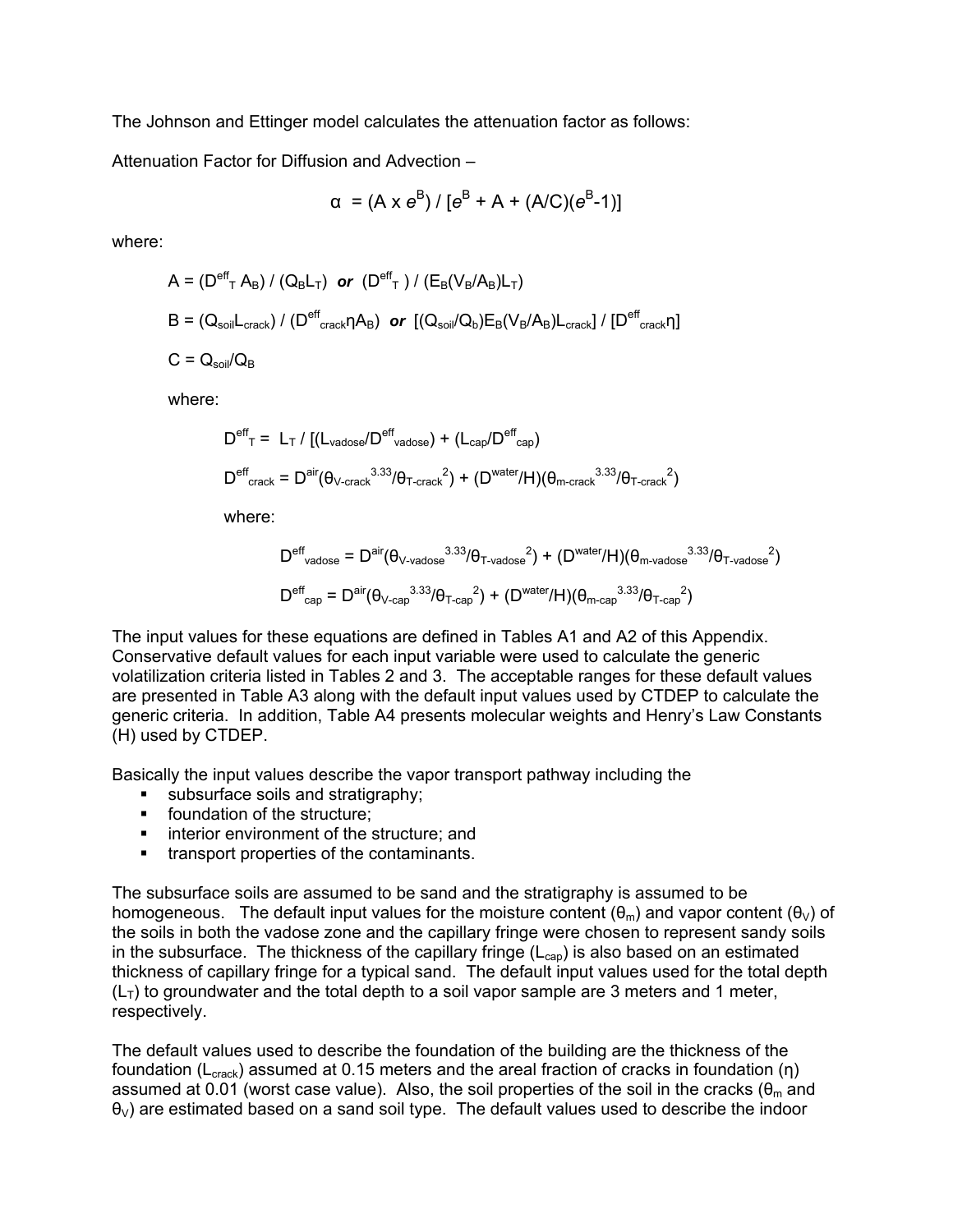The Johnson and Ettinger model calculates the attenuation factor as follows:

Attenuation Factor for Diffusion and Advection –

$$
\alpha = (A \times e^{B}) / [e^{B} + A + (A/C)(e^{B} - 1)]
$$

where:

$$
A = (D^{\text{eff}}_{T} A_{B}) / (Q_{B} L_{T}) \text{ or } (D^{\text{eff}}_{T}) / (E_{B} (V_{B} / A_{B}) L_{T})
$$
  
\n
$$
B = (Q_{\text{soil}} L_{\text{crack}}) / (D^{\text{eff}}_{\text{crack}} \eta A_{B}) \text{ or } [(Q_{\text{soil}} / Q_{b}) E_{B} (V_{B} / A_{B}) L_{\text{crack}}] / [D^{\text{eff}}_{\text{crack}} \eta]
$$
  
\n
$$
C = Q_{\text{soil}} / Q_{B}
$$

where:

$$
D^{\text{eff}}_{T} = L_{T} / [(L_{\text{vadose}}/D^{\text{eff}}_{\text{vadose}}) + (L_{\text{cap}}/D^{\text{eff}}_{\text{cap}})
$$
  

$$
D^{\text{eff}}_{\text{crack}} = D^{\text{air}}(\theta_{\text{V-crack}}^{3.33}/\theta_{\text{T-crack}}^{2}) + (D^{\text{water}}/H)(\theta_{\text{m-crack}}^{3.33}/\theta_{\text{T-crack}}^{2})
$$

where:

$$
D^{\text{eff}}{}_{\text{vadose}} = D^{\text{air}}(\theta_{\text{V-vadose}}^{3.33}/\theta_{\text{T-vadose}}^{2}) + (D^{\text{water}}/H)(\theta_{\text{m-vadose}}^{3.33}/\theta_{\text{T-vadose}}^{2})
$$
  

$$
D^{\text{eff}}{}_{\text{cap}} = D^{\text{air}}(\theta_{\text{V-cap}}^{3.33}/\theta_{\text{T-cap}}^{2}) + (D^{\text{water}}/H)(\theta_{\text{m-cap}}^{3.33}/\theta_{\text{T-cap}}^{2})
$$

The input values for these equations are defined in Tables A1 and A2 of this Appendix. Conservative default values for each input variable were used to calculate the generic volatilization criteria listed in Tables 2 and 3. The acceptable ranges for these default values are presented in Table A3 along with the default input values used by CTDEP to calculate the generic criteria. In addition, Table A4 presents molecular weights and Henry's Law Constants (H) used by CTDEP.

Basically the input values describe the vapor transport pathway including the

- subsurface soils and stratigraphy;
- **foundation of the structure:**
- **EXEC** interior environment of the structure; and
- **transport properties of the contaminants.**

The subsurface soils are assumed to be sand and the stratigraphy is assumed to be homogeneous. The default input values for the moisture content ( $\theta_m$ ) and vapor content ( $\theta_v$ ) of the soils in both the vadose zone and the capillary fringe were chosen to represent sandy soils in the subsurface. The thickness of the capillary fringe  $(L_{cap})$  is also based on an estimated thickness of capillary fringe for a typical sand. The default input values used for the total depth  $(L_T)$  to groundwater and the total depth to a soil vapor sample are 3 meters and 1 meter, respectively.

The default values used to describe the foundation of the building are the thickness of the foundation (L<sub>crack</sub>) assumed at 0.15 meters and the areal fraction of cracks in foundation (η) assumed at 0.01 (worst case value). Also, the soil properties of the soil in the cracks ( $\theta_m$  and  $\theta_V$ ) are estimated based on a sand soil type. The default values used to describe the indoor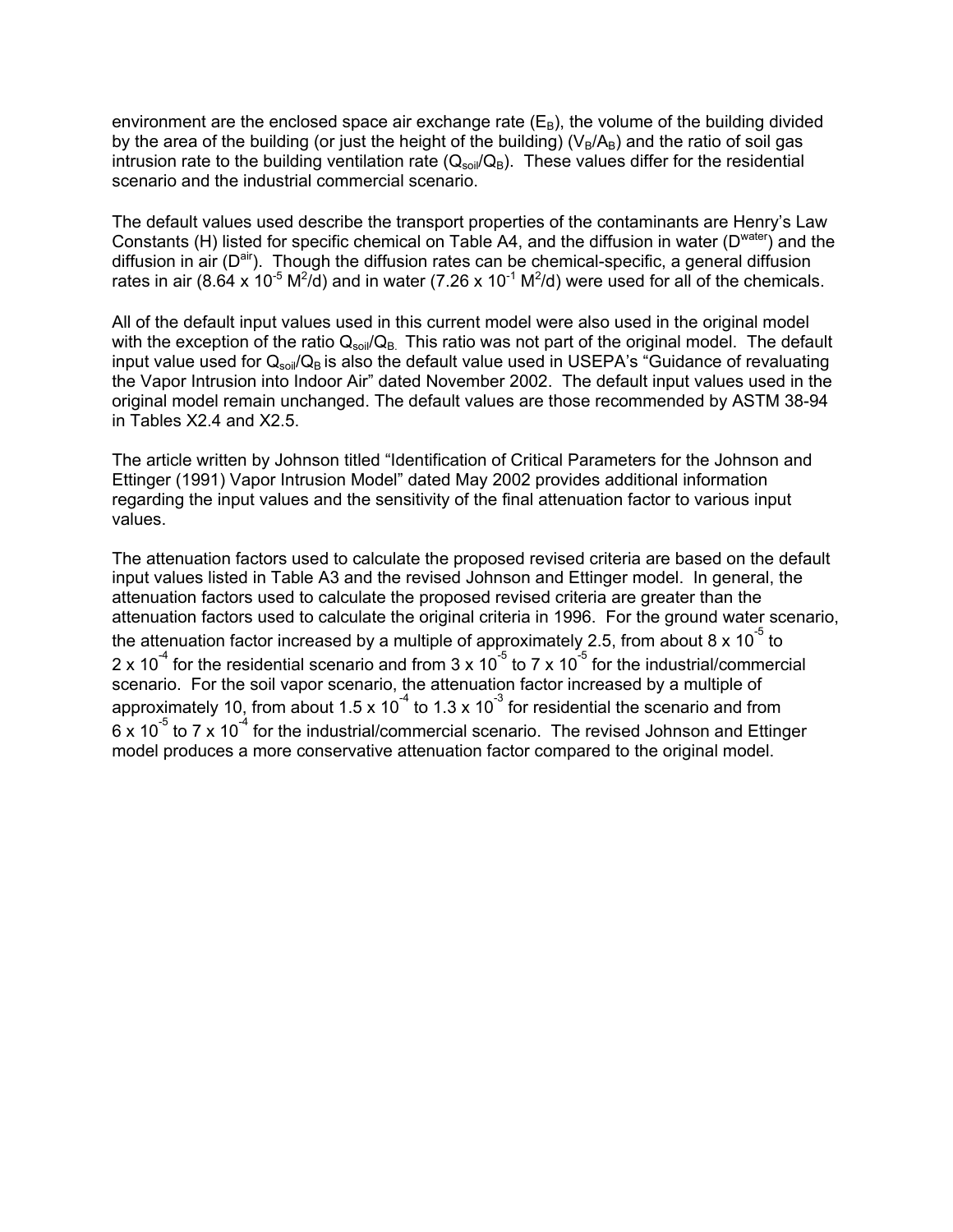environment are the enclosed space air exchange rate  $(E_B)$ , the volume of the building divided by the area of the building (or just the height of the building) ( $V_B/A_B$ ) and the ratio of soil gas intrusion rate to the building ventilation rate  $(Q_{sol}/Q_B)$ . These values differ for the residential scenario and the industrial commercial scenario.

The default values used describe the transport properties of the contaminants are Henry's Law Constants (H) listed for specific chemical on Table A4, and the diffusion in water ( $D<sup>water</sup>$ ) and the diffusion in air  $(D^{air})$ . Though the diffusion rates can be chemical-specific, a general diffusion rates in air (8.64 x 10<sup>-5</sup> M<sup>2</sup>/d) and in water (7.26 x 10<sup>-1</sup> M<sup>2</sup>/d) were used for all of the chemicals.

All of the default input values used in this current model were also used in the original model with the exception of the ratio  $Q_{\text{soil}}/Q_{\text{B}}$ . This ratio was not part of the original model. The default input value used for  $Q_{soli}/Q_B$  is also the default value used in USEPA's "Guidance of revaluating the Vapor Intrusion into Indoor Air" dated November 2002. The default input values used in the original model remain unchanged. The default values are those recommended by ASTM 38-94 in Tables X2.4 and X2.5.

The article written by Johnson titled "Identification of Critical Parameters for the Johnson and Ettinger (1991) Vapor Intrusion Model" dated May 2002 provides additional information regarding the input values and the sensitivity of the final attenuation factor to various input values.

The attenuation factors used to calculate the proposed revised criteria are based on the default input values listed in Table A3 and the revised Johnson and Ettinger model. In general, the attenuation factors used to calculate the proposed revised criteria are greater than the attenuation factors used to calculate the original criteria in 1996. For the ground water scenario, the attenuation factor increased by a multiple of approximately 2.5, from about 8 x 10<sup>-5</sup> to 2 x 10<sup>-4</sup> for the residential scenario and from 3 x 10<sup>-5</sup> to 7 x 10<sup>-5</sup> for the industrial/commercial scenario. For the soil vapor scenario, the attenuation factor increased by a multiple of approximately 10, from about 1.5 x 10<sup>-4</sup> to 1.3 x 10<sup>-3</sup> for residential the scenario and from 6 x 10<sup>-5</sup> to 7 x 10<sup>-4</sup> for the industrial/commercial scenario. The revised Johnson and Ettinger model produces a more conservative attenuation factor compared to the original model.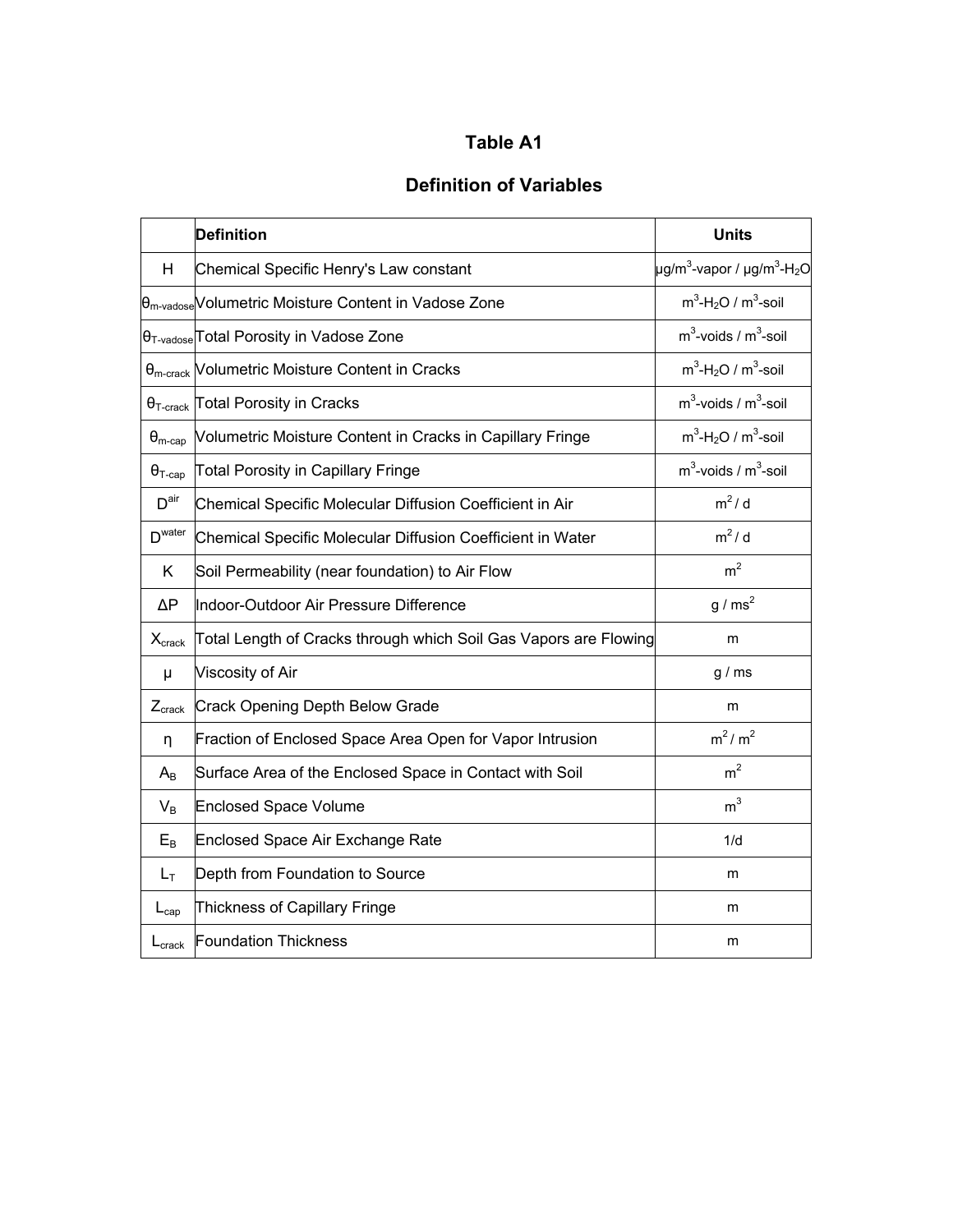### **Definition of Variables**

|                         | <b>Definition</b>                                                           | <b>Units</b>                                                             |
|-------------------------|-----------------------------------------------------------------------------|--------------------------------------------------------------------------|
| Н                       | Chemical Specific Henry's Law constant                                      | $\mu$ g/m <sup>3</sup> -vapor / $\mu$ g/m <sup>3</sup> -H <sub>2</sub> O |
|                         | B <sub>m-vadose</sub> Volumetric Moisture Content in Vadose Zone            | $m^3$ -H <sub>2</sub> O / $m^3$ -soil                                    |
|                         | <sup>[θ</sup> <sub>T-vadose</sub> <sup>[Total</sup> Porosity in Vadose Zone | $m3$ -voids / $m3$ -soil                                                 |
|                         | $\theta_{\text{m-crack}}$ Volumetric Moisture Content in Cracks             | $m^3$ -H <sub>2</sub> O / $m^3$ -soil                                    |
|                         | $\theta$ <sub>T-crack</sub> Total Porosity in Cracks                        | $m^3$ -voids / $m^3$ -soil                                               |
| $\theta_{\text{m-cap}}$ | Volumetric Moisture Content in Cracks in Capillary Fringe                   | $m^3$ -H <sub>2</sub> O / $m^3$ -soil                                    |
| $\Theta_{\text{T-cap}}$ | <b>Total Porosity in Capillary Fringe</b>                                   | $m^3$ -voids / $m^3$ -soil                                               |
| D <sup>air</sup>        | Chemical Specific Molecular Diffusion Coefficient in Air                    | $m^2/d$                                                                  |
| D <sup>water</sup>      | Chemical Specific Molecular Diffusion Coefficient in Water                  | $m^2/d$                                                                  |
| K                       | Soil Permeability (near foundation) to Air Flow                             | m <sup>2</sup>                                                           |
| $\Delta P$              | Indoor-Outdoor Air Pressure Difference                                      | $g/ms^2$                                                                 |
| $X_{\text{crack}}$      | Total Length of Cracks through which Soil Gas Vapors are Flowing            | m                                                                        |
| μ                       | Viscosity of Air                                                            | g/ms                                                                     |
| $Z_{crack}$             | Crack Opening Depth Below Grade                                             | m                                                                        |
| η                       | Fraction of Enclosed Space Area Open for Vapor Intrusion                    | $m^2/m^2$                                                                |
| $A_{B}$                 | Surface Area of the Enclosed Space in Contact with Soil                     | m <sup>2</sup>                                                           |
| $V_B$                   | <b>Enclosed Space Volume</b>                                                | m <sup>3</sup>                                                           |
| $E_B$                   | <b>Enclosed Space Air Exchange Rate</b>                                     | 1/d                                                                      |
| $L_T$                   | Depth from Foundation to Source                                             | m                                                                        |
| $L_{cap}$               | Thickness of Capillary Fringe                                               | m                                                                        |
| $L_{\rm crack}$         | <b>Foundation Thickness</b>                                                 | m                                                                        |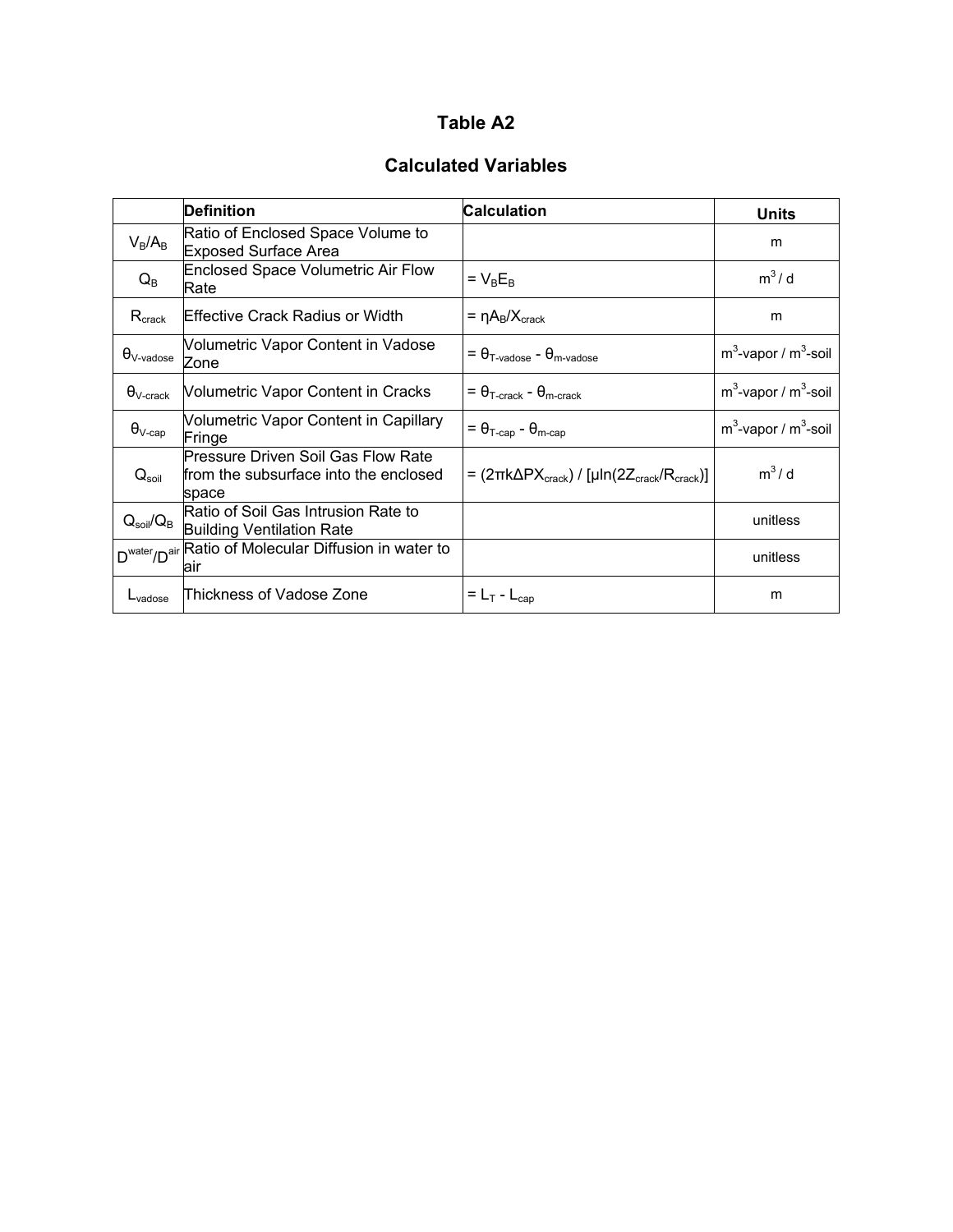#### **Calculated Variables**

|                                | Definition                                                                           | <b>Calculation</b>                                                                   | <b>Units</b>               |
|--------------------------------|--------------------------------------------------------------------------------------|--------------------------------------------------------------------------------------|----------------------------|
| $V_B/A_B$                      | Ratio of Enclosed Space Volume to<br><b>Exposed Surface Area</b>                     |                                                                                      | m                          |
| $Q_{\rm B}$                    | <b>Enclosed Space Volumetric Air Flow</b><br>Rate                                    | $= V_B E_B$                                                                          | $m^3/d$                    |
| $R_{\text{crack}}$             | lEffective Crack Radius or Width                                                     | $= \eta A_B/X_{\text{crack}}$                                                        | m                          |
| $\theta_{\lor\text{-vadose}}$  | Volumetric Vapor Content in Vadose<br>Zone                                           | $= \theta_{T\text{-vadose}} - \theta_{m\text{-vadose}}$                              | $m^3$ -vapor / $m^3$ -soil |
| $\theta_{\textrm{V-crack}}$    | <b>Volumetric Vapor Content in Cracks</b>                                            | $= \theta_{\text{T-crack}} - \theta_{\text{m-crack}}$                                | $m^3$ -vapor / $m^3$ -soil |
| $\theta_{\text{V-cap}}$        | Volumetric Vapor Content in Capillary<br>Fringe                                      | $= \theta_{\text{T-cap}} - \theta_{\text{m-cap}}$                                    | $m^3$ -vapor / $m^3$ -soil |
| $Q_{\text{soil}}$              | Pressure Driven Soil Gas Flow Rate<br>from the subsurface into the enclosed<br>space | = $(2\pi k\Delta PX_{\text{crack}}) / [\mu \ln(2Z_{\text{crack}}/R_{\text{crack}})]$ | $m^3/d$                    |
| $Q_{\text{soil}}/Q_{\text{B}}$ | Ratio of Soil Gas Intrusion Rate to<br><b>Building Ventilation Rate</b>              |                                                                                      | unitless                   |
|                                | D <sup>water</sup> /D <sup>air</sup> Ratio of Molecular Diffusion in water to<br>air |                                                                                      | unitless                   |
| $L_{\text{vadose}}$            | Thickness of Vadose Zone                                                             | $= L_T - L_{cap}$                                                                    | m                          |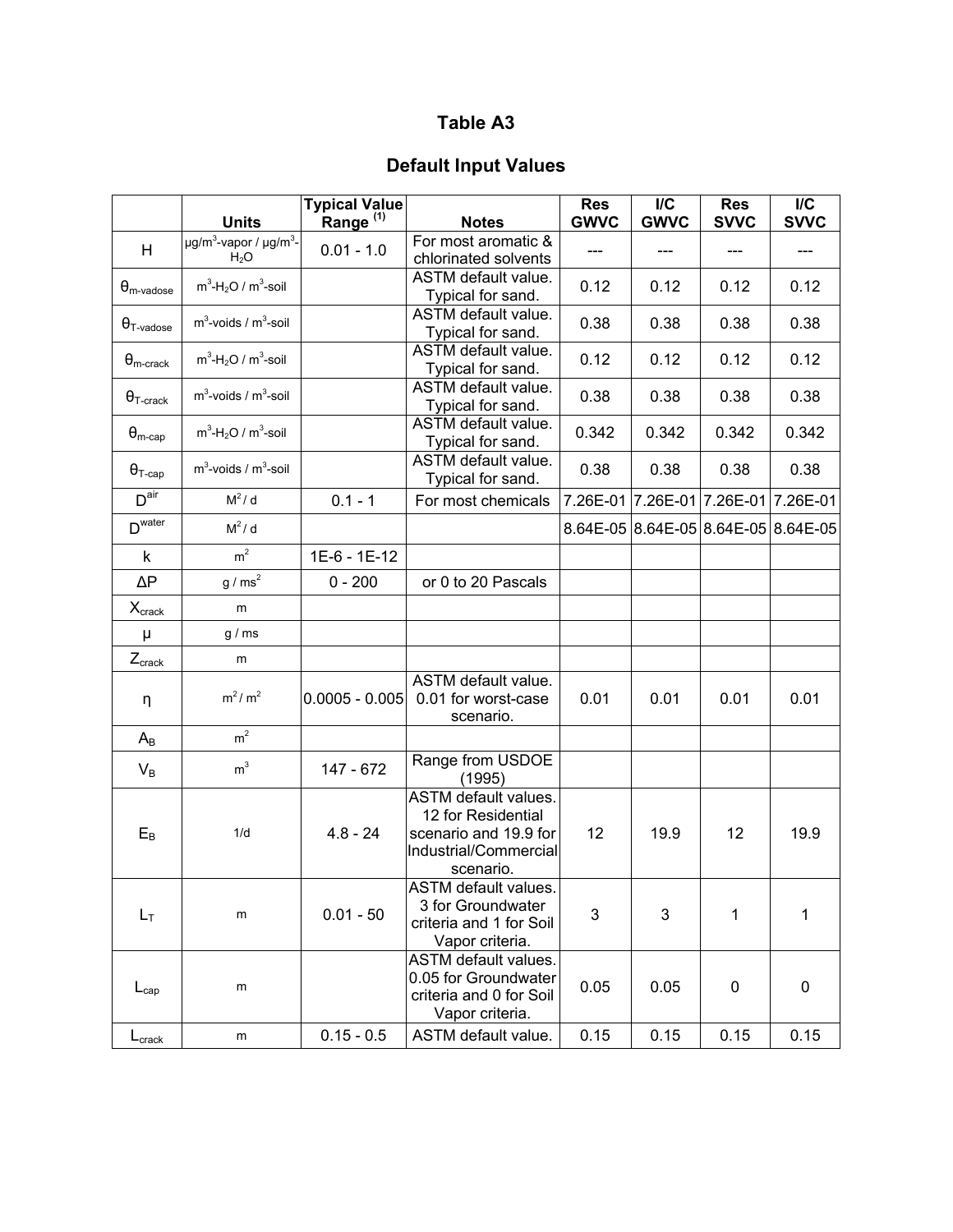## **Default Input Values**

|                              | <b>Units</b>                                                       | <b>Typical Value</b><br>Range <sup>(1)</sup> | <b>Notes</b>                                                                                                     | <b>Res</b><br><b>GWVC</b> | $\mathsf{I}/\mathsf{C}$<br><b>GWVC</b> | <b>Res</b><br><b>SVVC</b>           | $\mathsf{I}/\mathsf{C}$<br><b>SVVC</b> |
|------------------------------|--------------------------------------------------------------------|----------------------------------------------|------------------------------------------------------------------------------------------------------------------|---------------------------|----------------------------------------|-------------------------------------|----------------------------------------|
| H                            | $\mu$ g/m <sup>3</sup> -vapor / $\mu$ g/m <sup>3</sup> -<br>$H_2O$ | $0.01 - 1.0$                                 | For most aromatic &<br>chlorinated solvents                                                                      |                           |                                        | ---                                 |                                        |
| $\theta_{\text{m-vadose}}$   | $m^3$ -H <sub>2</sub> O / $m^3$ -soil                              |                                              | ASTM default value.<br>Typical for sand.                                                                         | 0.12                      | 0.12                                   | 0.12                                | 0.12                                   |
| $\theta$ <sub>T-vadose</sub> | $m^3$ -voids / $m^3$ -soil                                         |                                              | <b>ASTM</b> default value.<br>Typical for sand.                                                                  | 0.38                      | 0.38                                   | 0.38                                | 0.38                                   |
| $\theta_{\text{m-crack}}$    | $m^3$ -H <sub>2</sub> O / $m^3$ -soil                              |                                              | ASTM default value.<br>Typical for sand.                                                                         | 0.12                      | 0.12                                   | 0.12                                | 0.12                                   |
| $\theta$ <sub>T-crack</sub>  | $m^3$ -voids / $m^3$ -soil                                         |                                              | ASTM default value.<br>Typical for sand.                                                                         | 0.38                      | 0.38                                   | 0.38                                | 0.38                                   |
| $\theta_{\text{m-cap}}$      | $m^3$ -H <sub>2</sub> O / $m^3$ -soil                              |                                              | ASTM default value.<br>Typical for sand.                                                                         | 0.342                     | 0.342                                  | 0.342                               | 0.342                                  |
| $\Theta$ <sub>T-cap</sub>    | $m3$ -voids / $m3$ -soil                                           |                                              | ASTM default value.<br>Typical for sand.                                                                         | 0.38                      | 0.38                                   | 0.38                                | 0.38                                   |
| D <sup>air</sup>             | $M^2/d$                                                            | $0.1 - 1$                                    | For most chemicals                                                                                               |                           | 7.26E-01 7.26E-01                      | 7.26E-01 7.26E-01                   |                                        |
| D <sup>water</sup>           | $M^2/d$                                                            |                                              |                                                                                                                  |                           |                                        | 8.64E-05 8.64E-05 8.64E-05 8.64E-05 |                                        |
| k                            | m <sup>2</sup>                                                     | 1E-6 - 1E-12                                 |                                                                                                                  |                           |                                        |                                     |                                        |
| $\Delta P$                   | $g/ms^2$                                                           | $0 - 200$                                    | or 0 to 20 Pascals                                                                                               |                           |                                        |                                     |                                        |
| $X_{\text{crack}}$           | m                                                                  |                                              |                                                                                                                  |                           |                                        |                                     |                                        |
| μ                            | g/ms                                                               |                                              |                                                                                                                  |                           |                                        |                                     |                                        |
| $Z_{\text{crack}}$           | m                                                                  |                                              |                                                                                                                  |                           |                                        |                                     |                                        |
| η                            | $m^2/m^2$                                                          | $0.0005 - 0.005$                             | ASTM default value.<br>0.01 for worst-case<br>scenario.                                                          | 0.01                      | 0.01                                   | 0.01                                | 0.01                                   |
| $A_B$                        | m <sup>2</sup>                                                     |                                              |                                                                                                                  |                           |                                        |                                     |                                        |
| $V_B$                        | m <sup>3</sup>                                                     | 147 - 672                                    | Range from USDOE<br>(1995)                                                                                       |                           |                                        |                                     |                                        |
| $E_B$                        | 1/d                                                                | $4.8 - 24$                                   | <b>ASTM</b> default values.<br>12 for Residential<br>scenario and 19.9 for<br>Industrial/Commercial<br>scenario. | 12                        | 19.9                                   | 12                                  | 19.9                                   |
| $L_T$                        | m                                                                  | $0.01 - 50$                                  | <b>ASTM</b> default values.<br>3 for Groundwater<br>criteria and 1 for Soil<br>Vapor criteria.                   | 3                         | 3                                      | 1                                   | 1                                      |
| $L_{cap}$                    | m                                                                  |                                              | <b>ASTM</b> default values.<br>0.05 for Groundwater<br>criteria and 0 for Soil<br>Vapor criteria.                | 0.05                      | 0.05                                   | 0                                   | 0                                      |
| $L_{\text{crack}}$           | m                                                                  | $0.15 - 0.5$                                 | ASTM default value.                                                                                              | 0.15                      | 0.15                                   | 0.15                                | 0.15                                   |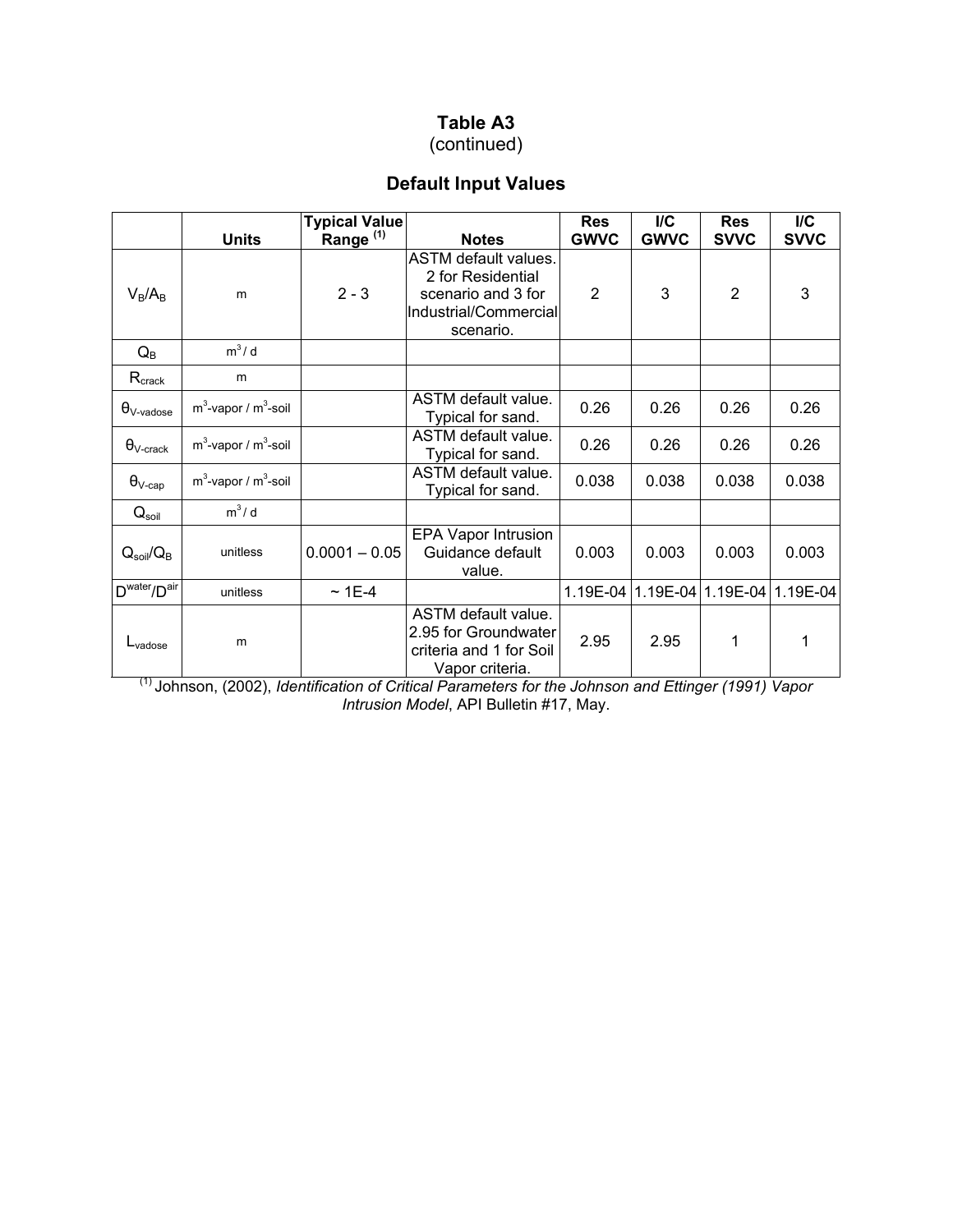(continued)

## **Default Input Values**

|                                      | <b>Units</b>               | Typical Value<br>Range (1) | <b>Notes</b>                                                                                                 | <b>Res</b><br><b>GWVC</b> | I/C<br><b>GWVC</b> | <b>Res</b><br><b>SVVC</b>  | I/C<br><b>SVVC</b> |
|--------------------------------------|----------------------------|----------------------------|--------------------------------------------------------------------------------------------------------------|---------------------------|--------------------|----------------------------|--------------------|
| $V_B/A_B$                            | m                          | $2 - 3$                    | <b>ASTM</b> default values.<br>2 for Residential<br>scenario and 3 for<br>Industrial/Commercial<br>scenario. | $\overline{2}$            | 3                  | $\overline{2}$             | 3                  |
| $Q_{\mathsf{B}}$                     | $m^3/d$                    |                            |                                                                                                              |                           |                    |                            |                    |
| $R_{\text{crack}}$                   | m                          |                            |                                                                                                              |                           |                    |                            |                    |
| $\theta_{V\text{-}\text{vadose}}$    | $m^3$ -vapor / $m^3$ -soil |                            | ASTM default value.<br>Typical for sand.                                                                     | 0.26                      | 0.26               | 0.26                       | 0.26               |
| $\theta_{\textrm{V-crack}}$          | $m^3$ -vapor / $m^3$ -soil |                            | ASTM default value.<br>Typical for sand.                                                                     | 0.26                      | 0.26               | 0.26                       | 0.26               |
| $\theta_{\text{V-cap}}$              | $m^3$ -vapor / $m^3$ -soil |                            | ASTM default value.<br>Typical for sand.                                                                     | 0.038                     | 0.038              | 0.038                      | 0.038              |
| $Q_{\text{soil}}$                    | $m^3/d$                    |                            |                                                                                                              |                           |                    |                            |                    |
| $Q_{\text{soil}}/Q_{\text{B}}$       | unitless                   | $0.0001 - 0.05$            | EPA Vapor Intrusion<br>Guidance default<br>value.                                                            | 0.003                     | 0.003              | 0.003                      | 0.003              |
| D <sup>water</sup> /D <sup>air</sup> | unitless                   | $~1E-4$                    |                                                                                                              | 1.19E-04                  |                    | 1.19E-04 1.19E-04 1.19E-04 |                    |
| $L_{\text{vadose}}$                  | m                          |                            | ASTM default value.<br>2.95 for Groundwater<br>criteria and 1 for Soil<br>Vapor criteria.                    | 2.95                      | 2.95               | 1                          | 1                  |

(1) Johnson, (2002), *Identification of Critical Parameters for the Johnson and Ettinger (1991) Vapor Intrusion Model*, API Bulletin #17, May.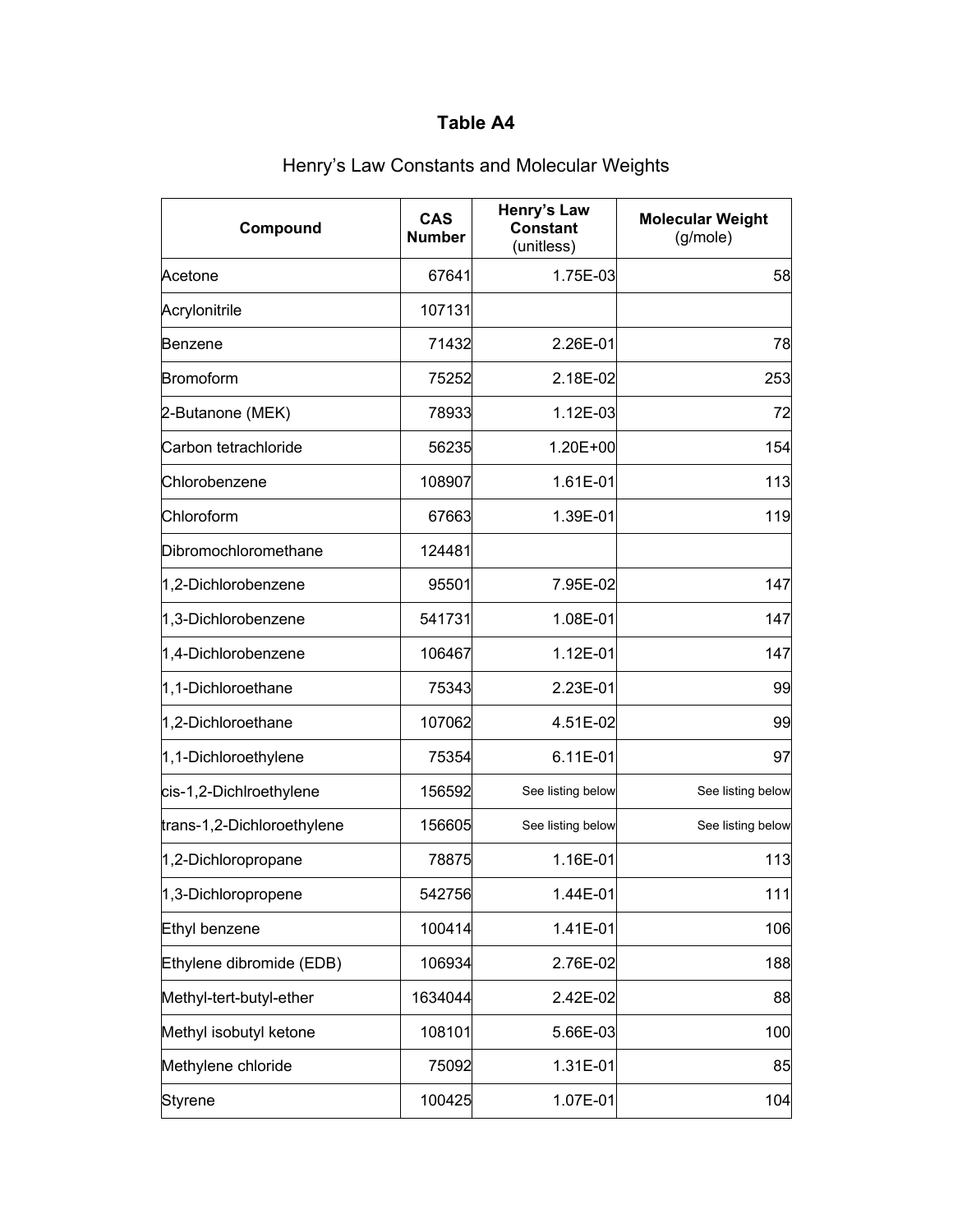| Compound                   | <b>CAS</b><br><b>Number</b> | Henry's Law<br><b>Constant</b><br>(unitless) | <b>Molecular Weight</b><br>(g/mole) |
|----------------------------|-----------------------------|----------------------------------------------|-------------------------------------|
| Acetone                    | 67641                       | 1.75E-03                                     | 58                                  |
| Acrylonitrile              | 107131                      |                                              |                                     |
| Benzene                    | 71432                       | 2.26E-01                                     | 78                                  |
| Bromoform                  | 75252                       | 2.18E-02                                     | 253                                 |
| 2-Butanone (MEK)           | 78933                       | 1.12E-03                                     | 72                                  |
| Carbon tetrachloride       | 56235                       | 1.20E+00                                     | 154                                 |
| Chlorobenzene              | 108907                      | 1.61E-01                                     | 113                                 |
| Chloroform                 | 67663                       | 1.39E-01                                     | 119                                 |
| Dibromochloromethane       | 124481                      |                                              |                                     |
| 1,2-Dichlorobenzene        | 95501                       | 7.95E-02                                     | 147                                 |
| 1,3-Dichlorobenzene        | 541731                      | 1.08E-01                                     | 147                                 |
| 1,4-Dichlorobenzene        | 106467                      | 1.12E-01                                     | 147                                 |
| 1,1-Dichloroethane         | 75343                       | 2.23E-01                                     | 99                                  |
| 1,2-Dichloroethane         | 107062                      | 4.51E-02                                     | 99                                  |
| 1,1-Dichloroethylene       | 75354                       | 6.11E-01                                     | 97                                  |
| cis-1,2-Dichlroethylene    | 156592                      | See listing below                            | See listing below                   |
| trans-1,2-Dichloroethylene | 156605                      | See listing below                            | See listing below                   |
| 1,2-Dichloropropane        | 78875                       | 1.16E-01                                     | 113                                 |
| 1,3-Dichloropropene        | 542756                      | 1.44E-01                                     | 111                                 |
| Ethyl benzene              | 100414                      | 1.41E-01                                     | 106                                 |
| Ethylene dibromide (EDB)   | 106934                      | 2.76E-02                                     | 188                                 |
| Methyl-tert-butyl-ether    | 1634044                     | 2.42E-02                                     | 88                                  |
| Methyl isobutyl ketone     | 108101                      | 5.66E-03                                     | 100                                 |
| Methylene chloride         | 75092                       | 1.31E-01                                     | 85                                  |
| Styrene                    | 100425                      | 1.07E-01                                     | 104                                 |

# Henry's Law Constants and Molecular Weights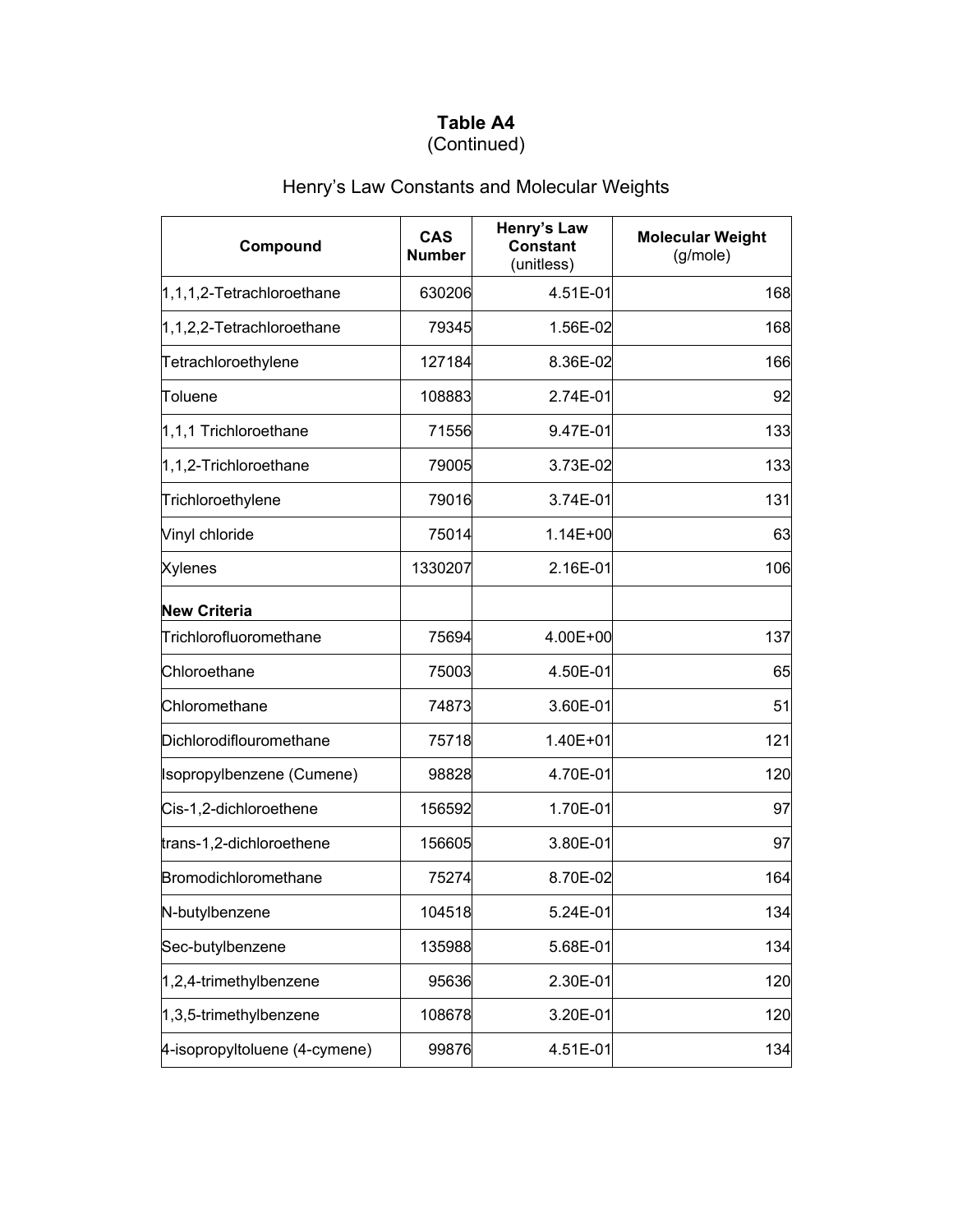### **Table A4** (Continued)

# Henry's Law Constants and Molecular Weights

| Compound                      | <b>CAS</b><br><b>Number</b> | Henry's Law<br><b>Constant</b><br>(unitless) | <b>Molecular Weight</b><br>(g/mole) |
|-------------------------------|-----------------------------|----------------------------------------------|-------------------------------------|
| 1,1,1,2-Tetrachloroethane     | 630206                      | 4.51E-01                                     | 168                                 |
| 1,1,2,2-Tetrachloroethane     | 79345                       | 1.56E-02                                     | 168                                 |
| Tetrachloroethylene           | 127184                      | 8.36E-02                                     | 166                                 |
| Toluene                       | 108883                      | 2.74E-01                                     | 92                                  |
| 1,1,1 Trichloroethane         | 71556                       | 9.47E-01                                     | 133                                 |
| 1,1,2-Trichloroethane         | 79005                       | 3.73E-02                                     | 133                                 |
| Trichloroethylene             | 79016                       | 3.74E-01                                     | 131                                 |
| Vinyl chloride                | 75014                       | 1.14E+00                                     | 63                                  |
| <b>Xylenes</b>                | 1330207                     | 2.16E-01                                     | 106                                 |
| <b>New Criteria</b>           |                             |                                              |                                     |
| Trichlorofluoromethane        | 75694                       | 4.00E+00                                     | 137                                 |
| Chloroethane                  | 75003                       | 4.50E-01                                     | 65                                  |
| Chloromethane                 | 74873                       | 3.60E-01                                     | 51                                  |
| Dichlorodiflouromethane       | 75718                       | 1.40E+01                                     | 121                                 |
| Isopropylbenzene (Cumene)     | 98828                       | 4.70E-01                                     | 120                                 |
| Cis-1,2-dichloroethene        | 156592                      | 1.70E-01                                     | 97                                  |
| trans-1,2-dichloroethene      | 156605                      | 3.80E-01                                     | 97                                  |
| Bromodichloromethane          | 75274                       | 8.70E-02                                     | 164                                 |
| N-butylbenzene                | 104518                      | 5.24E-01                                     | 134                                 |
| Sec-butylbenzene              | 135988                      | 5.68E-01                                     | 134                                 |
| 1,2,4-trimethylbenzene        | 95636                       | 2.30E-01                                     | 120                                 |
| 1,3,5-trimethylbenzene        | 108678                      | 3.20E-01                                     | 120                                 |
| 4-isopropyltoluene (4-cymene) | 99876                       | 4.51E-01                                     | 134                                 |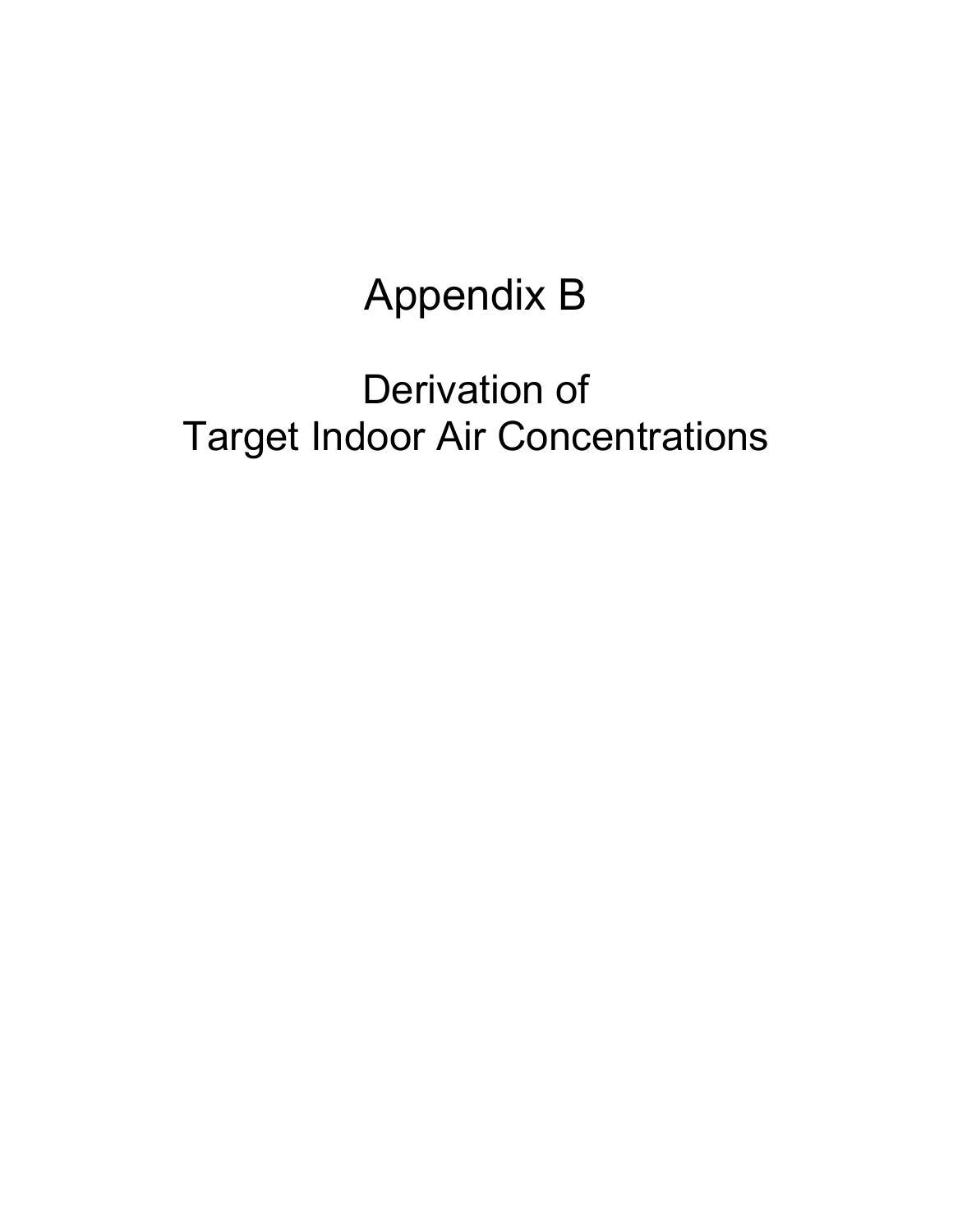# Appendix B

# Derivation of Target Indoor Air Concentrations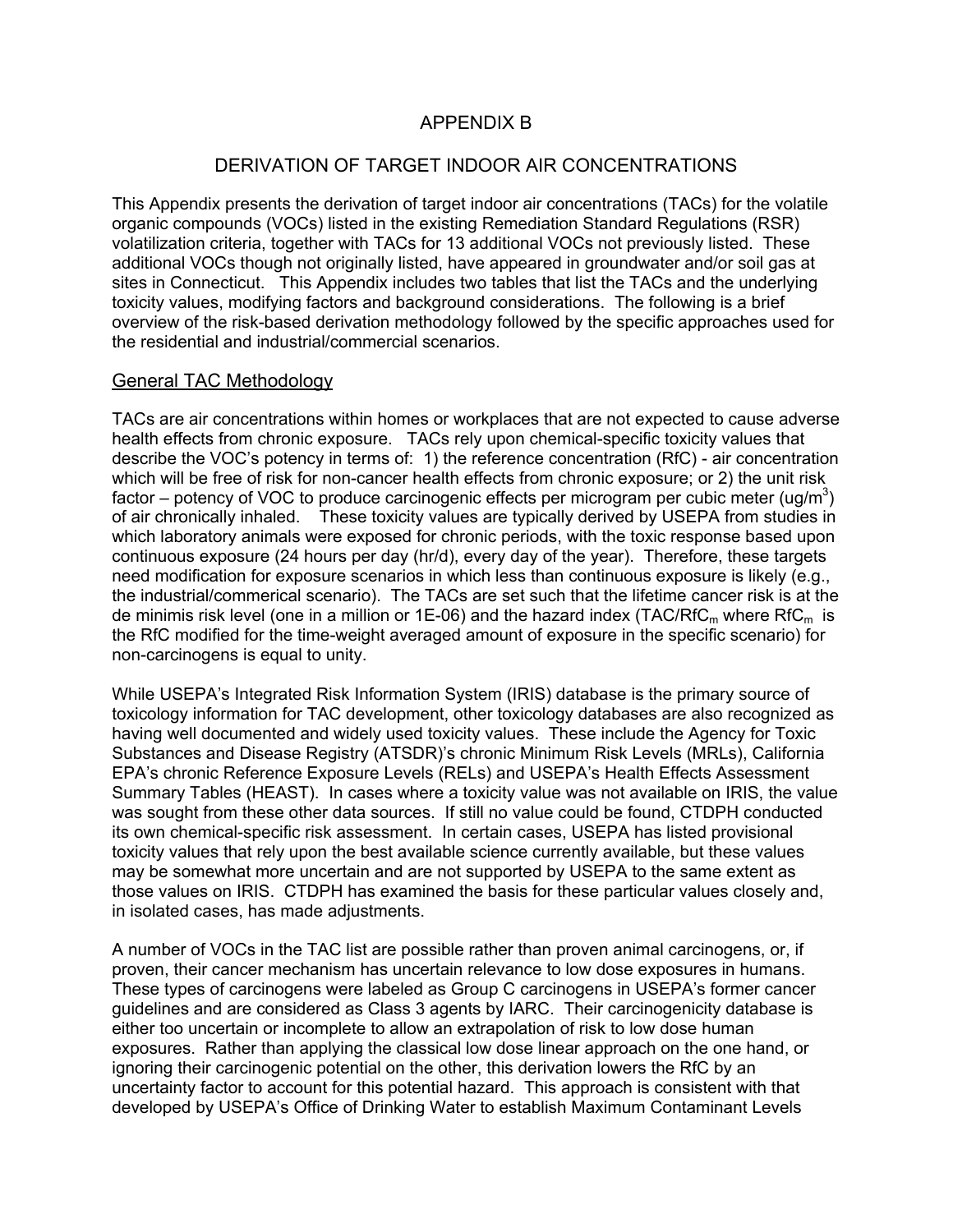#### APPENDIX B

#### DERIVATION OF TARGET INDOOR AIR CONCENTRATIONS

This Appendix presents the derivation of target indoor air concentrations (TACs) for the volatile organic compounds (VOCs) listed in the existing Remediation Standard Regulations (RSR) volatilization criteria, together with TACs for 13 additional VOCs not previously listed. These additional VOCs though not originally listed, have appeared in groundwater and/or soil gas at sites in Connecticut. This Appendix includes two tables that list the TACs and the underlying toxicity values, modifying factors and background considerations. The following is a brief overview of the risk-based derivation methodology followed by the specific approaches used for the residential and industrial/commercial scenarios.

#### General TAC Methodology

TACs are air concentrations within homes or workplaces that are not expected to cause adverse health effects from chronic exposure. TACs rely upon chemical-specific toxicity values that describe the VOC's potency in terms of: 1) the reference concentration (RfC) - air concentration which will be free of risk for non-cancer health effects from chronic exposure; or 2) the unit risk factor – potency of VOC to produce carcinogenic effects per microgram per cubic meter (ug/m<sup>3</sup>) of air chronically inhaled. These toxicity values are typically derived by USEPA from studies in which laboratory animals were exposed for chronic periods, with the toxic response based upon continuous exposure (24 hours per day (hr/d), every day of the year). Therefore, these targets need modification for exposure scenarios in which less than continuous exposure is likely (e.g., the industrial/commerical scenario). The TACs are set such that the lifetime cancer risk is at the de minimis risk level (one in a million or 1E-06) and the hazard index (TAC/RfC<sub>m</sub> where RfC<sub>m</sub> is the RfC modified for the time-weight averaged amount of exposure in the specific scenario) for non-carcinogens is equal to unity.

While USEPA's Integrated Risk Information System (IRIS) database is the primary source of toxicology information for TAC development, other toxicology databases are also recognized as having well documented and widely used toxicity values. These include the Agency for Toxic Substances and Disease Registry (ATSDR)'s chronic Minimum Risk Levels (MRLs), California EPA's chronic Reference Exposure Levels (RELs) and USEPA's Health Effects Assessment Summary Tables (HEAST). In cases where a toxicity value was not available on IRIS, the value was sought from these other data sources. If still no value could be found, CTDPH conducted its own chemical-specific risk assessment. In certain cases, USEPA has listed provisional toxicity values that rely upon the best available science currently available, but these values may be somewhat more uncertain and are not supported by USEPA to the same extent as those values on IRIS. CTDPH has examined the basis for these particular values closely and, in isolated cases, has made adjustments.

A number of VOCs in the TAC list are possible rather than proven animal carcinogens, or, if proven, their cancer mechanism has uncertain relevance to low dose exposures in humans. These types of carcinogens were labeled as Group C carcinogens in USEPA's former cancer guidelines and are considered as Class 3 agents by IARC. Their carcinogenicity database is either too uncertain or incomplete to allow an extrapolation of risk to low dose human exposures. Rather than applying the classical low dose linear approach on the one hand, or ignoring their carcinogenic potential on the other, this derivation lowers the RfC by an uncertainty factor to account for this potential hazard. This approach is consistent with that developed by USEPA's Office of Drinking Water to establish Maximum Contaminant Levels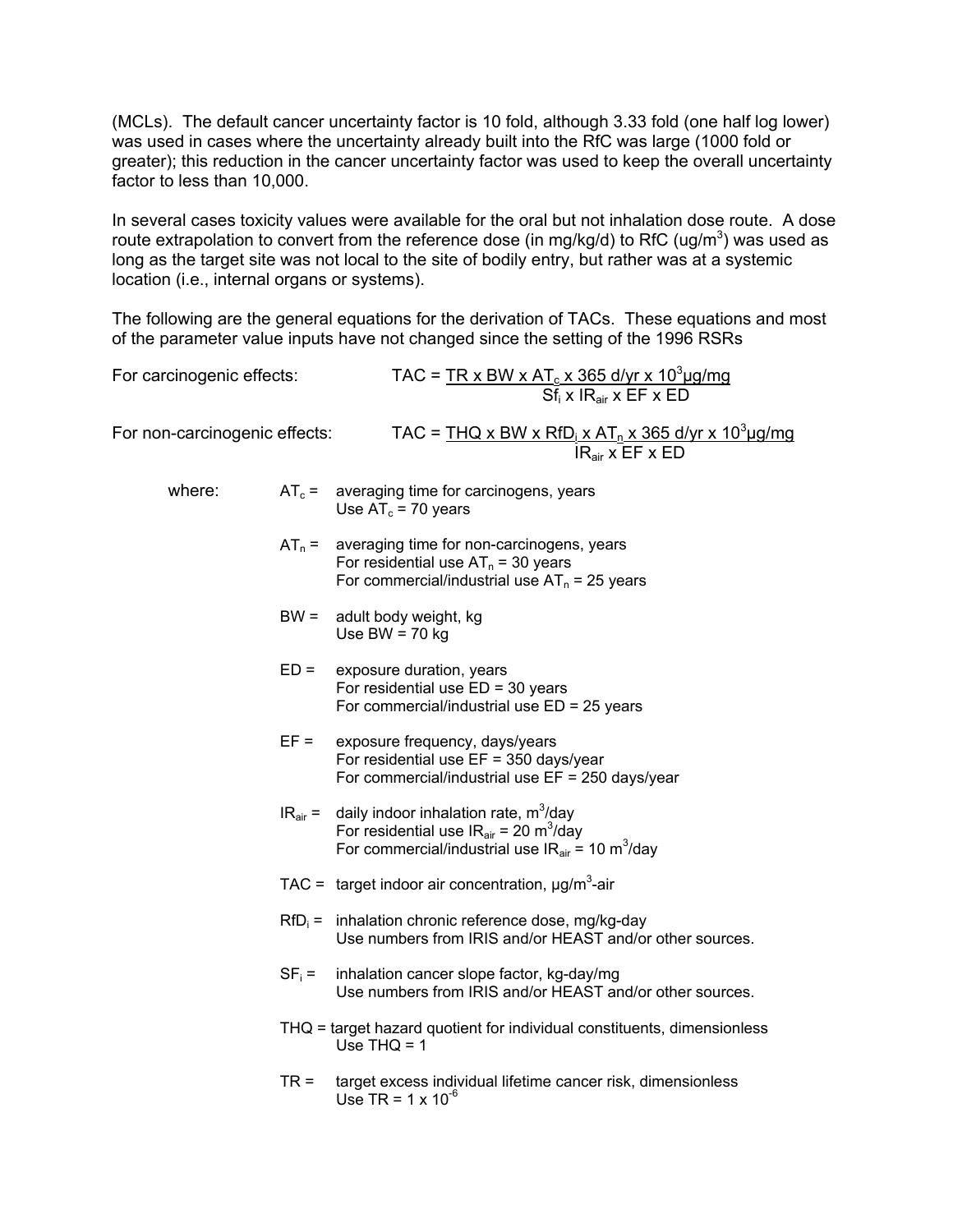(MCLs). The default cancer uncertainty factor is 10 fold, although 3.33 fold (one half log lower) was used in cases where the uncertainty already built into the RfC was large (1000 fold or greater); this reduction in the cancer uncertainty factor was used to keep the overall uncertainty factor to less than 10,000.

In several cases toxicity values were available for the oral but not inhalation dose route. A dose route extrapolation to convert from the reference dose (in mg/kg/d) to RfC (ug/m<sup>3</sup>) was used as long as the target site was not local to the site of bodily entry, but rather was at a systemic location (i.e., internal organs or systems).

The following are the general equations for the derivation of TACs. These equations and most of the parameter value inputs have not changed since the setting of the 1996 RSRs

| For carcinogenic effects:     |          | TAC = $\frac{TR \times BW \times AT_c \times 365 \text{ d/yr} \times 10^3 \mu\text{g/mg}}{Sf_i \times IR_{air} \times EF \times ED}$                                                        |
|-------------------------------|----------|---------------------------------------------------------------------------------------------------------------------------------------------------------------------------------------------|
| For non-carcinogenic effects: |          | TAC = $THQ \times BW \times RfD_i \times AT_n \times 365$ d/yr x 10 <sup>3</sup> ug/mg<br>$IRair$ x EF x ED                                                                                 |
| where:                        |          | $AT_c =$ averaging time for carcinogens, years<br>Use $AT_c = 70$ years                                                                                                                     |
|                               | $AT_n =$ | averaging time for non-carcinogens, years<br>For residential use $AT_n = 30$ years<br>For commercial/industrial use $AT_n = 25$ years                                                       |
|                               | $BW =$   | adult body weight, kg<br>Use BW = $70$ kg                                                                                                                                                   |
|                               | $ED =$   | exposure duration, years<br>For residential use $ED = 30$ years<br>For commercial/industrial use $ED = 25$ years                                                                            |
|                               | $EF =$   | exposure frequency, days/years<br>For residential use $EF = 350$ days/year<br>For commercial/industrial use $EF = 250$ days/year                                                            |
|                               |          | $IRair$ = daily indoor inhalation rate, m <sup>3</sup> /day<br>For residential use $IR_{air}$ = 20 m <sup>3</sup> /day<br>For commercial/industrial use $IR_{air}$ = 10 m <sup>3</sup> /day |
|                               |          | TAC = target indoor air concentration, $\mu$ g/m <sup>3</sup> -air                                                                                                                          |
|                               |          | $RfD_i$ = inhalation chronic reference dose, mg/kg-day<br>Use numbers from IRIS and/or HEAST and/or other sources.                                                                          |
|                               | $SF_i =$ | inhalation cancer slope factor, kg-day/mg<br>Use numbers from IRIS and/or HEAST and/or other sources.                                                                                       |
|                               |          | THQ = target hazard quotient for individual constituents, dimensionless<br>Use $THQ = 1$                                                                                                    |
|                               | $TR =$   | target excess individual lifetime cancer risk, dimensionless<br>Use TR = $1 \times 10^{-6}$                                                                                                 |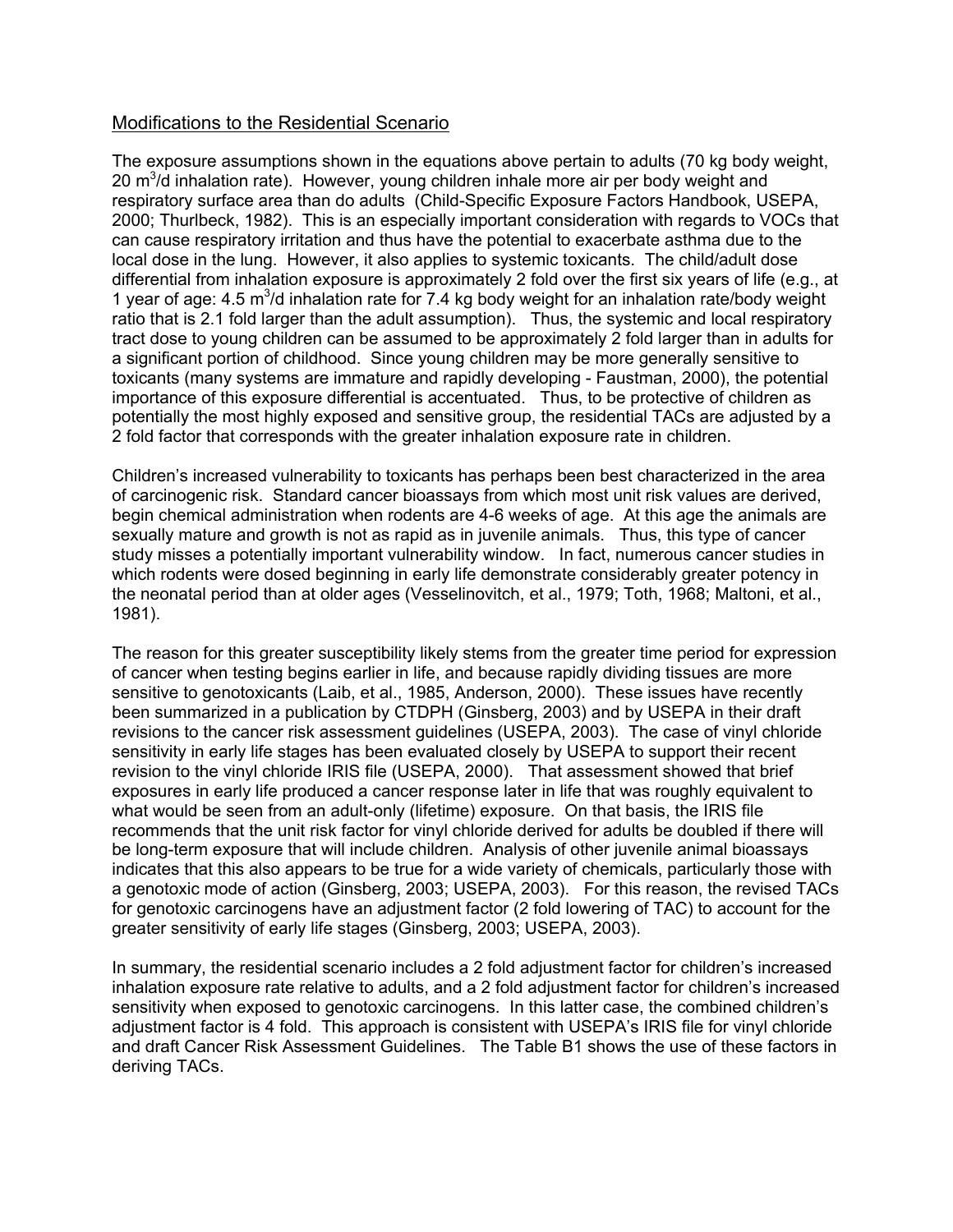#### Modifications to the Residential Scenario

The exposure assumptions shown in the equations above pertain to adults (70 kg body weight, 20  $m^3$ /d inhalation rate). However, young children inhale more air per body weight and respiratory surface area than do adults (Child-Specific Exposure Factors Handbook, USEPA, 2000; Thurlbeck, 1982). This is an especially important consideration with regards to VOCs that can cause respiratory irritation and thus have the potential to exacerbate asthma due to the local dose in the lung. However, it also applies to systemic toxicants. The child/adult dose differential from inhalation exposure is approximately 2 fold over the first six years of life (e.g., at 1 year of age:  $4.5 \text{ m}^3$ /d inhalation rate for 7.4 kg body weight for an inhalation rate/body weight ratio that is 2.1 fold larger than the adult assumption). Thus, the systemic and local respiratory tract dose to young children can be assumed to be approximately 2 fold larger than in adults for a significant portion of childhood. Since young children may be more generally sensitive to toxicants (many systems are immature and rapidly developing - Faustman, 2000), the potential importance of this exposure differential is accentuated. Thus, to be protective of children as potentially the most highly exposed and sensitive group, the residential TACs are adjusted by a 2 fold factor that corresponds with the greater inhalation exposure rate in children.

Children's increased vulnerability to toxicants has perhaps been best characterized in the area of carcinogenic risk. Standard cancer bioassays from which most unit risk values are derived, begin chemical administration when rodents are 4-6 weeks of age. At this age the animals are sexually mature and growth is not as rapid as in juvenile animals. Thus, this type of cancer study misses a potentially important vulnerability window. In fact, numerous cancer studies in which rodents were dosed beginning in early life demonstrate considerably greater potency in the neonatal period than at older ages (Vesselinovitch, et al., 1979; Toth, 1968; Maltoni, et al., 1981).

The reason for this greater susceptibility likely stems from the greater time period for expression of cancer when testing begins earlier in life, and because rapidly dividing tissues are more sensitive to genotoxicants (Laib, et al., 1985, Anderson, 2000). These issues have recently been summarized in a publication by CTDPH (Ginsberg, 2003) and by USEPA in their draft revisions to the cancer risk assessment guidelines (USEPA, 2003). The case of vinyl chloride sensitivity in early life stages has been evaluated closely by USEPA to support their recent revision to the vinyl chloride IRIS file (USEPA, 2000). That assessment showed that brief exposures in early life produced a cancer response later in life that was roughly equivalent to what would be seen from an adult-only (lifetime) exposure. On that basis, the IRIS file recommends that the unit risk factor for vinyl chloride derived for adults be doubled if there will be long-term exposure that will include children. Analysis of other juvenile animal bioassays indicates that this also appears to be true for a wide variety of chemicals, particularly those with a genotoxic mode of action (Ginsberg, 2003; USEPA, 2003). For this reason, the revised TACs for genotoxic carcinogens have an adjustment factor (2 fold lowering of TAC) to account for the greater sensitivity of early life stages (Ginsberg, 2003; USEPA, 2003).

In summary, the residential scenario includes a 2 fold adjustment factor for children's increased inhalation exposure rate relative to adults, and a 2 fold adjustment factor for children's increased sensitivity when exposed to genotoxic carcinogens. In this latter case, the combined children's adjustment factor is 4 fold. This approach is consistent with USEPA's IRIS file for vinyl chloride and draft Cancer Risk Assessment Guidelines. The Table B1 shows the use of these factors in deriving TACs.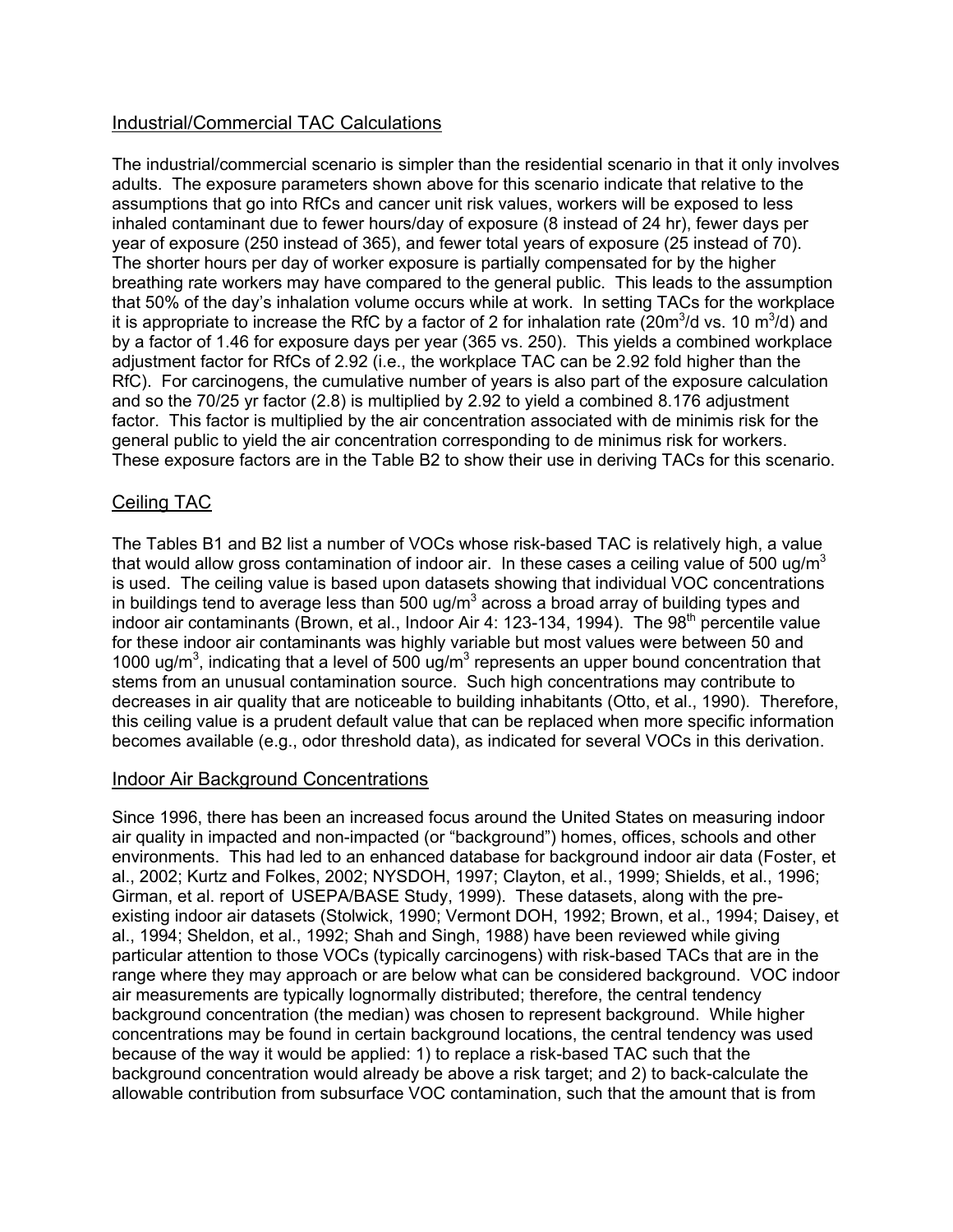#### Industrial/Commercial TAC Calculations

The industrial/commercial scenario is simpler than the residential scenario in that it only involves adults. The exposure parameters shown above for this scenario indicate that relative to the assumptions that go into RfCs and cancer unit risk values, workers will be exposed to less inhaled contaminant due to fewer hours/day of exposure (8 instead of 24 hr), fewer days per year of exposure (250 instead of 365), and fewer total years of exposure (25 instead of 70). The shorter hours per day of worker exposure is partially compensated for by the higher breathing rate workers may have compared to the general public. This leads to the assumption that 50% of the day's inhalation volume occurs while at work. In setting TACs for the workplace it is appropriate to increase the RfC by a factor of 2 for inhalation rate (20m<sup>3</sup>/d vs. 10 m<sup>3</sup>/d) and by a factor of 1.46 for exposure days per year (365 vs. 250). This yields a combined workplace adjustment factor for RfCs of 2.92 (i.e., the workplace TAC can be 2.92 fold higher than the RfC). For carcinogens, the cumulative number of years is also part of the exposure calculation and so the 70/25 yr factor (2.8) is multiplied by 2.92 to yield a combined 8.176 adjustment factor. This factor is multiplied by the air concentration associated with de minimis risk for the general public to yield the air concentration corresponding to de minimus risk for workers. These exposure factors are in the Table B2 to show their use in deriving TACs for this scenario.

#### Ceiling TAC

The Tables B1 and B2 list a number of VOCs whose risk-based TAC is relatively high, a value that would allow gross contamination of indoor air. In these cases a ceiling value of 500 ug/m<sup>3</sup> is used. The ceiling value is based upon datasets showing that individual VOC concentrations in buildings tend to average less than 500 ug/m<sup>3</sup> across a broad array of building types and indoor air contaminants (Brown, et al., Indoor Air 4: 123-134, 1994). The 98<sup>th</sup> percentile value for these indoor air contaminants was highly variable but most values were between 50 and 1000 ug/ $m^3$ , indicating that a level of 500 ug/ $m^3$  represents an upper bound concentration that stems from an unusual contamination source. Such high concentrations may contribute to decreases in air quality that are noticeable to building inhabitants (Otto, et al., 1990). Therefore, this ceiling value is a prudent default value that can be replaced when more specific information becomes available (e.g., odor threshold data), as indicated for several VOCs in this derivation.

#### Indoor Air Background Concentrations

Since 1996, there has been an increased focus around the United States on measuring indoor air quality in impacted and non-impacted (or "background") homes, offices, schools and other environments. This had led to an enhanced database for background indoor air data (Foster, et al., 2002; Kurtz and Folkes, 2002; NYSDOH, 1997; Clayton, et al., 1999; Shields, et al., 1996; Girman, et al. report of USEPA/BASE Study, 1999). These datasets, along with the preexisting indoor air datasets (Stolwick, 1990; Vermont DOH, 1992; Brown, et al., 1994; Daisey, et al., 1994; Sheldon, et al., 1992; Shah and Singh, 1988) have been reviewed while giving particular attention to those VOCs (typically carcinogens) with risk-based TACs that are in the range where they may approach or are below what can be considered background. VOC indoor air measurements are typically lognormally distributed; therefore, the central tendency background concentration (the median) was chosen to represent background. While higher concentrations may be found in certain background locations, the central tendency was used because of the way it would be applied: 1) to replace a risk-based TAC such that the background concentration would already be above a risk target; and 2) to back-calculate the allowable contribution from subsurface VOC contamination, such that the amount that is from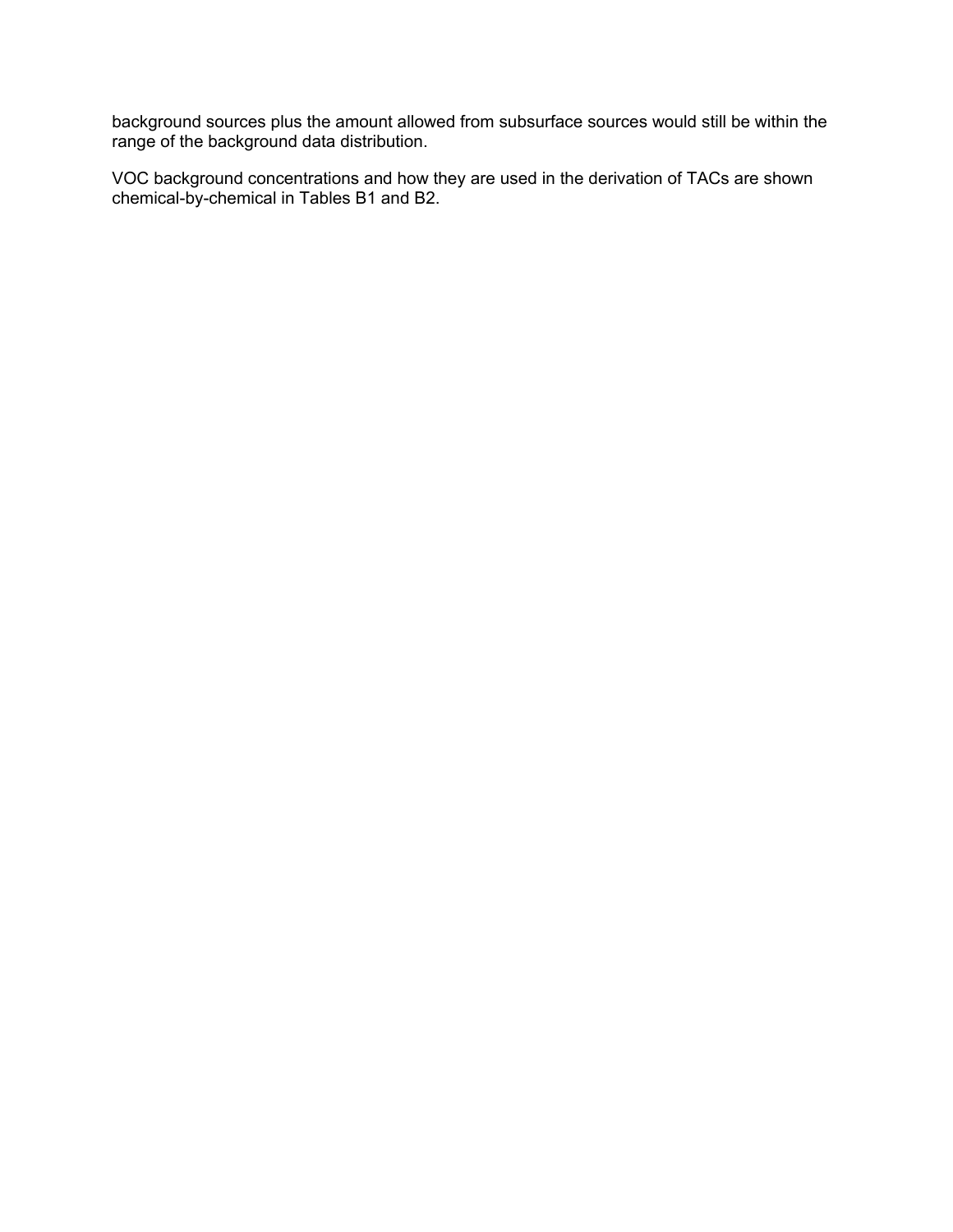background sources plus the amount allowed from subsurface sources would still be within the range of the background data distribution.

VOC background concentrations and how they are used in the derivation of TACs are shown chemical-by-chemical in Tables B1 and B2.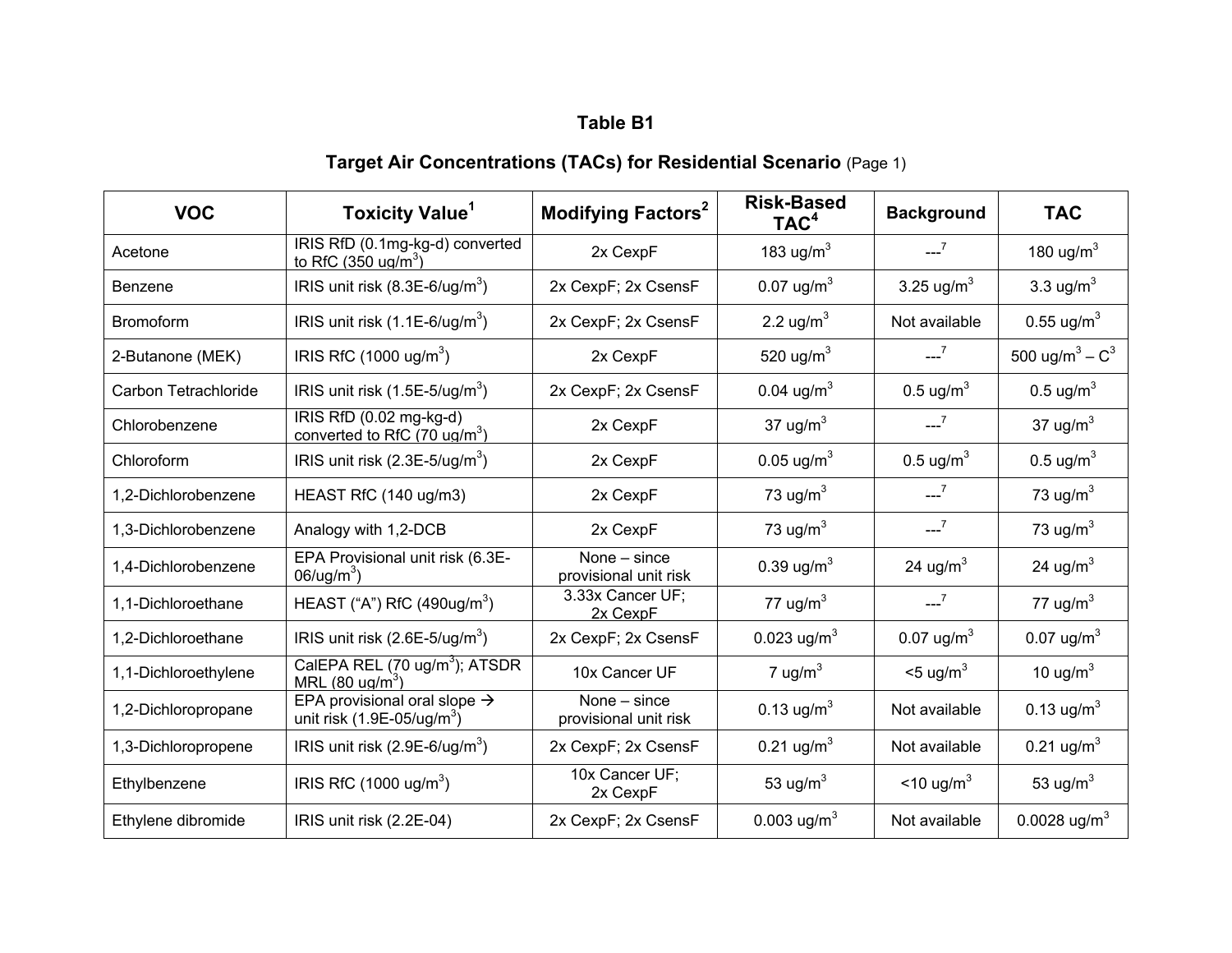# **Target Air Concentrations (TACs) for Residential Scenario** (Page 1)

| <b>VOC</b>           | <b>Toxicity Value<sup>1</sup></b>                                               | Modifying Factors <sup>2</sup>        | <b>Risk-Based</b><br>TAC <sup>4</sup> | <b>Background</b>             | <b>TAC</b>                    |
|----------------------|---------------------------------------------------------------------------------|---------------------------------------|---------------------------------------|-------------------------------|-------------------------------|
| Acetone              | IRIS RfD (0.1mg-kg-d) converted<br>to RfC $(350 \text{ uq/m}^3)$                | 2x CexpF                              | 183 ug/ $m3$                          | $-2$                          | 180 ug/m $3$                  |
| Benzene              | IRIS unit risk $(8.3E-6/\text{ug/m}^3)$                                         | 2x CexpF; 2x CsensF                   | 0.07 $ug/m3$                          | 3.25 $\mu$ g/m <sup>3</sup>   | 3.3 $ug/m3$                   |
| <b>Bromoform</b>     | IRIS unit risk $(1.1E-6/\text{ug/m}^3)$                                         | 2x CexpF; 2x CsensF                   | 2.2 $\mu$ g/m <sup>3</sup>            | Not available                 | $0.55 \text{ u} \text{g/m}^3$ |
| 2-Butanone (MEK)     | IRIS RfC $(1000 \text{ u}g/m^3)$                                                | 2x CexpF                              | 520 ug/ $m3$                          | $-2$                          | 500 ug/m <sup>3</sup> – $C^3$ |
| Carbon Tetrachloride | IRIS unit risk $(1.5E-5/\text{ug/m}^3)$                                         | 2x CexpF; 2x CsensF                   | 0.04 $\mu$ g/m <sup>3</sup>           | $0.5 \text{ ug/m}^3$          | 0.5 $\mu$ g/m <sup>3</sup>    |
| Chlorobenzene        | IRIS RfD (0.02 mg-kg-d)<br>converted to RfC (70 $\mu$ g/m <sup>3</sup> )        | 2x CexpF                              | 37 ug/m <sup>3</sup>                  | $-2$                          | 37 $ug/m3$                    |
| Chloroform           | IRIS unit risk $(2.3E-5/\text{ug/m}^3)$                                         | 2x CexpF                              | $0.05 \text{ ug/m}^3$                 | 0.5 ug/ $m3$                  | $0.5 \text{ u} \text{g/m}^3$  |
| 1,2-Dichlorobenzene  | HEAST RfC (140 ug/m3)                                                           | 2x CexpF                              | 73 ug/ $m3$                           | $-2^{7}$                      | 73 ug/ $m3$                   |
| 1,3-Dichlorobenzene  | Analogy with 1,2-DCB                                                            | 2x CexpF                              | 73 ug/m $3$                           | $-7$                          | 73 ug/ $m3$                   |
| 1,4-Dichlorobenzene  | EPA Provisional unit risk (6.3E-<br>$06/\text{ug/m}^3$ )                        | None - since<br>provisional unit risk | 0.39 $\mu$ g/m <sup>3</sup>           | 24 ug/m <sup>3</sup>          | 24 ug/ $m3$                   |
| 1,1-Dichloroethane   | HEAST ("A") RfC (490ug/m $3$ )                                                  | 3.33x Cancer UF;<br>2x CexpF          | 77 ug/ $m3$                           | $-2$                          | 77 ug/ $m3$                   |
| 1,2-Dichloroethane   | IRIS unit risk $(2.6E-5/\text{ug/m}^3)$                                         | 2x CexpF; 2x CsensF                   | 0.023 ug/m <sup>3</sup>               | $0.07 \text{ u} \text{g/m}^3$ | $0.07 \text{ ug/m}^3$         |
| 1,1-Dichloroethylene | CalEPA REL (70 ug/m <sup>3</sup> ); ATSDR<br>MRL $(80 \text{ ug/m}^3)$          | 10x Cancer UF                         | 7 ug/ $m3$                            | $<$ 5 ug/m <sup>3</sup>       | 10 $\mu$ g/m <sup>3</sup>     |
| 1,2-Dichloropropane  | EPA provisional oral slope $\rightarrow$<br>unit risk $(1.9E-05/\text{ug/m}^3)$ | None - since<br>provisional unit risk | 0.13 ug/m <sup>3</sup>                | Not available                 | 0.13 $\mu$ g/m <sup>3</sup>   |
| 1,3-Dichloropropene  | IRIS unit risk $(2.9E-6/\text{ug/m}^3)$                                         | 2x CexpF; 2x CsensF                   | 0.21 ug/m <sup>3</sup>                | Not available                 | $0.21 \text{ ug/m}^3$         |
| Ethylbenzene         | IRIS RfC $(1000 \text{ u}g/m^3)$                                                | 10x Cancer UF;<br>2x CexpF            | 53 ug/m <sup>3</sup>                  | $<$ 10 ug/m <sup>3</sup>      | 53 ug/ $m3$                   |
| Ethylene dibromide   | IRIS unit risk (2.2E-04)                                                        | 2x CexpF; 2x CsensF                   | 0.003 ug/m <sup>3</sup>               | Not available                 | 0.0028 ug/m <sup>3</sup>      |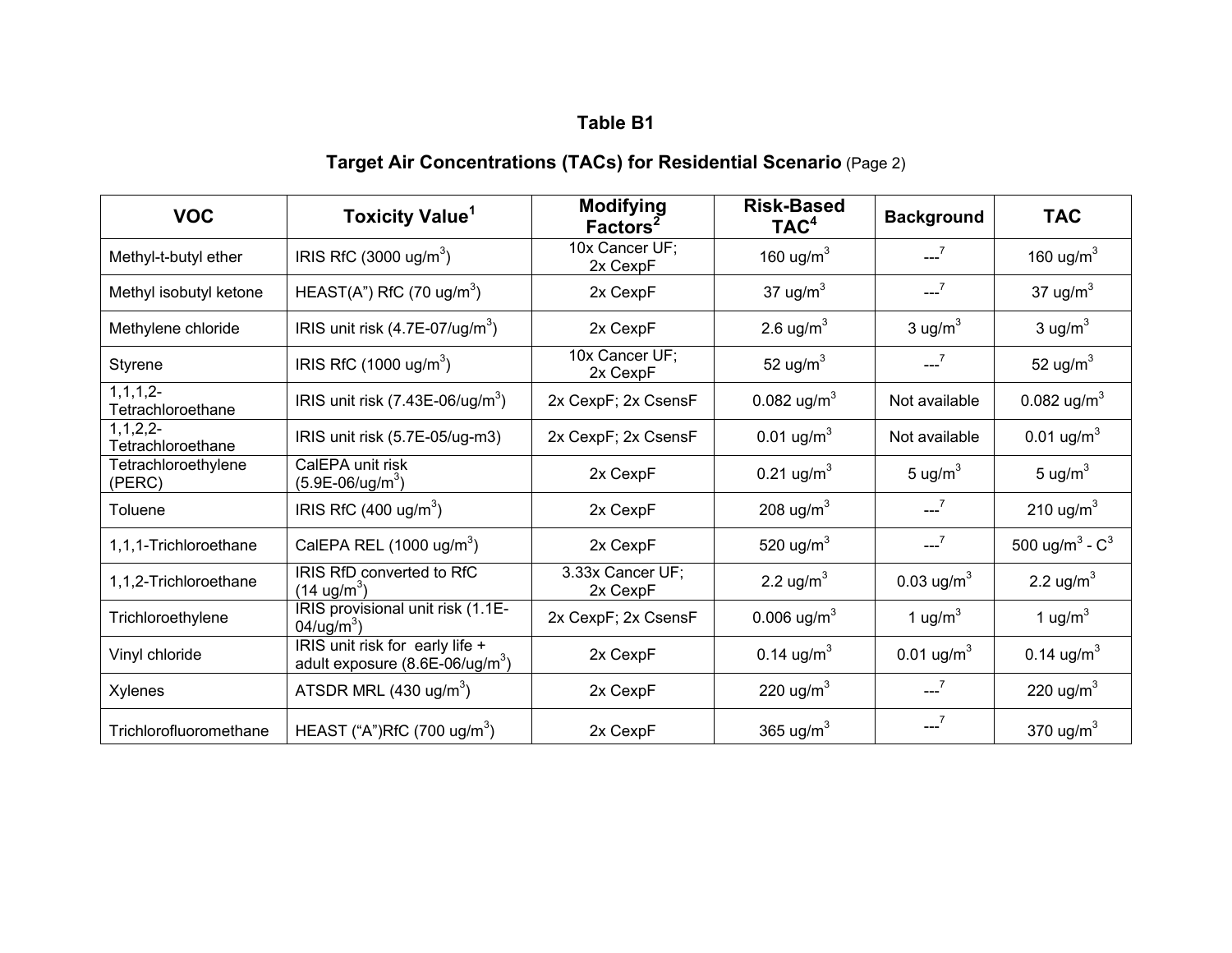# **Target Air Concentrations (TACs) for Residential Scenario** (Page 2)

| <b>VOC</b>                          | <b>Toxicity Value<sup>1</sup></b>                                           | <b>Modifying</b><br>Factors <sup>2</sup> | <b>Risk-Based</b><br>TAC <sup>4</sup> | <b>Background</b>           | <b>TAC</b>                    |
|-------------------------------------|-----------------------------------------------------------------------------|------------------------------------------|---------------------------------------|-----------------------------|-------------------------------|
| Methyl-t-butyl ether                | IRIS RfC $(3000 \text{ ug/m}^3)$                                            | 10x Cancer UF;<br>2x CexpF               | 160 ug/m $3$                          | $-2$                        | 160 ug/m $3$                  |
| Methyl isobutyl ketone              | HEAST(A") RfC (70 ug/m <sup>3</sup> )                                       | 2x CexpF                                 | 37 ug/ $m3$                           | $-2$                        | 37 ug/ $m3$                   |
| Methylene chloride                  | IRIS unit risk $(4.7E-07/\text{ug/m}^3)$                                    | 2x CexpF                                 | 2.6 $\mu$ g/m <sup>3</sup>            | 3 ug/ $m3$                  | $3 \text{ ug/m}^3$            |
| Styrene                             | IRIS RfC $(1000 \text{ u}g/m^3)$                                            | 10x Cancer UF:<br>2x CexpF               | 52 ug/ $m^3$                          | $--^7$                      | 52 ug/ $m3$                   |
| $1, 1, 1, 2-$<br>Tetrachloroethane  | IRIS unit risk $(7.43E-06/\text{ug/m}^3)$                                   | 2x CexpF; 2x CsensF                      | 0.082 ug/m <sup>3</sup>               | Not available               | 0.082 ug/m <sup>3</sup>       |
| $1, 1, 2, 2$ -<br>Tetrachloroethane | IRIS unit risk (5.7E-05/ug-m3)                                              | 2x CexpF; 2x CsensF                      | 0.01 $\mu$ g/m <sup>3</sup>           | Not available               | $0.01 \text{ ug/m}^3$         |
| Tetrachloroethylene<br>(PERC)       | CalEPA unit risk<br>$(5.9E-06/ug/m3)$                                       | 2x CexpF                                 | 0.21 $\mu$ g/m <sup>3</sup>           | 5 ug/ $m3$                  | 5 ug/ $m3$                    |
| Toluene                             | IRIS RfC $(400 \text{ ug/m}^3)$                                             | 2x CexpF                                 | 208 ug/m <sup>3</sup>                 | $-7$                        | 210 ug/ $m3$                  |
| 1,1,1-Trichloroethane               | CalEPA REL $(1000 \text{ ug/m}^3)$                                          | 2x CexpF                                 | 520 ug/m <sup>3</sup>                 | $-2$                        | 500 ug/m <sup>3</sup> - $C^3$ |
| 1,1,2-Trichloroethane               | IRIS RfD converted to RfC<br>$(14 \text{ ug/m}^3)$                          | 3.33x Cancer UF;<br>2x CexpF             | 2.2 $\mu$ g/m <sup>3</sup>            | 0.03 $\mu$ g/m <sup>3</sup> | 2.2 ug/ $m3$                  |
| Trichloroethylene                   | IRIS provisional unit risk (1.1E-<br>$04/\text{ug/m}^3$ )                   | 2x CexpF; 2x CsensF                      | 0.006 ug/m <sup>3</sup>               | 1 ug/ $m3$                  | 1 ug/ $m3$                    |
| Vinyl chloride                      | IRIS unit risk for early life +<br>adult exposure $(8.6E-06/\text{ug/m}^3)$ | 2x CexpF                                 | 0.14 $\mu$ g/m <sup>3</sup>           | 0.01 ug/m <sup>3</sup>      | 0.14 $\mu$ g/m <sup>3</sup>   |
| Xylenes                             | ATSDR MRL $(430 \text{ ug/m}^3)$                                            | 2x CexpF                                 | 220 ug/m <sup>3</sup>                 | $-7$                        | 220 ug/m $3$                  |
| Trichlorofluoromethane              | HEAST ("A")RfC (700 ug/m <sup>3</sup> )                                     | 2x CexpF                                 | 365 ug/m <sup>3</sup>                 |                             | 370 ug/m $3$                  |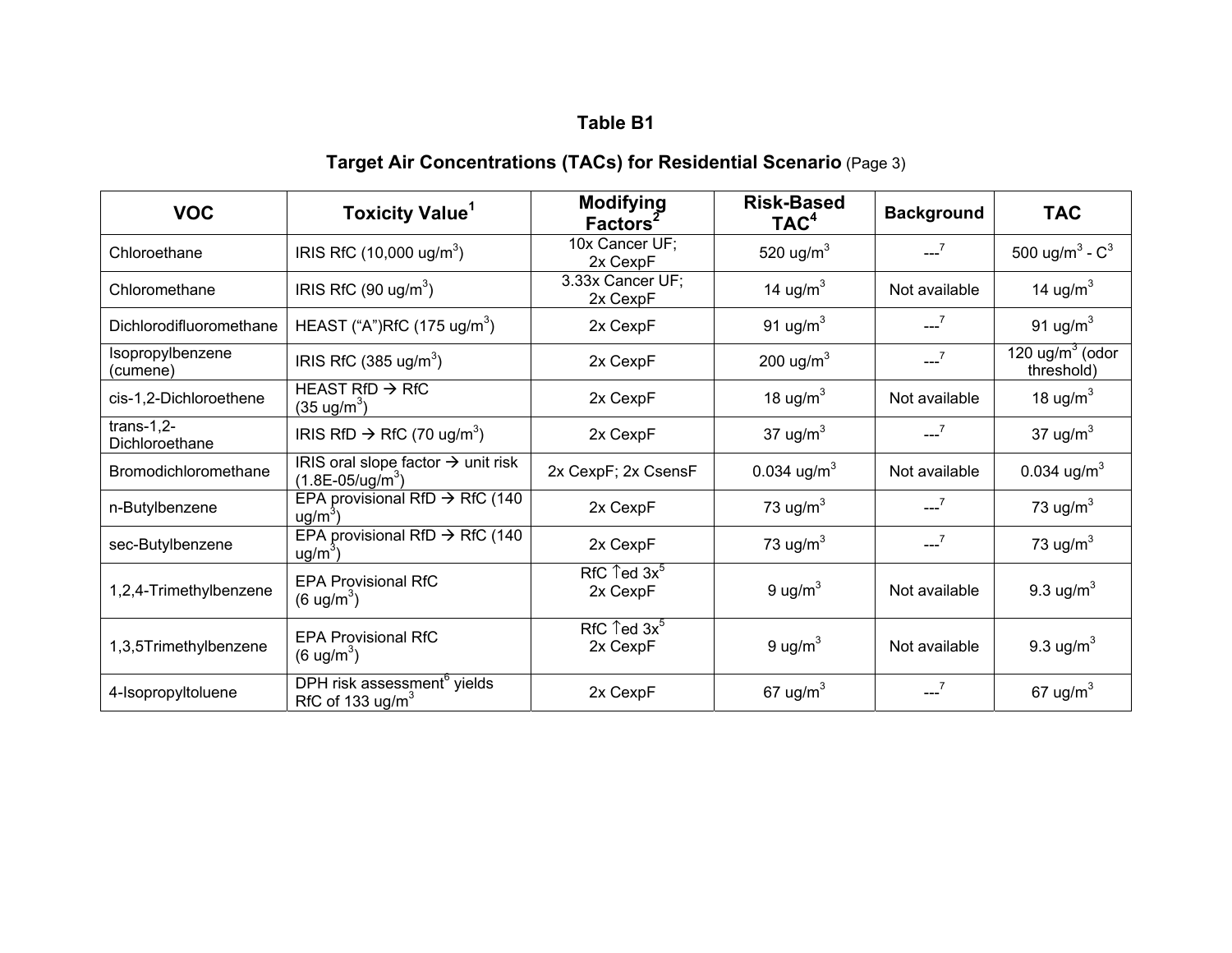# **Target Air Concentrations (TACs) for Residential Scenario** (Page 3)

| <b>VOC</b>                     | <b>Toxicity Value<sup>1</sup></b>                                       | <b>Modifying</b><br>Factors <sup>2</sup>      | <b>Risk-Based</b><br>TAC <sup>4</sup> | <b>Background</b> | <b>TAC</b>                        |
|--------------------------------|-------------------------------------------------------------------------|-----------------------------------------------|---------------------------------------|-------------------|-----------------------------------|
| Chloroethane                   | IRIS RfC $(10,000 \text{ u}g/m^3)$                                      | 10x Cancer UF;<br>2x CexpF                    | 520 ug/m <sup>3</sup>                 | $-7$              | 500 ug/m <sup>3</sup> - $C^3$     |
| Chloromethane                  | IRIS RfC $(90 \text{ u}g/m^3)$                                          | 3.33x Cancer UF;<br>2x CexpF                  | 14 ug/m $3$                           | Not available     | 14 ug/m $3$                       |
| Dichlorodifluoromethane        | HEAST ("A")RfC (175 ug/m <sup>3</sup> )                                 | 2x CexpF                                      | 91 ug/ $m3$                           | $-7$              | 91 ug/ $m^3$                      |
| Isopropylbenzene<br>(cumene)   | IRIS RfC $(385 \text{ ug/m}^3)$                                         | 2x CexpF                                      | 200 ug/m <sup>3</sup>                 | $--^7$            | 120 ug/ $m^3$ (odor<br>threshold) |
| cis-1,2-Dichloroethene         | HEAST RfD $\rightarrow$ RfC<br>(35 ug/m $^3)$                           | 2x CexpF                                      | 18 ug/ $m3$                           | Not available     | 18 ug/m $3$                       |
| $trans-1,2-$<br>Dichloroethane | IRIS RfD $\rightarrow$ RfC (70 ug/m <sup>3</sup> )                      | 2x CexpF                                      | 37 ug/ $m3$                           | $-2$              | 37 ug/ $m3$                       |
| Bromodichloromethane           | IRIS oral slope factor $\rightarrow$ unit risk<br>$(1.8E-05/ug/m3)$     | 2x CexpF; 2x CsensF                           | 0.034 ug/m <sup>3</sup>               | Not available     | 0.034 $\mu$ g/m <sup>3</sup>      |
| n-Butylbenzene                 | EPA provisional RfD $\rightarrow$ RfC (140<br>$ug/m3$ )                 | 2x CexpF                                      | 73 ug/ $m3$                           | $-2$              | 73 ug/m $3$                       |
| sec-Butylbenzene               | EPA provisional RfD $\rightarrow$ RfC (140<br>$ug/m3$ )                 | 2x CexpF                                      | 73 ug/ $m3$                           | $-7$              | 73 ug/m $3$                       |
| 1,2,4-Trimethylbenzene         | <b>EPA Provisional RfC</b><br>$(6 \text{ ug/m}^3)$                      | RfC $\uparrow$ ed 3x <sup>5</sup><br>2x CexpF | 9 ug/ $m^3$                           | Not available     | 9.3 ug/ $m3$                      |
| 1,3,5Trimethylbenzene          | <b>EPA Provisional RfC</b><br>$(6 \text{ ug/m}^3)$                      | RfC $\uparrow$ ed 3x <sup>5</sup><br>2x CexpF | 9 ug/ $m3$                            | Not available     | 9.3 ug/ $m3$                      |
| 4-Isopropyltoluene             | DPH risk assessment <sup>6</sup> yields<br>RfC of 133 ug/m <sup>3</sup> | 2x CexpF                                      | 67 ug/m $3$                           |                   | 67 ug/m $3$                       |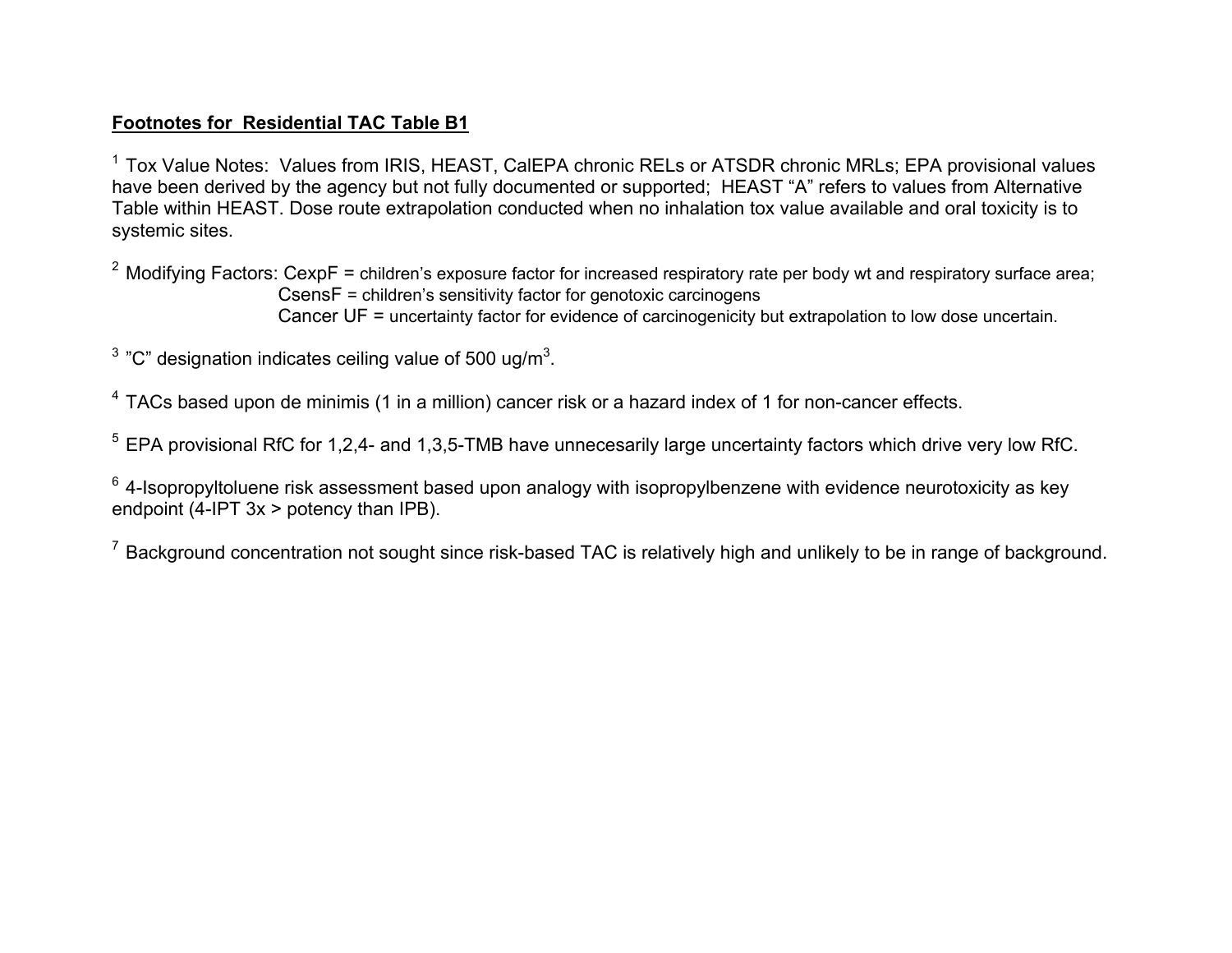#### **Footnotes for Residential TAC Table B1**

<sup>1</sup> Tox Value Notes: Values from IRIS, HEAST, CalEPA chronic RELs or ATSDR chronic MRLs; EPA provisional values have been derived by the agency but not fully documented or supported; HEAST "A" refers to values from Alternative Table within HEAST. Dose route extrapolation conducted when no inhalation tox value available and oral toxicity is to systemic sites.

<sup>2</sup> Modifying Factors: CexpF = children's exposure factor for increased respiratory rate per body wt and respiratory surface area; CsensF = children's sensitivity factor for genotoxic carcinogens Cancer UF = uncertainty factor for evidence of carcinogenicity but extrapolation to low dose uncertain.

<sup>3</sup> "C" designation indicates ceiling value of 500 ug/m<sup>3</sup>.

 $4$  TACs based upon de minimis (1 in a million) cancer risk or a hazard index of 1 for non-cancer effects.

<sup>5</sup> EPA provisional RfC for 1,2,4- and 1,3,5-TMB have unnecesarily large uncertainty factors which drive very low RfC.

 $6$  4-Isopropyltoluene risk assessment based upon analogy with isopropylbenzene with evidence neurotoxicity as key endpoint (4-IPT 3x > potency than IPB).

 $<sup>7</sup>$  Background concentration not sought since risk-based TAC is relatively high and unlikely to be in range of background.</sup>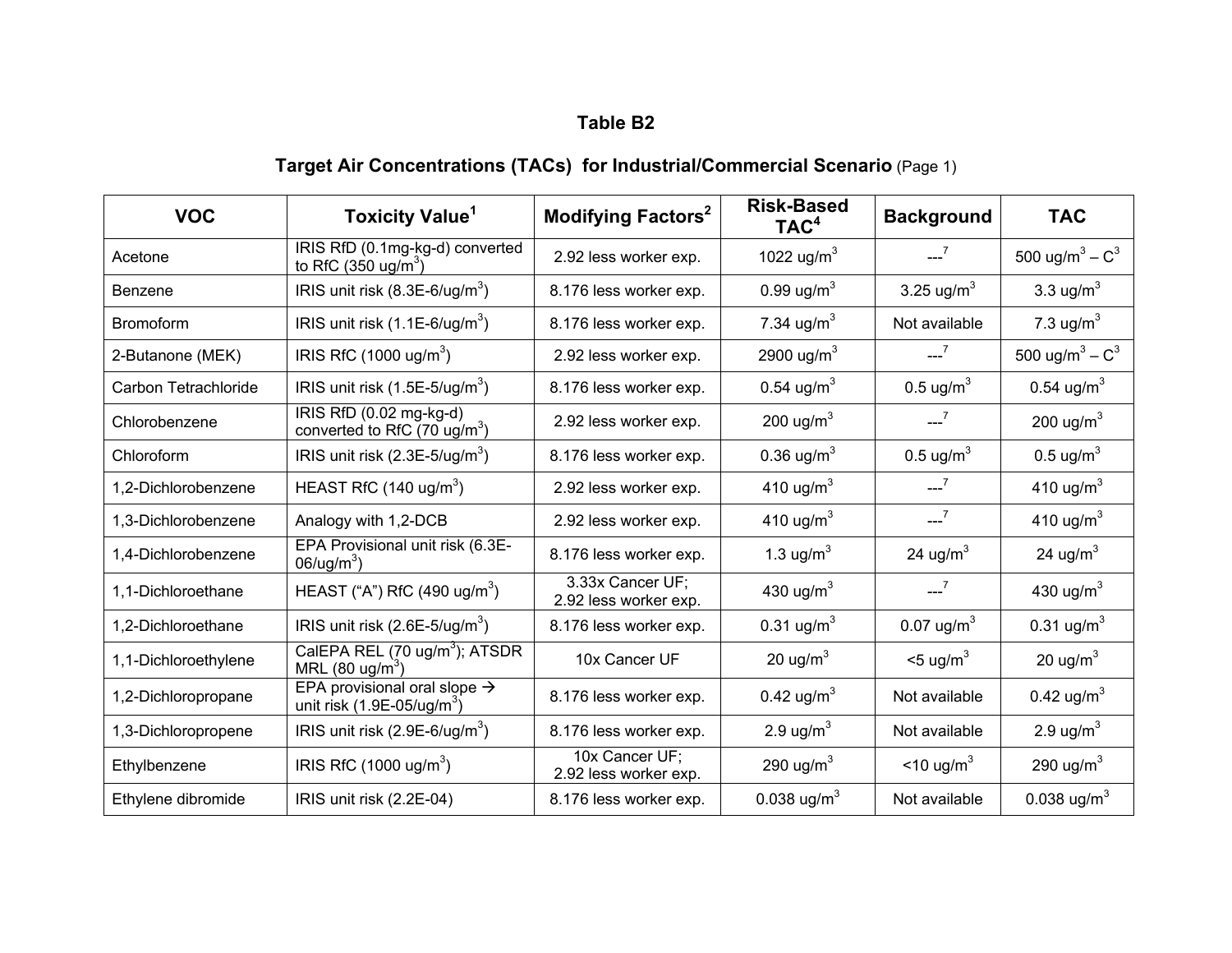# **Target Air Concentrations (TACs) for Industrial/Commercial Scenario** (Page 1)

| <b>VOC</b>           | <b>Toxicity Value</b> <sup>1</sup>                                              | <b>Modifying Factors<sup>2</sup></b>      | <b>Risk-Based</b><br>TAC <sup>4</sup> | <b>Background</b>           | <b>TAC</b>                    |
|----------------------|---------------------------------------------------------------------------------|-------------------------------------------|---------------------------------------|-----------------------------|-------------------------------|
| Acetone              | IRIS RfD (0.1mg-kg-d) converted<br>to RfC (350 $\mu$ g/m <sup>3</sup> )         | 2.92 less worker exp.                     | 1022 ug/m <sup>3</sup>                | $-2$                        | 500 ug/m <sup>3</sup> – $C^3$ |
| Benzene              | IRIS unit risk $(8.3E-6/\text{ug/m}^3)$                                         | 8.176 less worker exp.                    | 0.99 $\mu$ g/m <sup>3</sup>           | 3.25 $\mu$ g/m <sup>3</sup> | 3.3 $\mu$ g/m <sup>3</sup>    |
| <b>Bromoform</b>     | IRIS unit risk $(1.1E-6/\text{ug/m}^3)$                                         | 8.176 less worker exp.                    | 7.34 $\mu$ g/m <sup>3</sup>           | Not available               | 7.3 $\mu$ g/m <sup>3</sup>    |
| 2-Butanone (MEK)     | IRIS RfC $(1000 \text{ u}g/m^3)$                                                | 2.92 less worker exp.                     | 2900 ug/m <sup>3</sup>                | $-7$                        | 500 ug/m <sup>3</sup> – $C^3$ |
| Carbon Tetrachloride | IRIS unit risk $(1.5E-5/\text{ug/m}^3)$                                         | 8.176 less worker exp.                    | 0.54 $\mu$ g/m <sup>3</sup>           | $0.5 \text{ ug/m}^3$        | 0.54 $\mu$ g/m <sup>3</sup>   |
| Chlorobenzene        | IRIS RfD (0.02 mg-kg-d)<br>converted to RfC (70 ug/m <sup>3</sup> )             | 2.92 less worker exp.                     | 200 ug/m <sup>3</sup>                 | $-2^{7}$                    | 200 ug/m $3$                  |
| Chloroform           | IRIS unit risk $(2.3E-5/\text{ug/m}^3)$                                         | 8.176 less worker exp.                    | 0.36 $\mu$ g/m <sup>3</sup>           | $0.5 \text{ ug/m}^3$        | $0.5 \text{ u} \text{g/m}^3$  |
| 1,2-Dichlorobenzene  | HEAST RfC $(140 \text{ u}g/m^3)$                                                | 2.92 less worker exp.                     | 410 ug/m <sup>3</sup>                 | $-7$                        | 410 ug/m <sup>3</sup>         |
| 1,3-Dichlorobenzene  | Analogy with 1,2-DCB                                                            | 2.92 less worker exp.                     | 410 ug/m <sup>3</sup>                 | $-2$                        | 410 ug/m <sup>3</sup>         |
| 1,4-Dichlorobenzene  | EPA Provisional unit risk (6.3E-<br>$06/\text{ug/m}^3$ )                        | 8.176 less worker exp.                    | 1.3 ug/m <sup>3</sup>                 | 24 ug/m <sup>3</sup>        | 24 ug/m <sup>3</sup>          |
| 1.1-Dichloroethane   | HEAST ("A") RfC (490 ug/m <sup>3</sup> )                                        | 3.33x Cancer UF;<br>2.92 less worker exp. | 430 ug/m <sup>3</sup>                 | $-2$                        | 430 ug/m $3$                  |
| 1,2-Dichloroethane   | IRIS unit risk $(2.6E-5/\text{ug/m}^3)$                                         | 8.176 less worker exp.                    | 0.31 $\mu$ g/m <sup>3</sup>           | 0.07 $ug/m3$                | 0.31 $ug/m^3$                 |
| 1,1-Dichloroethylene | CalEPA REL (70 ug/m <sup>3</sup> ); ATSDR<br>MRL $(80 \text{ ug/m}^3)$          | 10x Cancer UF                             | 20 ug/m $3$                           | $<$ 5 ug/m <sup>3</sup>     | 20 ug/m <sup>3</sup>          |
| 1,2-Dichloropropane  | EPA provisional oral slope $\rightarrow$<br>unit risk $(1.9E-05/\text{ug/m}^3)$ | 8.176 less worker exp.                    | 0.42 $\mu$ g/m <sup>3</sup>           | Not available               | 0.42 ug/m <sup>3</sup>        |
| 1,3-Dichloropropene  | IRIS unit risk $(2.9E-6/\text{ug/m}^3)$                                         | 8.176 less worker exp.                    | 2.9 $\mu$ g/m <sup>3</sup>            | Not available               | 2.9 $\mu$ g/m <sup>3</sup>    |
| Ethylbenzene         | IRIS RfC $(1000 \text{ u}g/m^3)$                                                | 10x Cancer UF;<br>2.92 less worker exp.   | 290 ug/m <sup>3</sup>                 | $<$ 10 ug/m <sup>3</sup>    | 290 ug/m <sup>3</sup>         |
| Ethylene dibromide   | IRIS unit risk (2.2E-04)                                                        | 8.176 less worker exp.                    | 0.038 ug/m <sup>3</sup>               | Not available               | 0.038 ug/m <sup>3</sup>       |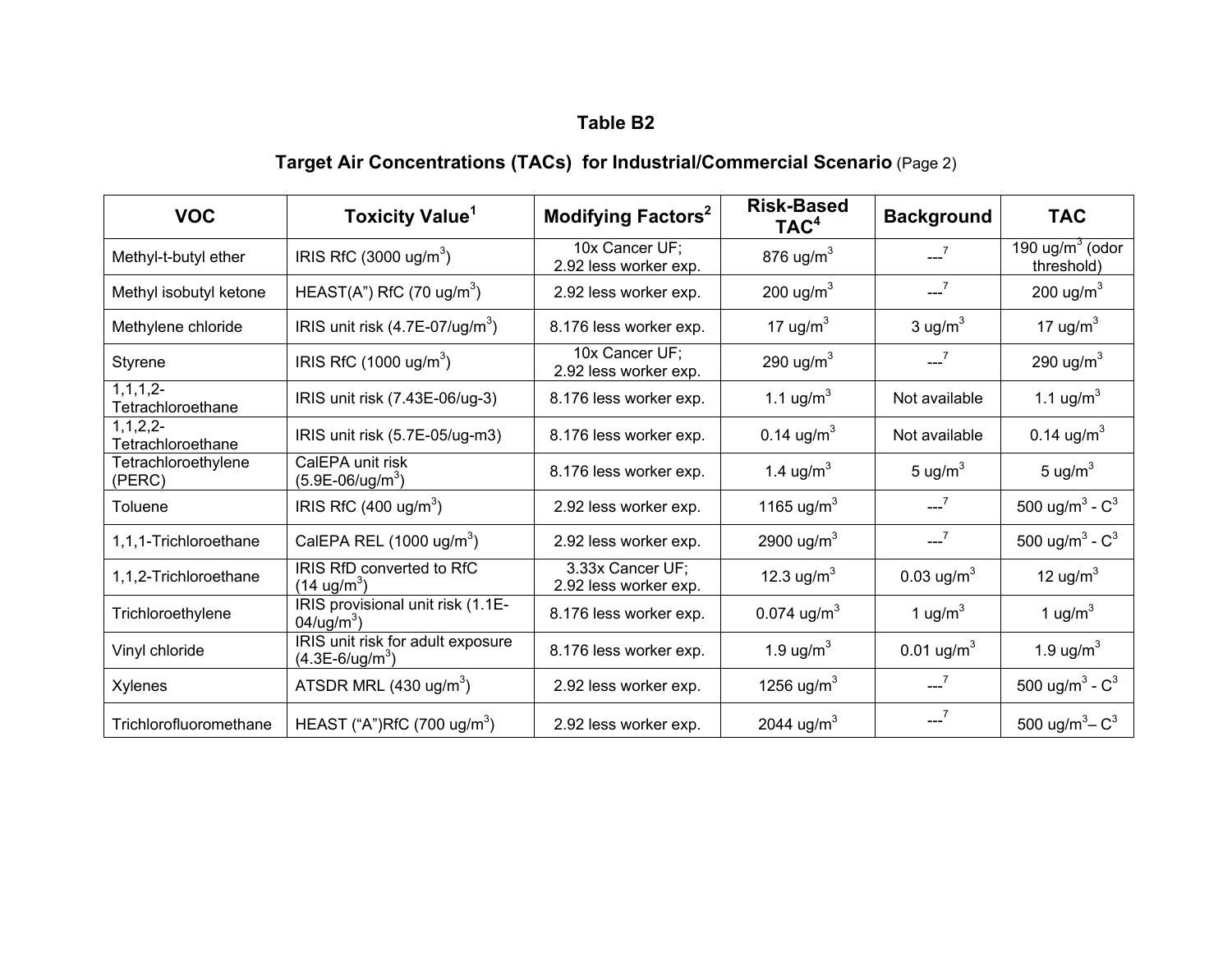# **Target Air Concentrations (TACs) for Industrial/Commercial Scenario** (Page 2)

| <b>VOC</b>                         | <b>Toxicity Value<sup>1</sup></b>                           | Modifying Factors <sup>2</sup>            | <b>Risk-Based</b><br>TAC <sup>4</sup> | <b>Background</b>           | <b>TAC</b>                      |
|------------------------------------|-------------------------------------------------------------|-------------------------------------------|---------------------------------------|-----------------------------|---------------------------------|
| Methyl-t-butyl ether               | IRIS RfC $(3000 \text{ ug/m}^3)$                            | 10x Cancer UF;<br>2.92 less worker exp.   | 876 ug/m $3$                          | $-2$                        | 190 $ug/m3$ (odor<br>threshold) |
| Methyl isobutyl ketone             | HEAST(A") RfC (70 ug/m <sup>3</sup> )                       | 2.92 less worker exp.                     | 200 ug/m <sup>3</sup>                 | $--7$                       | 200 ug/m $3$                    |
| Methylene chloride                 | IRIS unit risk $(4.7E-07/\text{ug/m}^3)$                    | 8.176 less worker exp.                    | 17 ug/ $m3$                           | 3 ug/ $m3$                  | 17 ug/m $3$                     |
| Styrene                            | IRIS RfC $(1000 \text{ u}g/m^3)$                            | 10x Cancer UF;<br>2.92 less worker exp.   | 290 ug/m <sup>3</sup>                 | $-7$                        | 290 ug/m $3$                    |
| $1, 1, 1, 2-$<br>Tetrachloroethane | IRIS unit risk (7.43E-06/ug-3)                              | 8.176 less worker exp.                    | 1.1 ug/m <sup>3</sup>                 | Not available               | 1.1 ug/m <sup>3</sup>           |
| 1, 1, 2, 2<br>Tetrachloroethane    | IRIS unit risk (5.7E-05/ug-m3)                              | 8.176 less worker exp.                    | 0.14 $\mu$ g/m <sup>3</sup>           | Not available               | 0.14 $\mu$ g/m <sup>3</sup>     |
| Tetrachloroethylene<br>(PERC)      | CalEPA unit risk<br>$(5.9E-06/ug/m3)$                       | 8.176 less worker exp.                    | 1.4 ug/m <sup>3</sup>                 | 5 ug/ $m3$                  | 5 ug/ $m3$                      |
| Toluene                            | IRIS RfC $(400 \text{ u}g/m^3)$                             | 2.92 less worker exp.                     | 1165 ug/m <sup>3</sup>                | $-2$                        | 500 ug/m <sup>3</sup> - $C^3$   |
| 1,1,1-Trichloroethane              | CalEPA REL $(1000 \text{ ug/m}^3)$                          | 2.92 less worker exp.                     | 2900 ug/m <sup>3</sup>                | $--7$                       | 500 ug/m <sup>3</sup> - $C^3$   |
| 1,1,2-Trichloroethane              | IRIS RfD converted to RfC<br>$(14 \text{ ug/m}^3)$          | 3.33x Cancer UF;<br>2.92 less worker exp. | 12.3 ug/m <sup>3</sup>                | 0.03 $\mu$ g/m <sup>3</sup> | 12 ug/m $3$                     |
| Trichloroethylene                  | IRIS provisional unit risk (1.1E-<br>04/ug/m <sup>3</sup> ) | 8.176 less worker exp.                    | 0.074 ug/m <sup>3</sup>               | 1 ug/ $m3$                  | 1 ug/ $m3$                      |
| Vinyl chloride                     | IRIS unit risk for adult exposure<br>$(4.3E-6/ug/m3)$       | 8.176 less worker exp.                    | 1.9 $\mu$ g/m <sup>3</sup>            | 0.01 $\mu$ g/m <sup>3</sup> | 1.9 ug/m $3$                    |
| <b>Xylenes</b>                     | ATSDR MRL $(430 \text{ ug/m}^3)$                            | 2.92 less worker exp.                     | 1256 ug/m <sup>3</sup>                | $-2^{7}$                    | 500 ug/m <sup>3</sup> - $C^3$   |
| Trichlorofluoromethane             | HEAST ("A")RfC (700 ug/m <sup>3</sup> )                     | 2.92 less worker exp.                     | 2044 ug/m <sup>3</sup>                | $-2^{7}$                    | 500 ug/m <sup>3</sup> – $C^3$   |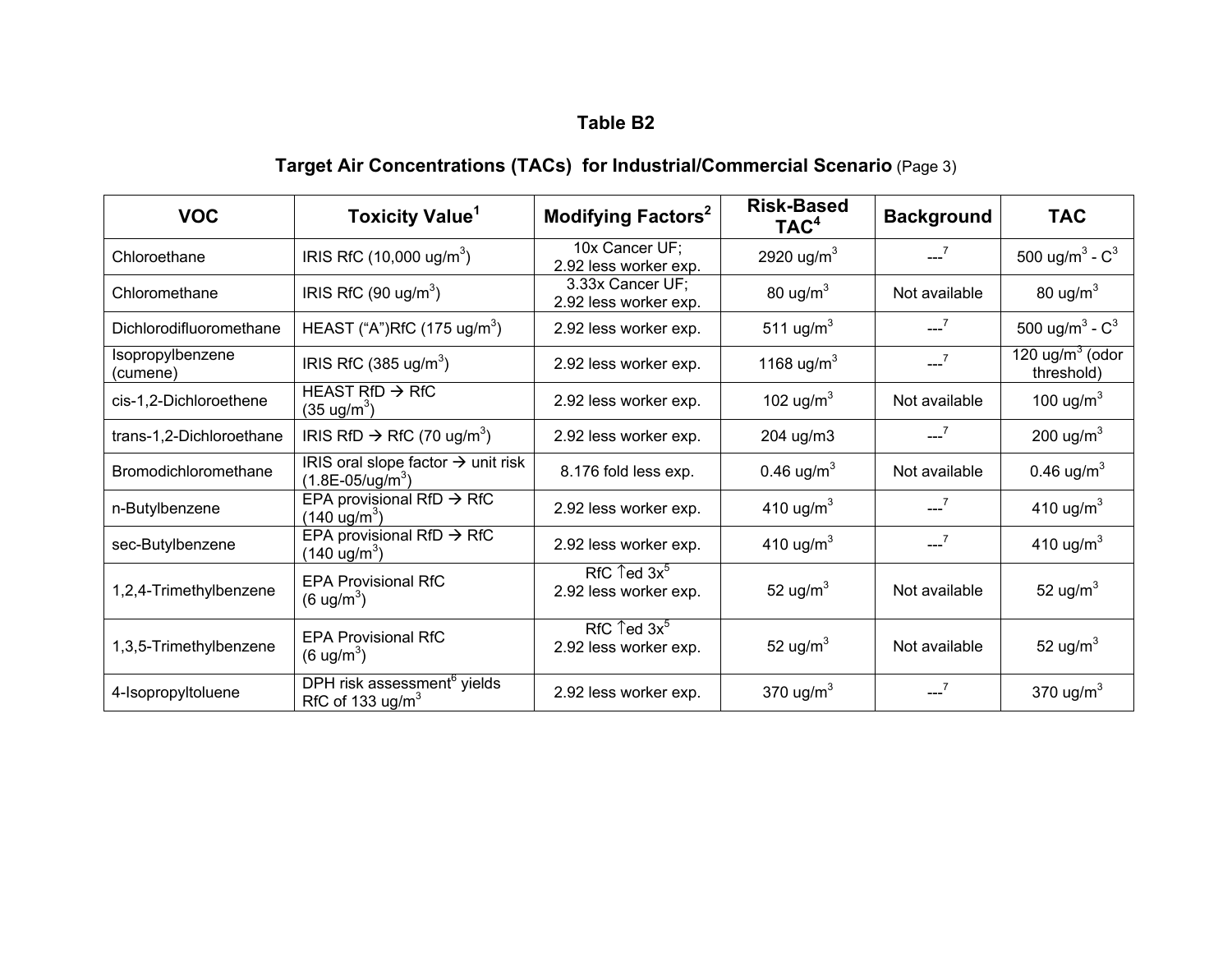# **Target Air Concentrations (TACs) for Industrial/Commercial Scenario** (Page 3)

| <b>VOC</b>                   | <b>Toxicity Value</b> <sup>1</sup>                                            | Modifying Factors <sup>2</sup>                  | <b>Risk-Based</b><br>TAC <sup>4</sup> | <b>Background</b> | <b>TAC</b>                                     |
|------------------------------|-------------------------------------------------------------------------------|-------------------------------------------------|---------------------------------------|-------------------|------------------------------------------------|
| Chloroethane                 | IRIS RfC $(10,000 \text{ ug/m}^3)$                                            | 10x Cancer UF;<br>2.92 less worker exp.         | 2920 ug/m <sup>3</sup>                | $-7$              | 500 ug/m <sup>3</sup> - $C^3$                  |
| Chloromethane                | IRIS RfC $(90 \text{ ug/m}^3)$                                                | 3.33x Cancer UF;<br>2.92 less worker exp.       | 80 ug/m $3$                           | Not available     | 80 ug/m <sup>3</sup>                           |
| Dichlorodifluoromethane      | HEAST ("A")RfC (175 ug/m <sup>3</sup> )                                       | 2.92 less worker exp.                           | 511 ug/m <sup>3</sup>                 | $-7$              | 500 ug/m <sup>3</sup> - $C^3$                  |
| Isopropylbenzene<br>(cumene) | IRIS RfC $(385 \text{ ug/m}^3)$                                               | 2.92 less worker exp.                           | 1168 ug/m <sup>3</sup>                | $-7$              | 120 $\mu$ g/m <sup>3</sup> (odor<br>threshold) |
| cis-1,2-Dichloroethene       | HEAST RfD $\rightarrow$ RfC<br>$(35 \text{ ug/m}^3)$                          | 2.92 less worker exp.                           | 102 ug/m $3$                          | Not available     | 100 ug/m $3$                                   |
| trans-1,2-Dichloroethane     | IRIS RfD $\rightarrow$ RfC (70 ug/m <sup>3</sup> )                            | 2.92 less worker exp.                           | 204 ug/m3                             | $--^7$            | 200 ug/m $3$                                   |
| Bromodichloromethane         | IRIS oral slope factor $\rightarrow$ unit risk<br>$(1.8E - 05/\text{ug/m}^3)$ | 8.176 fold less exp.                            | 0.46 $\mu$ g/m <sup>3</sup>           | Not available     | 0.46 $\mu$ g/m <sup>3</sup>                    |
| n-Butylbenzene               | EPA provisional RfD $\rightarrow$ RfC<br>$(140 \text{ ug/m}^3)$               | 2.92 less worker exp.                           | 410 ug/m <sup>3</sup>                 | $-7$              | 410 ug/m $3$                                   |
| sec-Butylbenzene             | EPA provisional RfD $\rightarrow$ RfC<br>$(140 \text{ ug/m}^3)$               | 2.92 less worker exp.                           | 410 ug/m <sup>3</sup>                 | $-7$              | 410 ug/m $3$                                   |
| 1,2,4-Trimethylbenzene       | <b>EPA Provisional RfC</b><br>$(6 \text{ ug/m}^3)$                            | RfC $\text{red } 3x^5$<br>2.92 less worker exp. | 52 ug/m <sup>3</sup>                  | Not available     | 52 ug/ $m3$                                    |
| 1,3,5-Trimethylbenzene       | <b>EPA Provisional RfC</b><br>$(6 \text{ ug/m}^3)$                            | RfC $\text{red } 3x^5$<br>2.92 less worker exp. | 52 ug/m $3$                           | Not available     | 52 ug/m $3$                                    |
| 4-Isopropyltoluene           | DPH risk assessment <sup>6</sup> yields<br>RfC of 133 ug/m <sup>3</sup>       | 2.92 less worker exp.                           | 370 ug/m $3$                          | $-7$              | 370 ug/ $m3$                                   |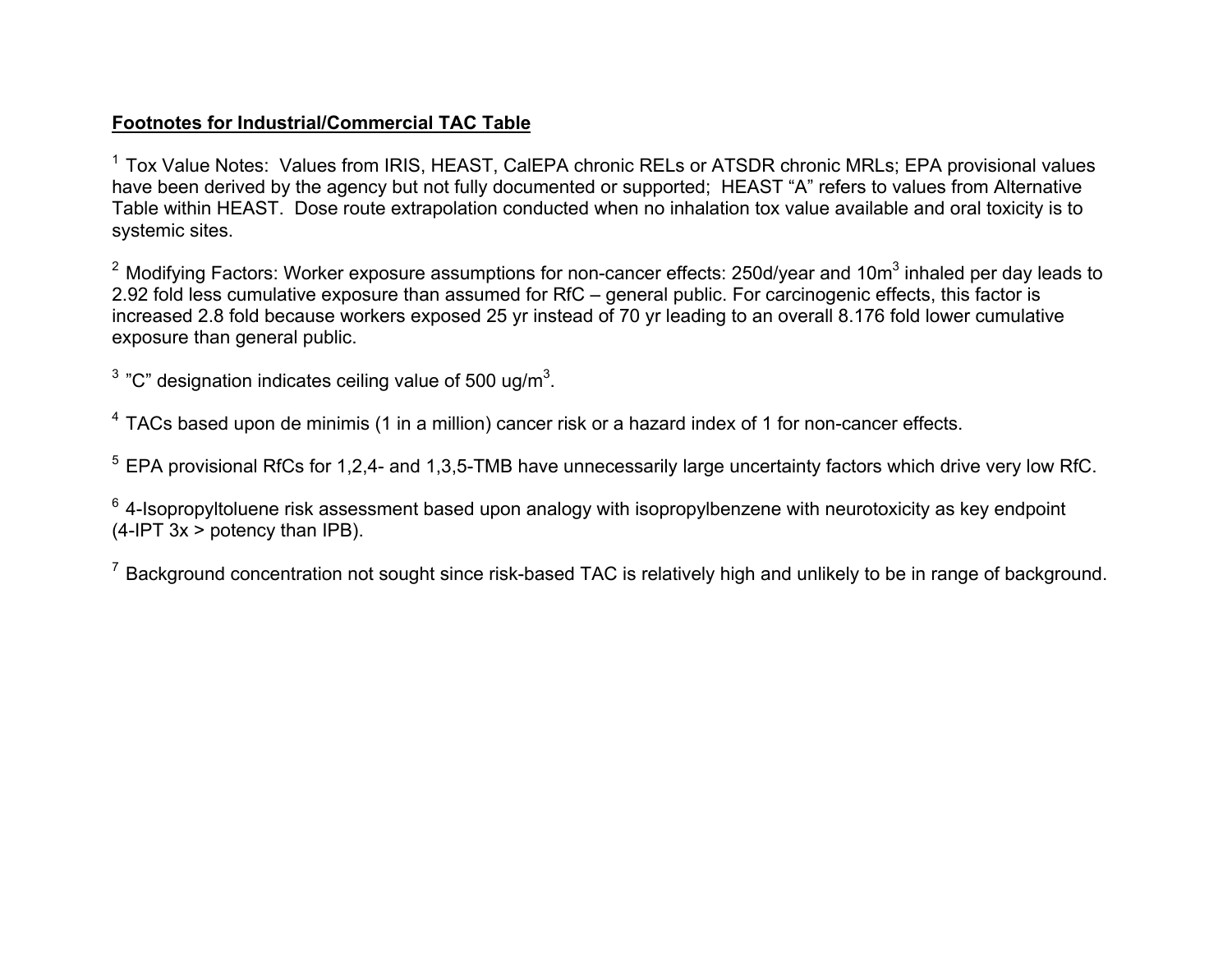#### **Footnotes for Industrial/Commercial TAC Table**

<sup>1</sup> Tox Value Notes: Values from IRIS, HEAST, CalEPA chronic RELs or ATSDR chronic MRLs; EPA provisional values have been derived by the agency but not fully documented or supported; HEAST "A" refers to values from Alternative Table within HEAST. Dose route extrapolation conducted when no inhalation tox value available and oral toxicity is to systemic sites.

 $^{\rm 2}$  Modifying Factors: Worker exposure assumptions for non-cancer effects: 250d/year and 10m $^{\rm 3}$  inhaled per day leads to 2.92 fold less cumulative exposure than assumed for RfC – general public. For carcinogenic effects, this factor is increased 2.8 fold because workers exposed 25 yr instead of 70 yr leading to an overall 8.176 fold lower cumulative exposure than general public.

<sup>3</sup> "C" designation indicates ceiling value of 500 ug/m<sup>3</sup>.

<sup>4</sup> TACs based upon de minimis (1 in a million) cancer risk or a hazard index of 1 for non-cancer effects.

5 EPA provisional RfCs for 1,2,4- and 1,3,5-TMB have unnecessarily large uncertainty factors which drive very low RfC.

 $6$  4-Isopropyltoluene risk assessment based upon analogy with isopropylbenzene with neurotoxicity as key endpoint  $(4$ -IPT  $3x >$  potency than IPB).

 $^7$  Background concentration not sought since risk-based TAC is relatively high and unlikely to be in range of background.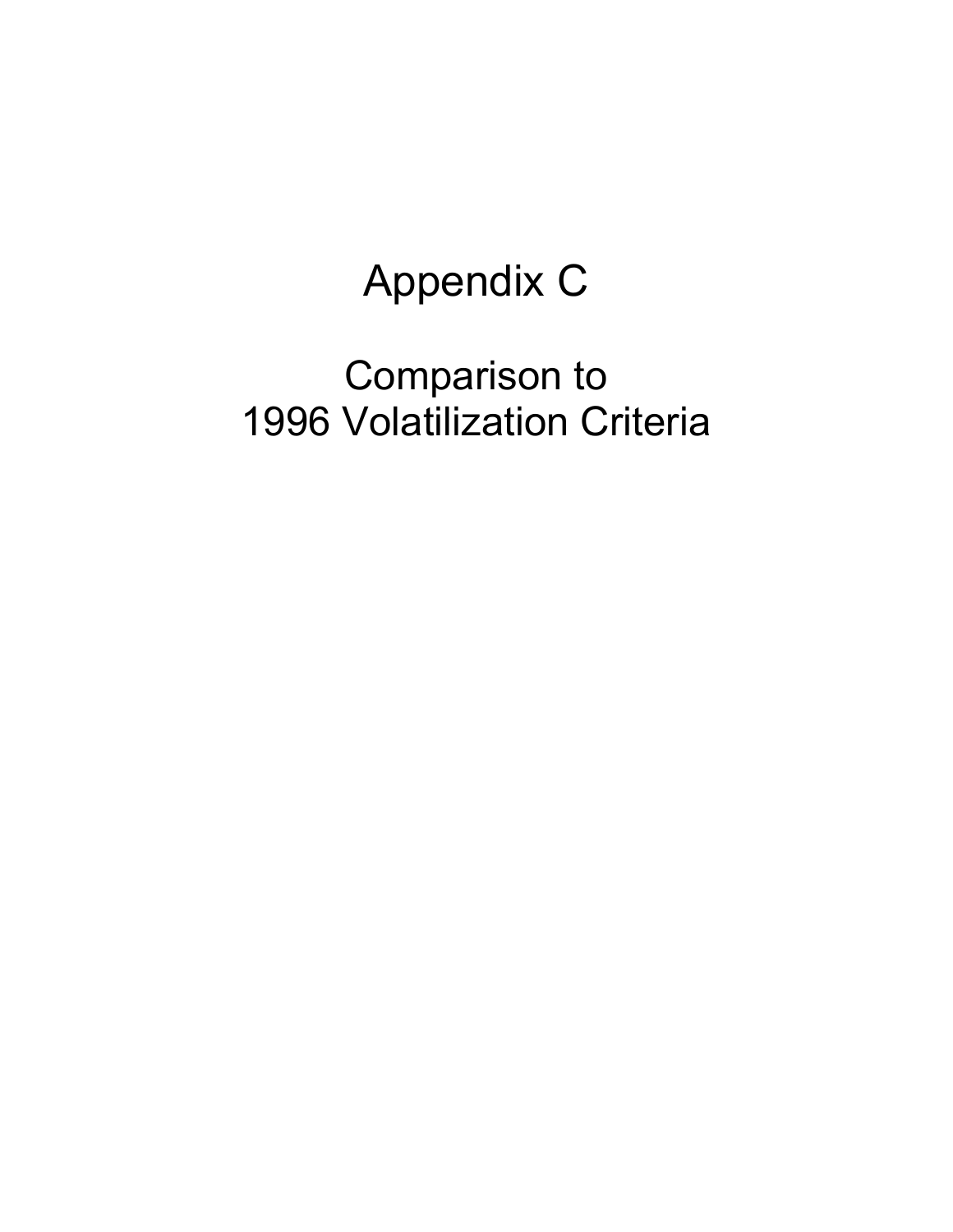# Appendix C

# Comparison to 1996 Volatilization Criteria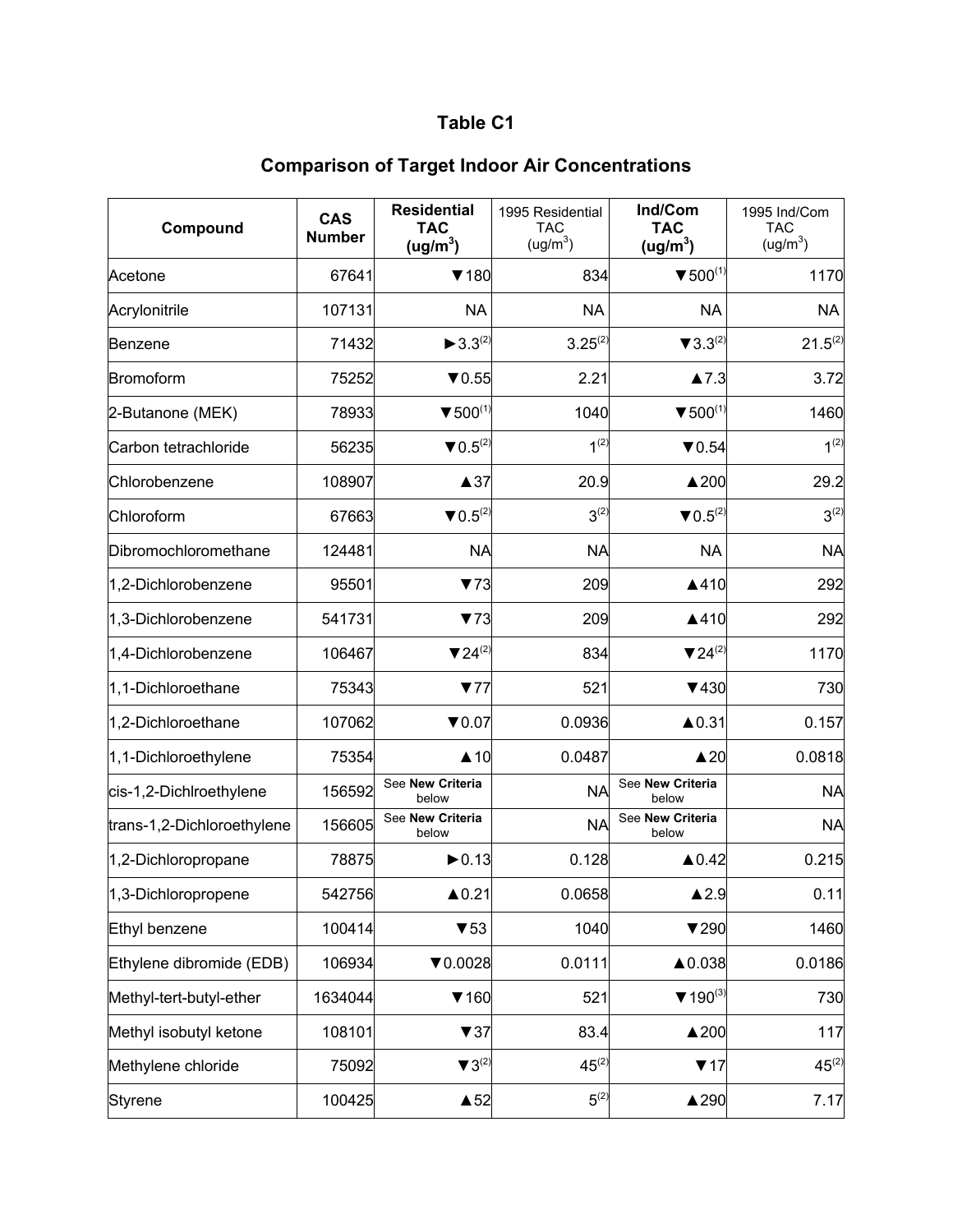| Compound                   | <b>CAS</b><br><b>Number</b> | <b>Residential</b><br><b>TAC</b><br>(ug/m $^3$ ) | 1995 Residential<br><b>TAC</b><br>(ug/m <sup>3</sup> ) | Ind/Com<br><b>TAC</b><br>(ug/m <sup>3</sup> ) | 1995 Ind/Com<br><b>TAC</b><br>(ug/m <sup>3</sup> ) |
|----------------------------|-----------------------------|--------------------------------------------------|--------------------------------------------------------|-----------------------------------------------|----------------------------------------------------|
| Acetone                    | 67641                       | $\P$ 180                                         | 834                                                    | $\blacktriangledown 500^{(1)}$                | 1170                                               |
| Acrylonitrile              | 107131                      | <b>NA</b>                                        | <b>NA</b>                                              | <b>NA</b>                                     | <b>NA</b>                                          |
| Benzene                    | 71432                       | $\blacktriangleright$ 3.3 <sup>(2)</sup>         | $3.25^{(2)}$                                           | $\blacktriangledown 3.3^{(2)}$                | $21.5^{(2)}$                                       |
| Bromoform                  | 75252                       | $\blacktriangledown$ 0.55                        | 2.21                                                   | $\blacktriangle$ 7.3                          | 3.72                                               |
| 2-Butanone (MEK)           | 78933                       | $\blacktriangledown$ 500 <sup>(1)</sup>          | 1040                                                   | $\blacktriangledown$ 500 <sup>(1)</sup>       | 1460                                               |
| Carbon tetrachloride       | 56235                       | $\blacktriangledown 0.5^{(2)}$                   | $1^{(2)}$                                              | $\nabla 0.54$                                 | $1^{(2)}$                                          |
| Chlorobenzene              | 108907                      | $\triangle$ 37                                   | 20.9                                                   | $\triangle$ 200                               | 29.2                                               |
| Chloroform                 | 67663                       | $\blacktriangledown 0.5^{(2)}$                   | $3^{(2)}$                                              | $\blacktriangledown 0.5^{(2)}$                | $3^{(2)}$                                          |
| Dibromochloromethane       | 124481                      | <b>NA</b>                                        | <b>NA</b>                                              | <b>NA</b>                                     | <b>NA</b>                                          |
| 1,2-Dichlorobenzene        | 95501                       | 73                                               | 209                                                    | ▲410                                          | 292                                                |
| 1,3-Dichlorobenzene        | 541731                      | 73                                               | 209                                                    | ▲410                                          | 292                                                |
| 1,4-Dichlorobenzene        | 106467                      | $724^{(2)}$                                      | 834                                                    | $\blacktriangledown 24^{(2)}$                 | 1170                                               |
| 1,1-Dichloroethane         | 75343                       | 77                                               | 521                                                    | $\P$ 430                                      | 730                                                |
| 1,2-Dichloroethane         | 107062                      | $\blacktriangledown 0.07$                        | 0.0936                                                 | ▲0.31                                         | 0.157                                              |
| 1,1-Dichloroethylene       | 75354                       | $\triangle$ 10                                   | 0.0487                                                 | $\triangle 20$                                | 0.0818                                             |
| cis-1,2-Dichlroethylene    | 156592                      | See New Criteria<br>below                        | <b>NA</b>                                              | See New Criteria<br>below                     | <b>NA</b>                                          |
| trans-1,2-Dichloroethylene | 156605                      | See New Criteria<br>below                        | <b>NA</b>                                              | See New Criteria<br>below                     | <b>NA</b>                                          |
| 1,2-Dichloropropane        | 78875                       | $\blacktriangleright$ 0.13                       | 0.128                                                  | $\triangle$ 0.42                              | 0.215                                              |
| 1,3-Dichloropropene        | 542756                      | $\triangle$ 0.21                                 | 0.0658                                                 | $\blacktriangle$ 2.9                          | 0.11                                               |
| Ethyl benzene              | 100414                      | $\blacktriangledown$ 53                          | 1040                                                   | $\blacktriangledown$ 290                      | 1460                                               |
| Ethylene dibromide (EDB)   | 106934                      | $\nabla 0.0028$                                  | 0.0111                                                 | ▲0.038                                        | 0.0186                                             |
| Methyl-tert-butyl-ether    | 1634044                     | $\P$ 160                                         | 521                                                    | $\Psi$ 190 <sup>(3)</sup>                     | 730                                                |
| Methyl isobutyl ketone     | 108101                      | 737                                              | 83.4                                                   | $\triangle 200$                               | 117                                                |
| Methylene chloride         | 75092                       | $\blacktriangledown 3^{(2)}$                     | $45^{(2)}$                                             | 717                                           | $45^{(2)}$                                         |
| Styrene                    | 100425                      | $\triangle$ 52                                   | $5^{(2)}$                                              | ▲290                                          | 7.17                                               |

## **Comparison of Target Indoor Air Concentrations**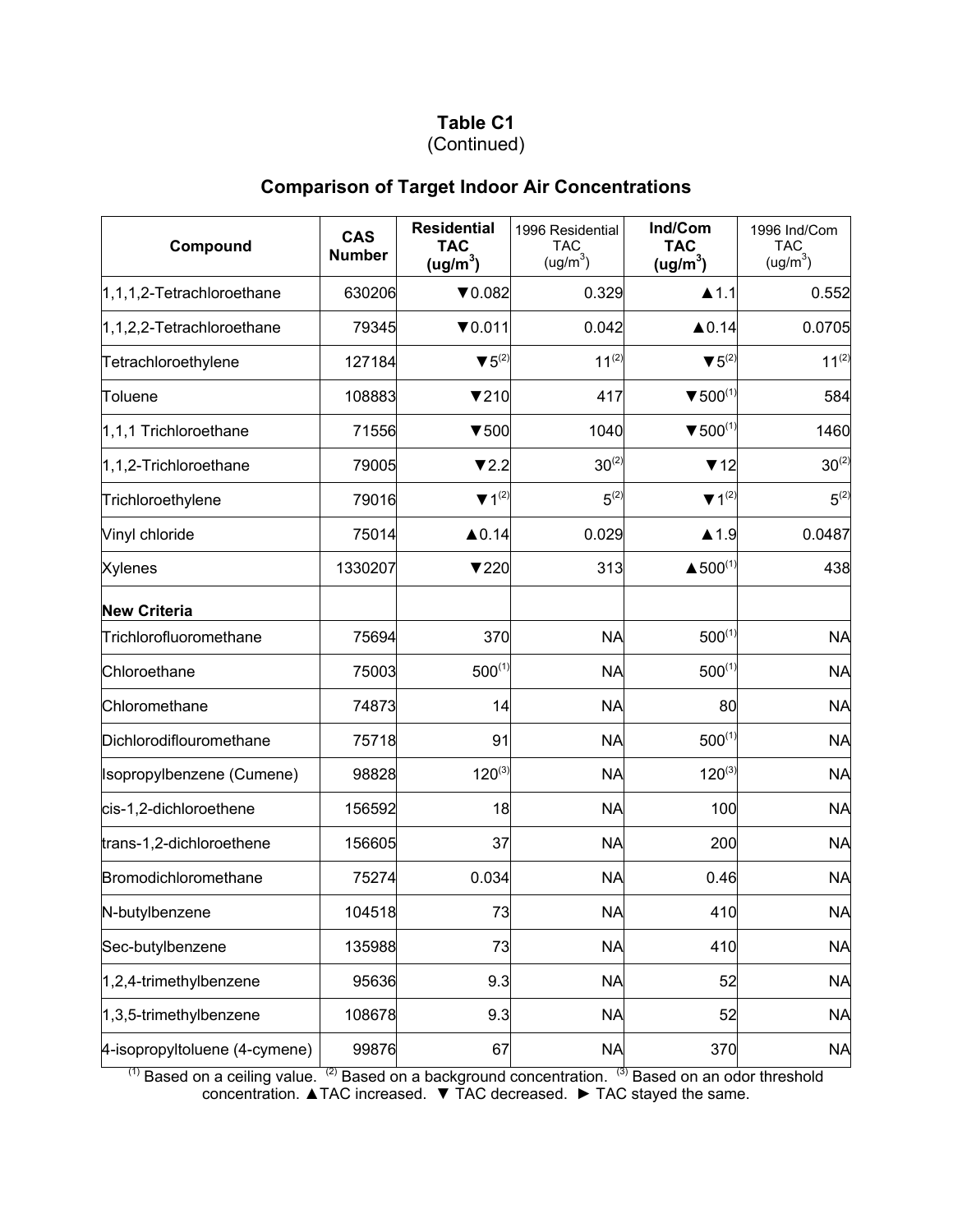## (Continued)

## **Comparison of Target Indoor Air Concentrations**

| Compound                      | <b>CAS</b><br><b>Number</b> | <b>Residential</b><br><b>TAC</b><br>(ug/m <sup>3</sup> ) | 1996 Residential<br><b>TAC</b><br>(ug/m <sup>3</sup> ) | Ind/Com<br><b>TAC</b><br>(ug/m <sup>3</sup> ) | 1996 Ind/Com<br><b>TAC</b><br>(ug/m <sup>3</sup> ) |
|-------------------------------|-----------------------------|----------------------------------------------------------|--------------------------------------------------------|-----------------------------------------------|----------------------------------------------------|
| $1,1,1,2$ -Tetrachloroethane  | 630206                      | $\nabla 0.082$                                           | 0.329                                                  | $\blacktriangle$ 1.1                          | 0.552                                              |
| $1,1,2,2$ -Tetrachloroethane  | 79345                       | $\nabla 0.011$                                           | 0.042                                                  | $\triangle$ 0.14                              | 0.0705                                             |
| Tetrachloroethylene           | 127184                      | $\blacktriangledown 5^{(2)}$                             | $11^{(2)}$                                             | $\blacktriangledown 5^{(2)}$                  | $11^{(2)}$                                         |
| Toluene                       | 108883                      | $\nabla$ 210                                             | 417                                                    | $\blacktriangledown 500^{(1)}$                | 584                                                |
| 1,1,1 Trichloroethane         | 71556                       | $\blacktriangledown 500$                                 | 1040                                                   | $\blacktriangledown 500^{(1)}$                | 1460                                               |
| 1,1,2-Trichloroethane         | 79005                       | 72.2                                                     | $30^{(2)}$                                             | 712                                           | $30^{(2)}$                                         |
| Trichloroethylene             | 79016                       | $\Psi$ 1 <sup>(2)</sup>                                  | $5^{(2)}$                                              | $\Psi$ 1 <sup>(2)</sup>                       | $5^{(2)}$                                          |
| Vinyl chloride                | 75014                       | $\triangle$ 0.14                                         | 0.029                                                  | $\blacktriangle$ 1.9                          | 0.0487                                             |
| <b>Xylenes</b>                | 1330207                     | 7220                                                     | 313                                                    | ▲ $500^{(1)}$                                 | 438                                                |
| <b>New Criteria</b>           |                             |                                                          |                                                        |                                               |                                                    |
| Trichlorofluoromethane        | 75694                       | 370                                                      | <b>NA</b>                                              | $500^{(1)}$                                   | <b>NA</b>                                          |
| Chloroethane                  | 75003                       | $500^{(1)}$                                              | <b>NA</b>                                              | $500^{(1)}$                                   | <b>NA</b>                                          |
| Chloromethane                 | 74873                       | 14                                                       | <b>NA</b>                                              | 80                                            | <b>NA</b>                                          |
| Dichlorodiflouromethane       | 75718                       | 91                                                       | <b>NA</b>                                              | $500^{(1)}$                                   | <b>NA</b>                                          |
| Isopropylbenzene (Cumene)     | 98828                       | $120^{(3)}$                                              | <b>NA</b>                                              | $120^{(3)}$                                   | <b>NA</b>                                          |
| cis-1,2-dichloroethene        | 156592                      | 18                                                       | <b>NA</b>                                              | 100                                           | <b>NA</b>                                          |
| trans-1,2-dichloroethene      | 156605                      | 37                                                       | <b>NA</b>                                              | 200                                           | <b>NA</b>                                          |
| Bromodichloromethane          | 75274                       | 0.034                                                    | <b>NA</b>                                              | 0.46                                          | <b>NA</b>                                          |
| N-butylbenzene                | 104518                      | 73                                                       | <b>NA</b>                                              | 410                                           | <b>NA</b>                                          |
| Sec-butylbenzene              | 135988                      | 73                                                       | <b>NA</b>                                              | 410                                           | <b>NA</b>                                          |
| 1,2,4-trimethylbenzene        | 95636                       | 9.3                                                      | <b>NA</b>                                              | 52                                            | <b>NA</b>                                          |
| 1,3,5-trimethylbenzene        | 108678                      | 9.3                                                      | <b>NA</b>                                              | 52                                            | <b>NA</b>                                          |
| 4-isopropyltoluene (4-cymene) | 99876                       | 67                                                       | <b>NA</b>                                              | 370                                           | <b>NA</b>                                          |

 $(1)$  Based on a ceiling value.  $(2)$  Based on a background concentration.  $(3)$  Based on an odor threshold concentration. ▲TAC increased. ▼ TAC decreased. ► TAC stayed the same.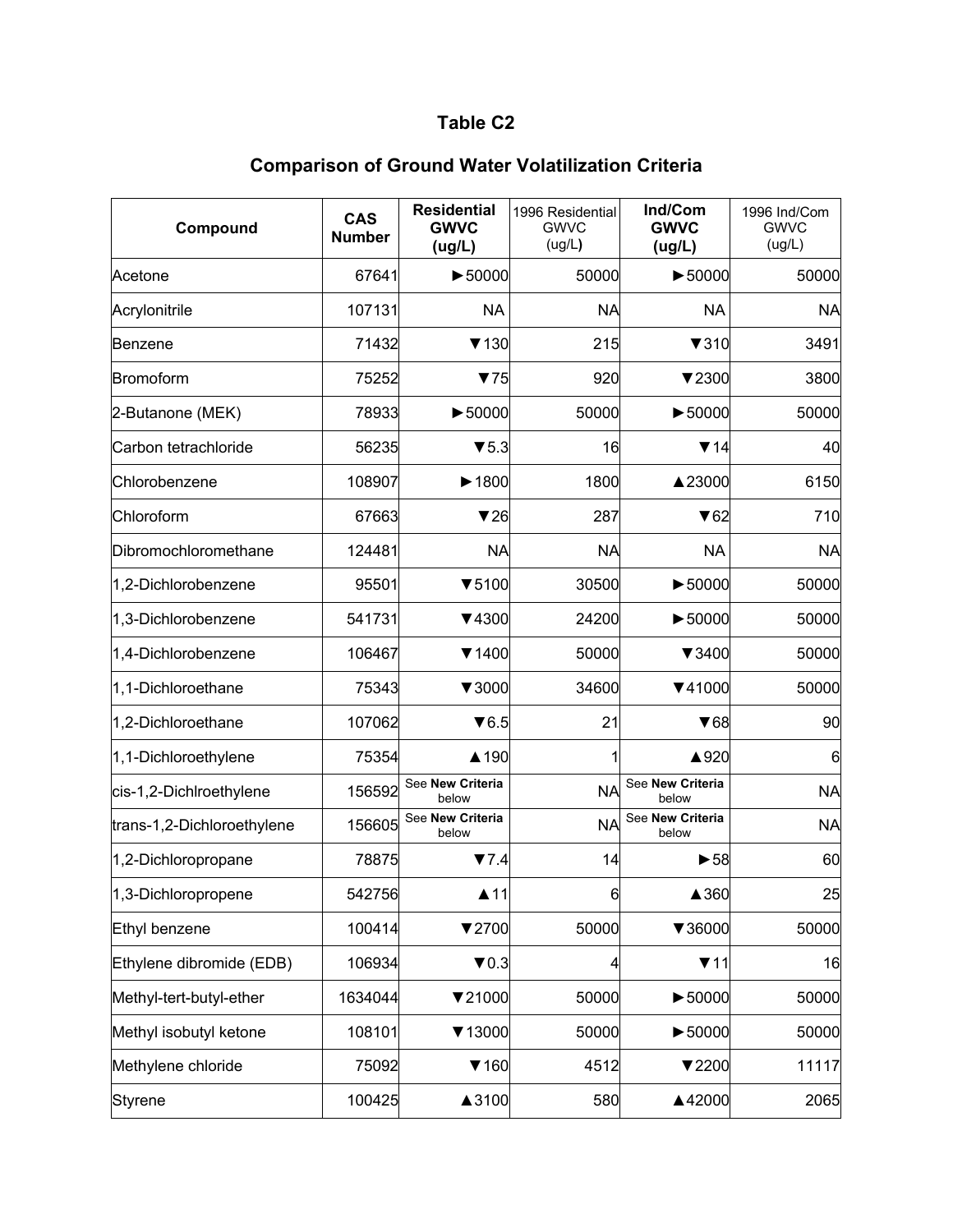| Compound                   | <b>CAS</b><br><b>Number</b> | <b>Residential</b><br><b>GWVC</b><br>(ug/L) | 1996 Residential<br><b>GWVC</b><br>(ug/L) | Ind/Com<br><b>GWVC</b><br>(ug/L) | 1996 Ind/Com<br><b>GWVC</b><br>(ug/L) |
|----------------------------|-----------------------------|---------------------------------------------|-------------------------------------------|----------------------------------|---------------------------------------|
| Acetone                    | 67641                       | $\blacktriangleright$ 50000                 | 50000                                     | $\blacktriangleright$ 50000      | 50000                                 |
| Acrylonitrile              | 107131                      | <b>NA</b>                                   | <b>NA</b>                                 | <b>NA</b>                        | <b>NA</b>                             |
| Benzene                    | 71432                       | $\blacktriangledown$ 130                    | 215                                       | $\blacktriangledown 310$         | 3491                                  |
| Bromoform                  | 75252                       | 75                                          | 920                                       | ▼2300                            | 3800                                  |
| 2-Butanone (MEK)           | 78933                       | $\blacktriangleright$ 50000                 | 50000                                     | $\blacktriangleright$ 50000      | 50000                                 |
| Carbon tetrachloride       | 56235                       | $\blacktriangledown$ 5.3                    | 16                                        | $\P$ 14                          | 40                                    |
| Chlorobenzene              | 108907                      | $\blacktriangleright$ 1800                  | 1800                                      | ▲23000                           | 6150                                  |
| Chloroform                 | 67663                       | $\blacktriangledown$ 26                     | 287                                       | $\blacktriangledown 62$          | 710                                   |
| Dibromochloromethane       | 124481                      | <b>NA</b>                                   | <b>NA</b>                                 | <b>NA</b>                        | <b>NA</b>                             |
| 1,2-Dichlorobenzene        | 95501                       | $\blacktriangledown$ 5100                   | 30500                                     | $\blacktriangleright$ 50000      | 50000                                 |
| 1,3-Dichlorobenzene        | 541731                      | ▼4300                                       | 24200                                     | $\blacktriangleright$ 50000      | 50000                                 |
| 1,4-Dichlorobenzene        | 106467                      | $\P$ 1400                                   | 50000                                     | $\blacktriangledown$ 3400        | 50000                                 |
| 1,1-Dichloroethane         | 75343                       | $\blacktriangledown$ 3000                   | 34600                                     | ▼41000                           | 50000                                 |
| 1,2-Dichloroethane         | 107062                      | $\blacktriangledown 6.5$                    | 21                                        | $\blacktriangledown 68$          | 90                                    |
| 1,1-Dichloroethylene       | 75354                       | ▲ 190                                       |                                           | ▲920                             | 6                                     |
| cis-1,2-Dichlroethylene    | 156592                      | See New Criteria<br>below                   | <b>NA</b>                                 | See New Criteria<br>below        | <b>NA</b>                             |
| trans-1,2-Dichloroethylene | 156605                      | See New Criteria<br>below                   | <b>NA</b>                                 | See New Criteria<br>below        | <b>NA</b>                             |
| 1,2-Dichloropropane        | 78875                       | 7.4                                         | 14                                        | $\blacktriangleright$ 58         | 60                                    |
| 1,3-Dichloropropene        | 542756                      | $\blacktriangle$ 11                         | 6                                         | ▲360                             | 25                                    |
| Ethyl benzene              | 100414                      | 72700                                       | 50000                                     | ▼36000                           | 50000                                 |
| Ethylene dibromide (EDB)   | 106934                      | $\blacktriangledown 0.3$                    | 4                                         | 711                              | 16                                    |
| Methyl-tert-butyl-ether    | 1634044                     | $\nabla$ 21000                              | 50000                                     | $\blacktriangleright$ 50000      | 50000                                 |
| Methyl isobutyl ketone     | 108101                      | ▼13000                                      | 50000                                     | $\blacktriangleright$ 50000      | 50000                                 |
| Methylene chloride         | 75092                       | $\P$ 160                                    | 4512                                      | $\blacktriangledown$ 2200        | 11117                                 |
| Styrene                    | 100425                      | ▲3100                                       | 580                                       | ▲42000                           | 2065                                  |

## **Comparison of Ground Water Volatilization Criteria**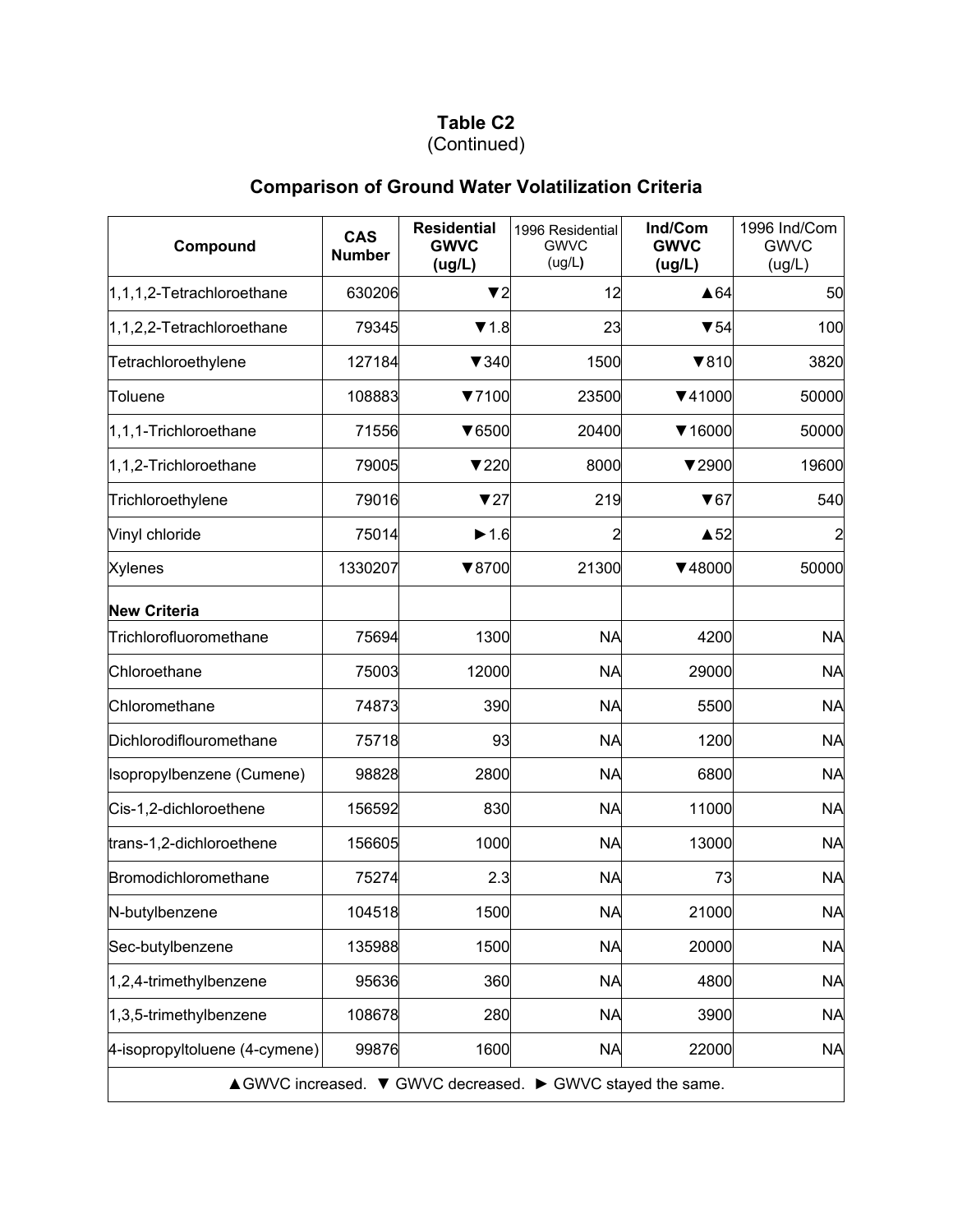## (Continued)

# **Comparison of Ground Water Volatilization Criteria**

| Compound                                                   | <b>CAS</b><br><b>Number</b> | <b>Residential</b><br><b>GWVC</b><br>(ug/L) | 1996 Residential<br><b>GWVC</b><br>(ug/L) | Ind/Com<br><b>GWVC</b><br>(ug/L) | 1996 Ind/Com<br><b>GWVC</b><br>(ug/L) |  |  |
|------------------------------------------------------------|-----------------------------|---------------------------------------------|-------------------------------------------|----------------------------------|---------------------------------------|--|--|
| $ 1,1,1,2$ -Tetrachloroethane                              | 630206                      | $\blacktriangledown$ 2                      | 12                                        | $\triangle 64$                   | 50                                    |  |  |
| 1,1,2,2-Tetrachloroethane                                  | 79345                       | $\P$ 1.8                                    | 23                                        | $\blacktriangledown 54$          | 100                                   |  |  |
| Tetrachloroethylene                                        | 127184                      | $\blacktriangledown$ 340                    | 1500                                      | $\blacktriangledown 810$         | 3820                                  |  |  |
| Toluene                                                    | 108883                      | ▼7100                                       | 23500                                     | $\P(41000)$                      | 50000                                 |  |  |
| 1,1,1-Trichloroethane                                      | 71556                       | $\blacktriangledown 6500$                   | 20400                                     | $\blacktriangledown$ 16000       | 50000                                 |  |  |
| 1,1,2-Trichloroethane                                      | 79005                       | 7220                                        | 8000                                      | $\blacktriangledown$ 2900        | 19600                                 |  |  |
| Trichloroethylene                                          | 79016                       | 727                                         | 219                                       | $\blacktriangledown 67$          | 540                                   |  |  |
| Vinyl chloride                                             | 75014                       | $\blacktriangleright$ 1.6                   | 2                                         | $\triangle$ 52                   |                                       |  |  |
| <b>Xylenes</b>                                             | 1330207                     | ▼8700                                       | 21300                                     | $\P$ 48000                       | 50000                                 |  |  |
| <b>New Criteria</b>                                        |                             |                                             |                                           |                                  |                                       |  |  |
| Trichlorofluoromethane                                     | 75694                       | 1300                                        | <b>NA</b>                                 | 4200                             | <b>NA</b>                             |  |  |
| Chloroethane                                               | 75003                       | 12000                                       | <b>NA</b>                                 | 29000                            | <b>NA</b>                             |  |  |
| Chloromethane                                              | 74873                       | 390                                         | <b>NA</b>                                 | 5500                             | <b>NA</b>                             |  |  |
| Dichlorodiflouromethane                                    | 75718                       | 93                                          | <b>NA</b>                                 | 1200                             | <b>NA</b>                             |  |  |
| Isopropylbenzene (Cumene)                                  | 98828                       | 2800                                        | <b>NA</b>                                 | 6800                             | <b>NA</b>                             |  |  |
| Cis-1,2-dichloroethene                                     | 156592                      | 830                                         | <b>NA</b>                                 | 11000                            | <b>NA</b>                             |  |  |
| trans-1,2-dichloroethene                                   | 156605                      | 1000                                        | <b>NA</b>                                 | 13000                            | <b>NA</b>                             |  |  |
| Bromodichloromethane                                       | 75274                       | 2.3                                         | <b>NA</b>                                 | 73                               | <b>NA</b>                             |  |  |
| N-butylbenzene                                             | 104518                      | 1500                                        | <b>NA</b>                                 | 21000                            | <b>NA</b>                             |  |  |
| Sec-butylbenzene                                           | 135988                      | 1500                                        | <b>NA</b>                                 | 20000                            | <b>NA</b>                             |  |  |
| 1,2,4-trimethylbenzene                                     | 95636                       | 360                                         | <b>NA</b>                                 | 4800                             | <b>NA</b>                             |  |  |
| 1,3,5-trimethylbenzene                                     | 108678                      | 280                                         | <b>NA</b>                                 | 3900                             | <b>NA</b>                             |  |  |
| 4-isopropyltoluene (4-cymene)                              | 99876                       | 1600                                        | <b>NA</b>                                 | 22000                            | <b>NA</b>                             |  |  |
| AGWVC increased. ▼ GWVC decreased. ▶ GWVC stayed the same. |                             |                                             |                                           |                                  |                                       |  |  |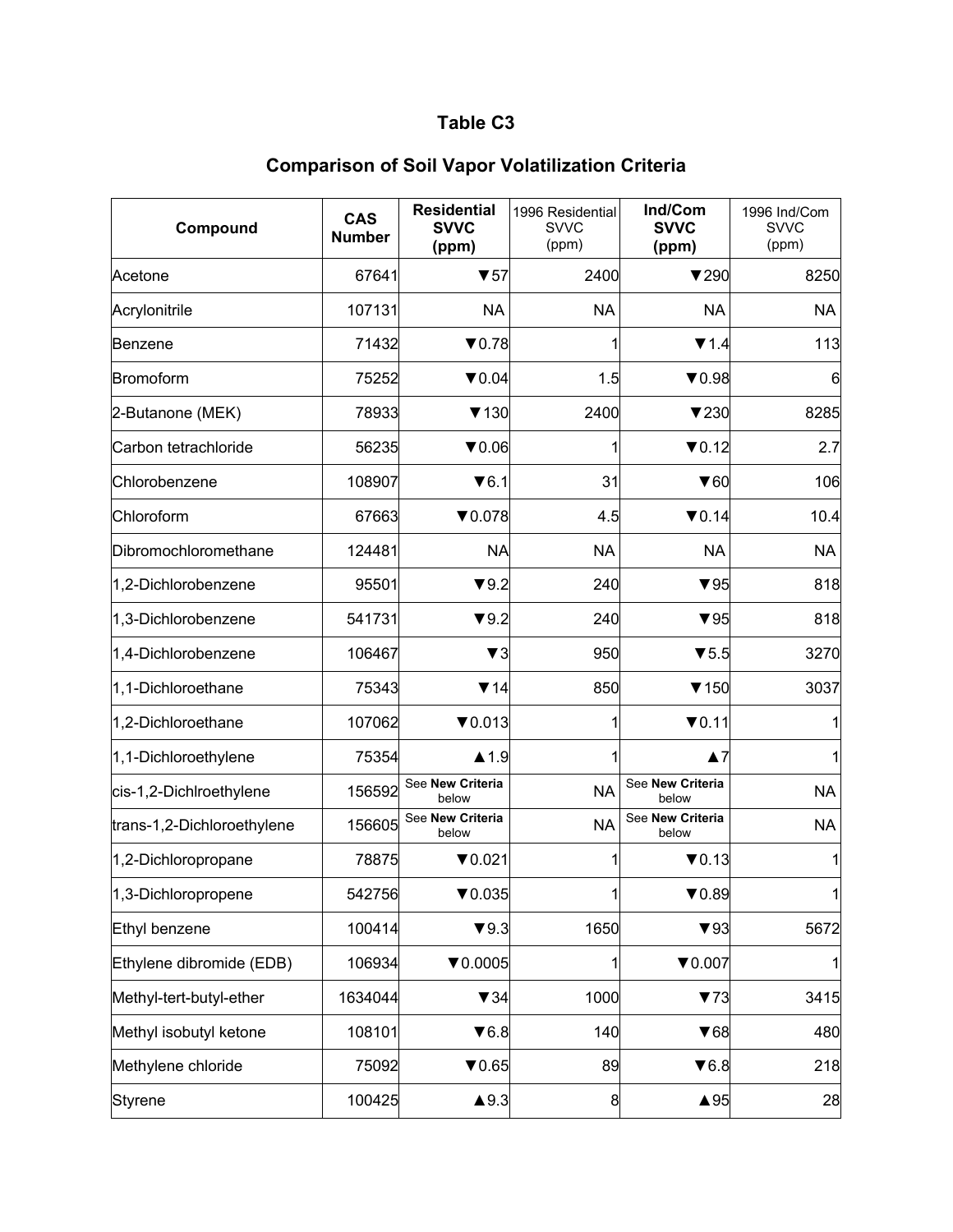| Compound                   | <b>CAS</b><br><b>Number</b> | <b>Residential</b><br><b>SVVC</b><br>(ppm) | 1996 Residential<br><b>SVVC</b><br>(ppm) | Ind/Com<br><b>SVVC</b><br>(ppm) | 1996 Ind/Com<br><b>SVVC</b><br>(ppm) |
|----------------------------|-----------------------------|--------------------------------------------|------------------------------------------|---------------------------------|--------------------------------------|
| Acetone                    | 67641                       | $\blacktriangledown$ 57                    | 2400                                     | 7290                            | 8250                                 |
| Acrylonitrile              | 107131                      | <b>NA</b>                                  | <b>NA</b>                                | <b>NA</b>                       | <b>NA</b>                            |
| Benzene                    | 71432                       | $\nabla 0.78$                              |                                          | $\P$ 1.4                        | 113                                  |
| Bromoform                  | 75252                       | $\nabla 0.04$                              | 1.5                                      | $\nabla 0.98$                   | 6                                    |
| 2-Butanone (MEK)           | 78933                       | $\blacktriangledown$ 130                   | 2400                                     | $\blacktriangledown$ 230        | 8285                                 |
| Carbon tetrachloride       | 56235                       | $\blacktriangledown 0.06$                  |                                          | $\nabla 0.12$                   | 2.7                                  |
| Chlorobenzene              | 108907                      | $\blacktriangledown$ 6.1                   | 31                                       | $\blacktriangledown 60$         | 106                                  |
| Chloroform                 | 67663                       | $\nabla 0.078$                             | 4.5                                      | $\nabla 0.14$                   | 10.4                                 |
| Dibromochloromethane       | 124481                      | <b>NA</b>                                  | <b>NA</b>                                | <b>NA</b>                       | <b>NA</b>                            |
| 1,2-Dichlorobenzene        | 95501                       | $\blacktriangledown 9.2$                   | 240                                      | $\blacktriangledown$ 95         | 818                                  |
| 1,3-Dichlorobenzene        | 541731                      | $\blacktriangledown 9.2$                   | 240                                      | $\blacktriangledown$ 95         | 818                                  |
| 1,4-Dichlorobenzene        | 106467                      | $\blacktriangledown$ 3                     | 950                                      | $\blacktriangledown$ 5.5        | 3270                                 |
| 1,1-Dichloroethane         | 75343                       | $\Psi$ 14                                  | 850                                      | $\blacktriangledown$ 150        | 3037                                 |
| 1,2-Dichloroethane         | 107062                      | $\nabla 0.013$                             |                                          | $\nabla 0.11$                   |                                      |
| 1,1-Dichloroethylene       | 75354                       | $\blacktriangle$ 1.9                       |                                          | $\blacktriangle$ 7              |                                      |
| cis-1,2-Dichlroethylene    | 156592                      | See New Criteria<br>below                  | <b>NA</b>                                | See New Criteria<br>below       | <b>NA</b>                            |
| trans-1,2-Dichloroethylene | 156605                      | See New Criteria<br>below                  | <b>NA</b>                                | See New Criteria<br>below       | <b>NA</b>                            |
| 1,2-Dichloropropane        | 78875                       | $\nabla 0.021$                             |                                          | $\nabla 0.13$                   |                                      |
| 1,3-Dichloropropene        | 542756                      | $\nabla 0.035$                             | $\mathbf{1}$                             | $\nabla 0.89$                   | $\mathbf{1}$                         |
| Ethyl benzene              | 100414                      | $\blacktriangledown 9.3$                   | 1650                                     | $\blacktriangledown$ 93         | 5672                                 |
| Ethylene dibromide (EDB)   | 106934                      | $\nabla 0.0005$                            | 1                                        | $\nabla 0.007$                  |                                      |
| Methyl-tert-butyl-ether    | 1634044                     | $\blacktriangledown$ 34                    | 1000                                     | 73                              | 3415                                 |
| Methyl isobutyl ketone     | 108101                      | $\blacktriangledown 6.8$                   | 140                                      | $\blacktriangledown 68$         | 480                                  |
| Methylene chloride         | 75092                       | $\blacktriangledown 0.65$                  | 89                                       | $\blacktriangledown 6.8$        | 218                                  |
| Styrene                    | 100425                      | $\blacktriangle$ 9.3                       | 8                                        | $\triangle$ 95                  | 28                                   |

## **Comparison of Soil Vapor Volatilization Criteria**